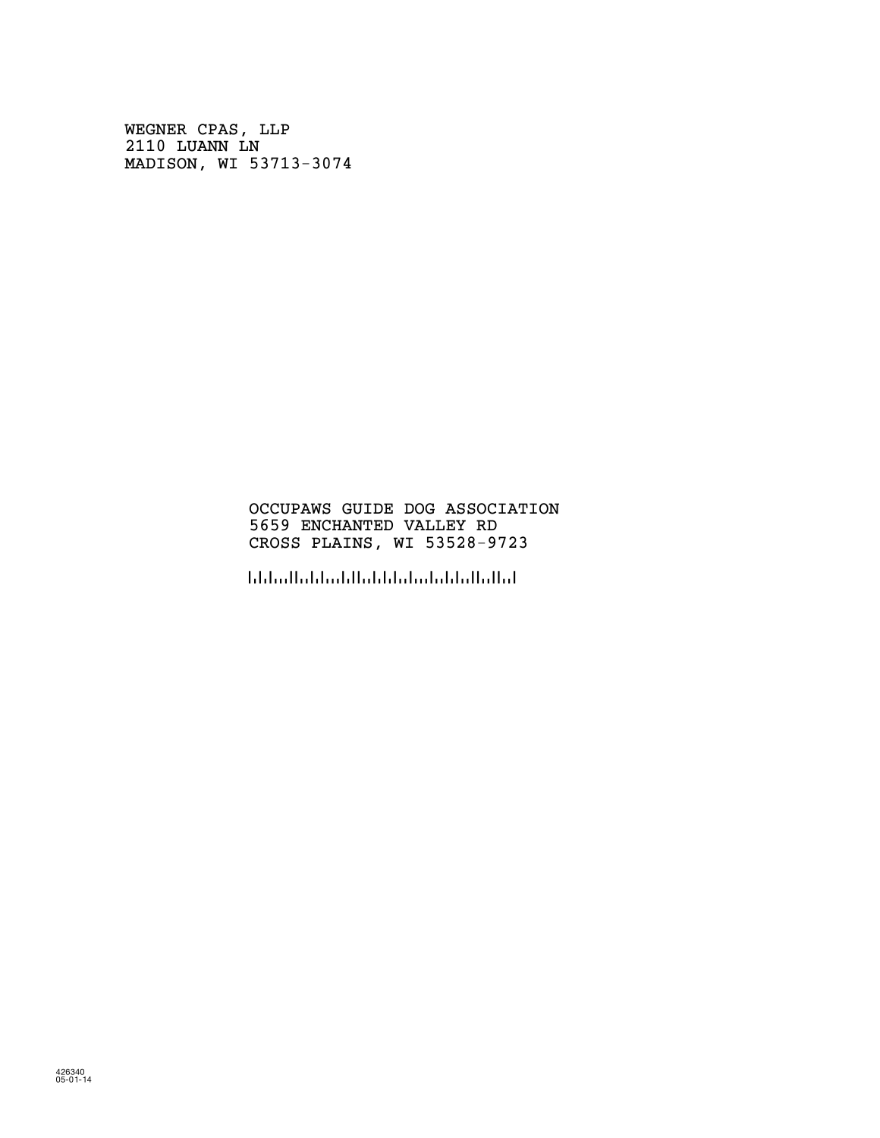WEGNER CPAS, LLP 2110 LUANN LN MADISON, WI 53713-3074

#### OCCUPAWS GUIDE DOG ASSOCIATION 5659 ENCHANTED VALLEY RD CROSS PLAINS, WI 53528-9723

!5352897236!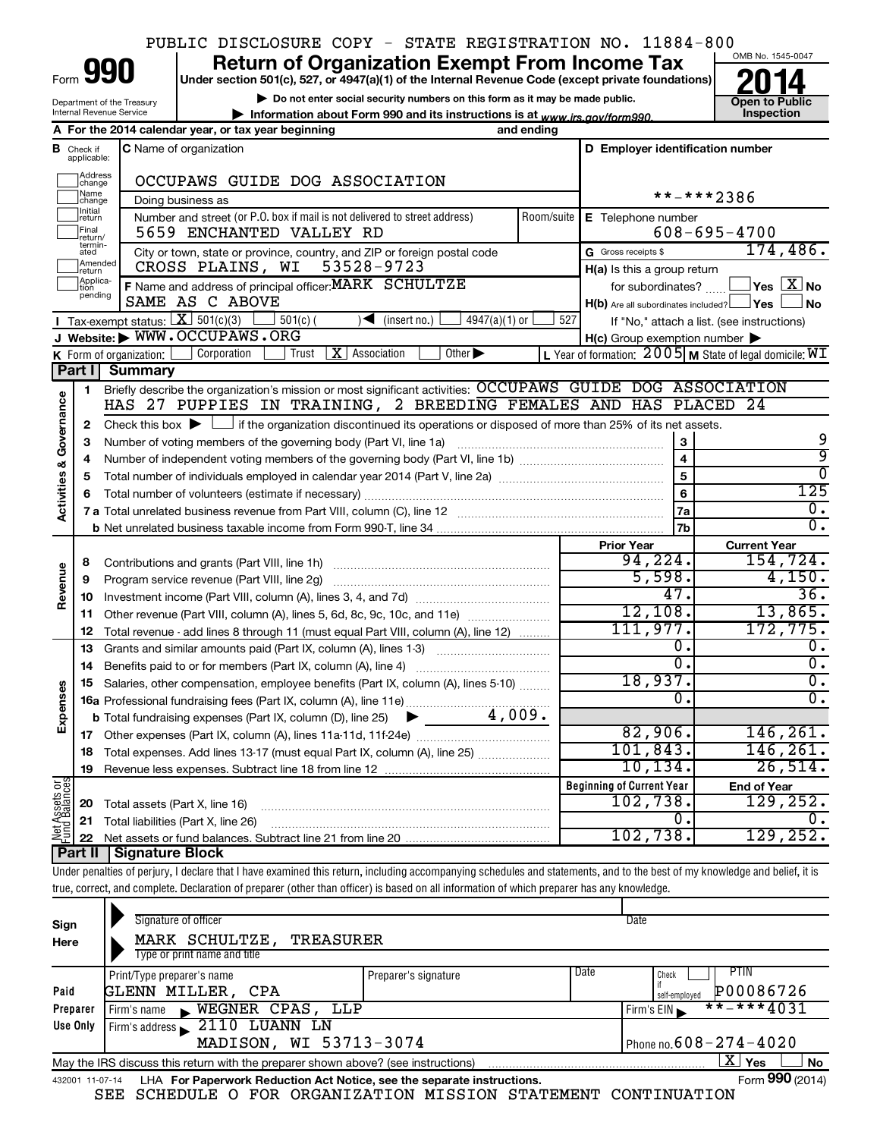## PUBLIC DISCLOSURE COPY - STATE REGISTRATION NO. 11884-800

| Form |  |
|------|--|
|      |  |

Department of the Treasury Internal Revenue Service

## **Under section 501(c), 527, or 4947(a)(1) of the Internal Revenue Code (except private foundations) 990 Return of Organization Exempt From Income Tax 1990 2014**<br>
Under section 501(c), 527, or 4947(a)(1) of the Internal Revenue Code (except private foundations) **2014**

**| Do not enter social security numbers on this form as it may be made public. | Information about Form 990 and its instructions is at www.irs.gov/form990.** | Inspection



|                                    |                         | A For the 2014 calendar year, or tax year beginning                                                                                         | and ending |                                                     |                                                         |
|------------------------------------|-------------------------|---------------------------------------------------------------------------------------------------------------------------------------------|------------|-----------------------------------------------------|---------------------------------------------------------|
| В                                  | Check if<br>applicable: | <b>C</b> Name of organization                                                                                                               |            | D Employer identification number                    |                                                         |
|                                    | Address<br>change       | OCCUPAWS GUIDE DOG ASSOCIATION                                                                                                              |            |                                                     |                                                         |
|                                    | Name<br>change          | Doing business as                                                                                                                           |            |                                                     | **-***2386                                              |
|                                    | Initial<br>return       | Number and street (or P.O. box if mail is not delivered to street address)                                                                  | Room/suite | E Telephone number                                  |                                                         |
|                                    | Final<br>return/        | 5659 ENCHANTED VALLEY RD                                                                                                                    |            |                                                     | $608 - 695 - 4700$                                      |
|                                    | termin-<br>ated         | City or town, state or province, country, and ZIP or foreign postal code                                                                    |            | G Gross receipts \$                                 | 174,486.                                                |
|                                    | Amended<br>Ireturn      | 53528-9723<br>CROSS PLAINS, WI                                                                                                              |            | H(a) Is this a group return                         |                                                         |
|                                    | Applica-<br>pending     | F Name and address of principal officer: MARK SCHULTZE                                                                                      |            | for subordinates?                                   | $\blacksquare$ Yes $\boxtimes$ No                       |
|                                    |                         | SAME AS C ABOVE                                                                                                                             |            | $H(b)$ Are all subordinates included? $\Box$ Yes    | ⊥No                                                     |
|                                    |                         | Tax-exempt status: $X \overline{3} 501(c)(3)$<br>$501(c)$ (<br>$\sqrt{\bullet}$ (insert no.) [<br>4947(a)(1) or                             | 527        |                                                     | If "No," attach a list. (see instructions)              |
|                                    |                         | J Website: WWW.OCCUPAWS.ORG                                                                                                                 |            | $H(c)$ Group exemption number $\blacktriangleright$ |                                                         |
|                                    |                         | Corporation<br>$X$   Association<br>Other $\blacktriangleright$<br>Trust<br><b>K</b> Form of organization: $\lfloor$                        |            |                                                     | L Year of formation: 2005 M State of legal domicile: WI |
|                                    | Part II                 | Summary                                                                                                                                     |            |                                                     |                                                         |
|                                    | 1                       | Briefly describe the organization's mission or most significant activities: OCCUPAWS GUIDE DOG ASSOCIATION                                  |            |                                                     |                                                         |
|                                    |                         | HAS 27 PUPPIES IN TRAINING, 2 BREEDING FEMALES AND HAS PLACED 24                                                                            |            |                                                     |                                                         |
| <b>Activities &amp; Governance</b> | $\mathbf{2}$            | Check this box $\blacktriangleright$ $\Box$ if the organization discontinued its operations or disposed of more than 25% of its net assets. |            |                                                     | 9                                                       |
|                                    | 3                       | Number of voting members of the governing body (Part VI, line 1a)                                                                           |            | 3<br>$\overline{4}$                                 | 9                                                       |
|                                    | 4                       |                                                                                                                                             |            |                                                     | $\overline{0}$                                          |
|                                    | 5                       |                                                                                                                                             |            | 5                                                   | 125                                                     |
|                                    | 6                       |                                                                                                                                             |            | 6<br>7a                                             | $\overline{0}$ .                                        |
|                                    |                         |                                                                                                                                             |            | 7 <sub>b</sub>                                      | $\overline{0}$ .                                        |
|                                    |                         |                                                                                                                                             |            | <b>Prior Year</b>                                   | <b>Current Year</b>                                     |
|                                    | 8                       |                                                                                                                                             |            | 94, 224.                                            | 154,724.                                                |
|                                    | 9                       | Program service revenue (Part VIII, line 2g)                                                                                                |            | 5,598.                                              | 4,150.                                                  |
| Revenue                            | 10                      |                                                                                                                                             |            | 47.                                                 | 36.                                                     |
|                                    | 11                      | Other revenue (Part VIII, column (A), lines 5, 6d, 8c, 9c, 10c, and 11e)                                                                    |            | 12,108.                                             | 13,865.                                                 |
|                                    | 12                      | Total revenue - add lines 8 through 11 (must equal Part VIII, column (A), line 12)                                                          |            | 111,977.                                            | 172,775.                                                |
|                                    | 13                      | Grants and similar amounts paid (Part IX, column (A), lines 1-3)                                                                            |            | 0.                                                  | 0.                                                      |
|                                    | 14                      |                                                                                                                                             |            | σ.                                                  | $\overline{0}$ .                                        |
|                                    | 15                      | Salaries, other compensation, employee benefits (Part IX, column (A), lines 5-10)                                                           |            | 18,937.                                             | $\overline{0}$ .                                        |
| Expenses                           |                         |                                                                                                                                             |            | О.                                                  | $\overline{0}$ .                                        |
|                                    |                         | <b>b</b> Total fundraising expenses (Part IX, column (D), line 25) $\blacktriangleright$                                                    |            |                                                     |                                                         |
|                                    | 17                      |                                                                                                                                             |            | 82,906.                                             | 146, 261.                                               |
|                                    | 18                      | Total expenses. Add lines 13-17 (must equal Part IX, column (A), line 25)                                                                   |            | 101,843.                                            | 146, 261.                                               |
|                                    | 19                      |                                                                                                                                             | 10, 134.   | 26,514.                                             |                                                         |
| Net Assets or<br>Fund Balances     |                         |                                                                                                                                             |            | <b>Beginning of Current Year</b>                    | <b>End of Year</b>                                      |
|                                    | 20                      | Total assets (Part X, line 16)                                                                                                              |            | 102,738.                                            | 129,252.                                                |
|                                    | 21                      | Total liabilities (Part X, line 26)                                                                                                         |            | О.                                                  | О.                                                      |
|                                    | 22                      |                                                                                                                                             |            | 102,738.                                            | 129, 252.                                               |
|                                    | <b>Part II</b>          | <b>Signature Block</b>                                                                                                                      |            |                                                     |                                                         |

Under penalties of perjury, I declare that I have examined this return, including accompanying schedules and statements, and to the best of my knowledge and belief, it is true, correct, and complete. Declaration of preparer (other than officer) is based on all information of which preparer has any knowledge.

| Sign<br>Here | Signature of officer<br>MARK SCHULTZE,<br>TREASURER<br>Type or print name and title                                |                      |      | Date                                        |  |  |  |  |  |
|--------------|--------------------------------------------------------------------------------------------------------------------|----------------------|------|---------------------------------------------|--|--|--|--|--|
| Paid         | Print/Type preparer's name<br><b>GLENN MILLER, CPA</b>                                                             | Preparer's signature | Date | PTIN<br>Check<br>P00086726<br>self-employed |  |  |  |  |  |
| Preparer     | WEGNER CPAS, LLP<br>Firm's name<br>$\mathbf{E}$                                                                    |                      |      | $***$ $***$ 4031<br>Firm's $EIN$            |  |  |  |  |  |
| Use Only     | Firm's address $\sim 2110$ LUANN LN                                                                                |                      |      |                                             |  |  |  |  |  |
|              | MADISON, WI 53713-3074                                                                                             |                      |      | Phone no. $608 - 274 - 4020$                |  |  |  |  |  |
|              | $\mathbf{X}$ Yes<br><b>No</b><br>May the IRS discuss this return with the preparer shown above? (see instructions) |                      |      |                                             |  |  |  |  |  |
|              | Form 990 (2014)<br>LHA For Paperwork Reduction Act Notice, see the separate instructions.<br>432001 11-07-14       |                      |      |                                             |  |  |  |  |  |

SEE SCHEDULE O FOR ORGANIZATION MISSION STATEMENT CONTINUATION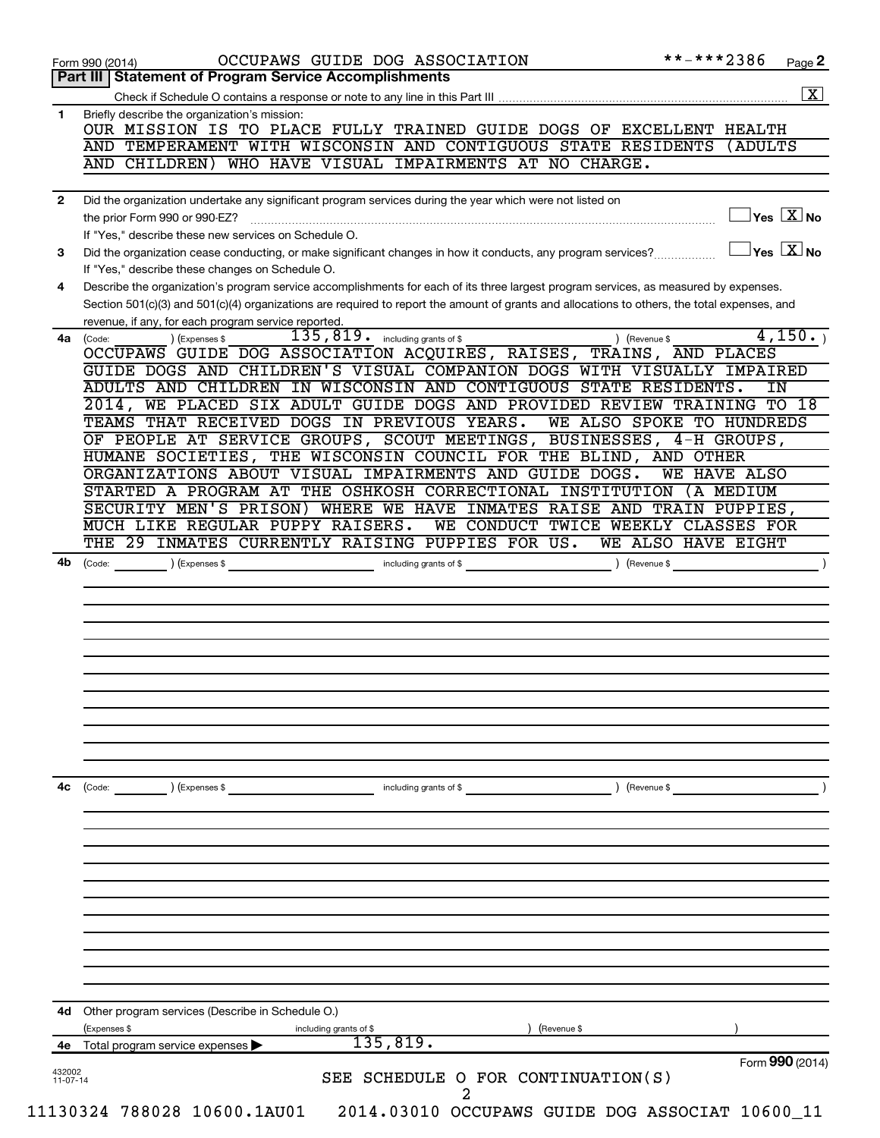|              | OCCUPAWS GUIDE DOG ASSOCIATION<br>Form 990 (2014)<br><b>Statement of Program Service Accomplishments</b><br>Part III                                                                                | **-***2386                                   | Page 2             |
|--------------|-----------------------------------------------------------------------------------------------------------------------------------------------------------------------------------------------------|----------------------------------------------|--------------------|
|              |                                                                                                                                                                                                     |                                              | $\boxed{\text{X}}$ |
| 1            | Briefly describe the organization's mission:                                                                                                                                                        |                                              |                    |
|              | OUR MISSION IS TO PLACE FULLY TRAINED GUIDE DOGS OF EXCELLENT HEALTH                                                                                                                                |                                              |                    |
|              | AND TEMPERAMENT WITH WISCONSIN AND CONTIGUOUS STATE RESIDENTS                                                                                                                                       | (ADULTS                                      |                    |
|              | WHO HAVE VISUAL IMPAIRMENTS AT NO CHARGE.<br>AND CHILDREN)                                                                                                                                          |                                              |                    |
| $\mathbf{2}$ | Did the organization undertake any significant program services during the year which were not listed on                                                                                            |                                              |                    |
|              |                                                                                                                                                                                                     | $\overline{\ }$ Yes $\overline{\rm \ }X$ No  |                    |
|              | If "Yes," describe these new services on Schedule O.                                                                                                                                                |                                              |                    |
| 3            | Did the organization cease conducting, or make significant changes in how it conducts, any program services?<br>If "Yes," describe these changes on Schedule O.                                     | $\sqrt{\mathsf{Yes}\ \boxed{\mathsf{X}}}$ No |                    |
| 4            | Describe the organization's program service accomplishments for each of its three largest program services, as measured by expenses.                                                                |                                              |                    |
|              | Section 501(c)(3) and 501(c)(4) organizations are required to report the amount of grants and allocations to others, the total expenses, and<br>revenue, if any, for each program service reported. |                                              |                    |
| 4a           | $\overline{135}$ , $\overline{819}$ including grants of \$<br>) (Revenue \$<br>(Code:<br>(Expenses \$                                                                                               |                                              | 4,150.             |
|              | OCCUPAWS GUIDE DOG ASSOCIATION ACQUIRES, RAISES, TRAINS, AND PLACES                                                                                                                                 |                                              |                    |
|              | GUIDE DOGS AND CHILDREN'S VISUAL COMPANION DOGS WITH VISUALLY IMPAIRED                                                                                                                              |                                              |                    |
|              | ADULTS AND CHILDREN IN WISCONSIN AND CONTIGUOUS STATE RESIDENTS.                                                                                                                                    |                                              | ΙN                 |
|              | WE PLACED SIX ADULT GUIDE DOGS AND PROVIDED REVIEW TRAINING TO<br>$2014$ .                                                                                                                          |                                              | 18                 |
|              | TEAMS THAT RECEIVED DOGS IN PREVIOUS YEARS.<br>WE ALSO SPOKE TO HUNDREDS                                                                                                                            |                                              |                    |
|              | OF PEOPLE AT SERVICE GROUPS, SCOUT MEETINGS, BUSINESSES, 4-H GROUPS,                                                                                                                                |                                              |                    |
|              | HUMANE SOCIETIES, THE WISCONSIN COUNCIL FOR THE BLIND, AND OTHER                                                                                                                                    |                                              |                    |
|              | ORGANIZATIONS ABOUT VISUAL IMPAIRMENTS AND GUIDE DOGS.<br>STARTED A PROGRAM AT THE OSHKOSH CORRECTIONAL INSTITUTION                                                                                 | WE HAVE ALSO<br>(A MEDIUM                    |                    |
|              | SECURITY MEN'S PRISON) WHERE WE HAVE INMATES RAISE AND TRAIN PUPPIES,                                                                                                                               |                                              |                    |
|              | MUCH LIKE REGULAR PUPPY RAISERS.<br>WE CONDUCT TWICE WEEKLY CLASSES FOR                                                                                                                             |                                              |                    |
|              | THE 29 INMATES CURRENTLY RAISING PUPPIES FOR US.                                                                                                                                                    | WE ALSO HAVE EIGHT                           |                    |
|              |                                                                                                                                                                                                     |                                              |                    |
|              |                                                                                                                                                                                                     |                                              |                    |
|              |                                                                                                                                                                                                     |                                              |                    |
| 4с           | ) (Revenue \$<br>(Code:<br>) (Expenses \$<br>including grants of \$                                                                                                                                 |                                              |                    |
|              |                                                                                                                                                                                                     |                                              |                    |
|              |                                                                                                                                                                                                     |                                              |                    |
|              |                                                                                                                                                                                                     |                                              |                    |
|              |                                                                                                                                                                                                     |                                              |                    |
|              | Other program services (Describe in Schedule O.)                                                                                                                                                    |                                              |                    |
| 4d           | (Expenses \$<br>(Revenue \$<br>including grants of \$                                                                                                                                               |                                              |                    |
|              |                                                                                                                                                                                                     |                                              |                    |
| 432002       | 135,819.<br>4e Total program service expenses<br>SEE SCHEDULE O FOR CONTINUATION(S)                                                                                                                 | Form 990 (2014)                              |                    |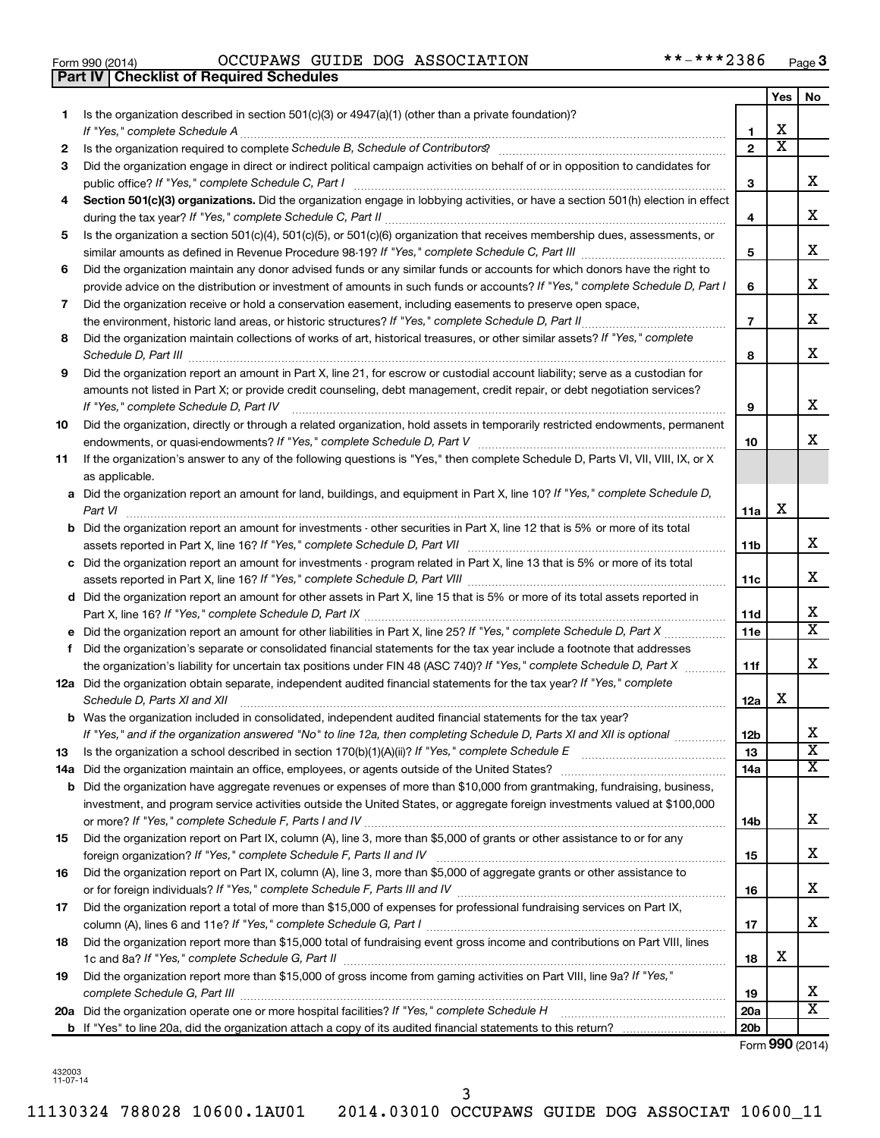| Form 990 (2014) |  |  |
|-----------------|--|--|
|                 |  |  |

**Part IV Checklist of Required Schedules**

Form 990 (2014) OCCUPAWS GUIDE DOG ASSOCIATION \*\*-\*\*\*2386 Page

|    |                                                                                                                                                                                                                                                                                                                                                                      |                 | Yes                     | No                           |
|----|----------------------------------------------------------------------------------------------------------------------------------------------------------------------------------------------------------------------------------------------------------------------------------------------------------------------------------------------------------------------|-----------------|-------------------------|------------------------------|
| 1  | Is the organization described in section $501(c)(3)$ or $4947(a)(1)$ (other than a private foundation)?                                                                                                                                                                                                                                                              |                 |                         |                              |
|    | If "Yes," complete Schedule A                                                                                                                                                                                                                                                                                                                                        | 1               | х                       |                              |
| 2  |                                                                                                                                                                                                                                                                                                                                                                      | $\overline{2}$  | $\overline{\textbf{x}}$ |                              |
| З  | Did the organization engage in direct or indirect political campaign activities on behalf of or in opposition to candidates for                                                                                                                                                                                                                                      | 3               |                         | x                            |
| 4  | Section 501(c)(3) organizations. Did the organization engage in lobbying activities, or have a section 501(h) election in effect                                                                                                                                                                                                                                     | 4               |                         | x                            |
| 5  | Is the organization a section 501(c)(4), 501(c)(5), or 501(c)(6) organization that receives membership dues, assessments, or                                                                                                                                                                                                                                         |                 |                         |                              |
|    |                                                                                                                                                                                                                                                                                                                                                                      | 5               |                         | x                            |
| 6  | Did the organization maintain any donor advised funds or any similar funds or accounts for which donors have the right to                                                                                                                                                                                                                                            |                 |                         |                              |
|    | provide advice on the distribution or investment of amounts in such funds or accounts? If "Yes," complete Schedule D, Part I                                                                                                                                                                                                                                         | 6               |                         | x                            |
| 7  | Did the organization receive or hold a conservation easement, including easements to preserve open space,                                                                                                                                                                                                                                                            |                 |                         |                              |
|    |                                                                                                                                                                                                                                                                                                                                                                      | $\overline{7}$  |                         | x                            |
| 8  | Did the organization maintain collections of works of art, historical treasures, or other similar assets? If "Yes," complete<br>Schedule D, Part III <b>Marting Community Contract Contract Contract Contract Contract Contract Contract Contract Contract Contract Contract Contract Contract Contract Contract Contract Contract Contract Contract Contract Co</b> | 8               |                         | x                            |
| 9  | Did the organization report an amount in Part X, line 21, for escrow or custodial account liability; serve as a custodian for                                                                                                                                                                                                                                        |                 |                         |                              |
|    | amounts not listed in Part X; or provide credit counseling, debt management, credit repair, or debt negotiation services?                                                                                                                                                                                                                                            |                 |                         |                              |
|    | If "Yes," complete Schedule D, Part IV                                                                                                                                                                                                                                                                                                                               | 9               |                         | х                            |
| 10 | Did the organization, directly or through a related organization, hold assets in temporarily restricted endowments, permanent                                                                                                                                                                                                                                        | 10              |                         | х                            |
| 11 | If the organization's answer to any of the following questions is "Yes," then complete Schedule D, Parts VI, VII, VIII, IX, or X<br>as applicable.                                                                                                                                                                                                                   |                 |                         |                              |
|    | a Did the organization report an amount for land, buildings, and equipment in Part X, line 10? If "Yes," complete Schedule D,                                                                                                                                                                                                                                        |                 |                         |                              |
|    | Part VI                                                                                                                                                                                                                                                                                                                                                              | 11a             | х                       |                              |
|    | <b>b</b> Did the organization report an amount for investments - other securities in Part X, line 12 that is 5% or more of its total                                                                                                                                                                                                                                 |                 |                         |                              |
|    |                                                                                                                                                                                                                                                                                                                                                                      | 11b             |                         | x                            |
|    | c Did the organization report an amount for investments - program related in Part X, line 13 that is 5% or more of its total                                                                                                                                                                                                                                         |                 |                         |                              |
|    |                                                                                                                                                                                                                                                                                                                                                                      | 11c             |                         | х                            |
|    | d Did the organization report an amount for other assets in Part X, line 15 that is 5% or more of its total assets reported in                                                                                                                                                                                                                                       |                 |                         |                              |
|    |                                                                                                                                                                                                                                                                                                                                                                      | 11d             |                         | x<br>$\overline{\mathtt{x}}$ |
|    | e Did the organization report an amount for other liabilities in Part X, line 25? If "Yes," complete Schedule D, Part X                                                                                                                                                                                                                                              | 11e             |                         |                              |
| f  | Did the organization's separate or consolidated financial statements for the tax year include a footnote that addresses<br>the organization's liability for uncertain tax positions under FIN 48 (ASC 740)? If "Yes," complete Schedule D, Part X                                                                                                                    |                 |                         | x                            |
|    | 12a Did the organization obtain separate, independent audited financial statements for the tax year? If "Yes," complete                                                                                                                                                                                                                                              | 11f             |                         |                              |
|    | Schedule D, Parts XI and XII                                                                                                                                                                                                                                                                                                                                         | 12a             | х                       |                              |
|    | <b>b</b> Was the organization included in consolidated, independent audited financial statements for the tax year?                                                                                                                                                                                                                                                   |                 |                         |                              |
|    | If "Yes," and if the organization answered "No" to line 12a, then completing Schedule D, Parts XI and XII is optional                                                                                                                                                                                                                                                | 12D             |                         | ▵                            |
| 13 |                                                                                                                                                                                                                                                                                                                                                                      | 13              |                         | $\overline{\textbf{x}}$      |
|    | 14a Did the organization maintain an office, employees, or agents outside of the United States?                                                                                                                                                                                                                                                                      | 14a             |                         | X                            |
|    | <b>b</b> Did the organization have aggregate revenues or expenses of more than \$10,000 from grantmaking, fundraising, business,                                                                                                                                                                                                                                     |                 |                         |                              |
|    | investment, and program service activities outside the United States, or aggregate foreign investments valued at \$100,000                                                                                                                                                                                                                                           |                 |                         |                              |
|    |                                                                                                                                                                                                                                                                                                                                                                      | 14 <sub>b</sub> |                         | x                            |
| 15 | Did the organization report on Part IX, column (A), line 3, more than \$5,000 of grants or other assistance to or for any                                                                                                                                                                                                                                            |                 |                         |                              |
|    |                                                                                                                                                                                                                                                                                                                                                                      | 15              |                         | x                            |
| 16 | Did the organization report on Part IX, column (A), line 3, more than \$5,000 of aggregate grants or other assistance to                                                                                                                                                                                                                                             |                 |                         |                              |
|    |                                                                                                                                                                                                                                                                                                                                                                      | 16              |                         | x                            |
| 17 | Did the organization report a total of more than \$15,000 of expenses for professional fundraising services on Part IX,                                                                                                                                                                                                                                              |                 |                         | x                            |
| 18 | Did the organization report more than \$15,000 total of fundraising event gross income and contributions on Part VIII, lines                                                                                                                                                                                                                                         | 17              |                         |                              |
|    |                                                                                                                                                                                                                                                                                                                                                                      | 18              | х                       |                              |
| 19 | Did the organization report more than \$15,000 of gross income from gaming activities on Part VIII, line 9a? If "Yes,"                                                                                                                                                                                                                                               |                 |                         |                              |
|    |                                                                                                                                                                                                                                                                                                                                                                      | 19              |                         | x                            |
|    | 20a Did the organization operate one or more hospital facilities? If "Yes," complete Schedule H                                                                                                                                                                                                                                                                      | 20a             |                         | $\overline{\text{X}}$        |
|    |                                                                                                                                                                                                                                                                                                                                                                      | 20 <sub>b</sub> |                         |                              |

Form (2014) **990**

432003 11-07-14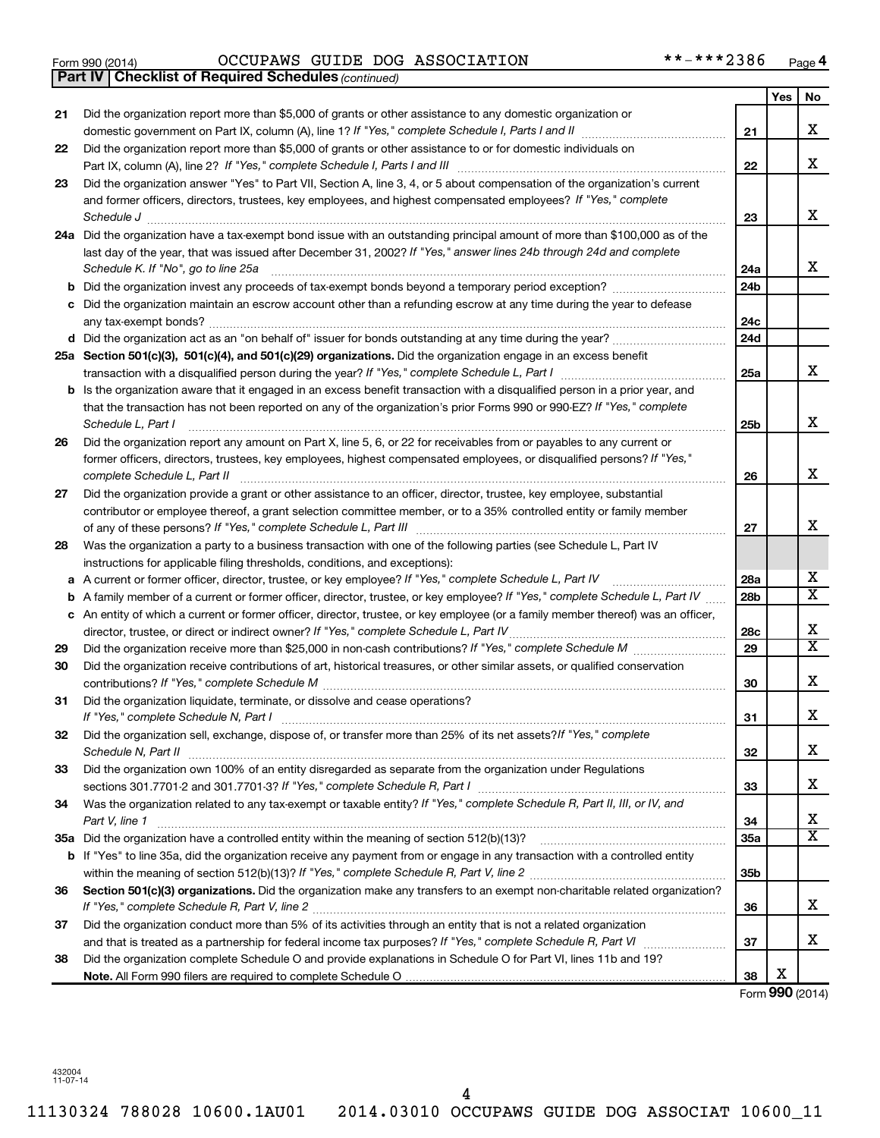#### Form 990 (2014) OCCUPAWS GUIDE DOG ASSOCIATION \* \*-\* \* \* 2 3 8 6 Page OCCUPAWS GUIDE DOG ASSOCIATION \*\*-\*\*\*2386

|    | <b>Part IV   Checklist of Required Schedules (continued)</b>                                                                      |                 |     |                         |
|----|-----------------------------------------------------------------------------------------------------------------------------------|-----------------|-----|-------------------------|
|    |                                                                                                                                   |                 | Yes | No                      |
| 21 | Did the organization report more than \$5,000 of grants or other assistance to any domestic organization or                       |                 |     |                         |
|    |                                                                                                                                   | 21              |     | х                       |
| 22 | Did the organization report more than \$5,000 of grants or other assistance to or for domestic individuals on                     |                 |     |                         |
|    |                                                                                                                                   | 22              |     | х                       |
| 23 | Did the organization answer "Yes" to Part VII, Section A, line 3, 4, or 5 about compensation of the organization's current        |                 |     |                         |
|    | and former officers, directors, trustees, key employees, and highest compensated employees? If "Yes," complete                    |                 |     |                         |
|    | Schedule J <b>Execute Schedule J Execute Schedule J</b>                                                                           | 23              |     | х                       |
|    | 24a Did the organization have a tax-exempt bond issue with an outstanding principal amount of more than \$100,000 as of the       |                 |     |                         |
|    | last day of the year, that was issued after December 31, 2002? If "Yes," answer lines 24b through 24d and complete                |                 |     |                         |
|    | Schedule K. If "No", go to line 25a                                                                                               | 24a             |     | x                       |
| b  |                                                                                                                                   | 24 <sub>b</sub> |     |                         |
|    | Did the organization maintain an escrow account other than a refunding escrow at any time during the year to defease              |                 |     |                         |
|    |                                                                                                                                   | 24c             |     |                         |
|    |                                                                                                                                   | 24 <sub>d</sub> |     |                         |
|    | 25a Section 501(c)(3), 501(c)(4), and 501(c)(29) organizations. Did the organization engage in an excess benefit                  |                 |     |                         |
|    |                                                                                                                                   | 25a             |     | x                       |
| b  | Is the organization aware that it engaged in an excess benefit transaction with a disqualified person in a prior year, and        |                 |     |                         |
|    | that the transaction has not been reported on any of the organization's prior Forms 990 or 990-EZ? If "Yes," complete             |                 |     |                         |
|    | Schedule L. Part I                                                                                                                | 25b             |     | x                       |
| 26 | Did the organization report any amount on Part X, line 5, 6, or 22 for receivables from or payables to any current or             |                 |     |                         |
|    | former officers, directors, trustees, key employees, highest compensated employees, or disqualified persons? If "Yes,"            |                 |     |                         |
|    | complete Schedule L, Part II                                                                                                      | 26              |     | X                       |
| 27 | Did the organization provide a grant or other assistance to an officer, director, trustee, key employee, substantial              |                 |     |                         |
|    | contributor or employee thereof, a grant selection committee member, or to a 35% controlled entity or family member               |                 |     |                         |
|    |                                                                                                                                   | 27              |     | х                       |
| 28 | Was the organization a party to a business transaction with one of the following parties (see Schedule L, Part IV                 |                 |     |                         |
|    | instructions for applicable filing thresholds, conditions, and exceptions):                                                       |                 |     |                         |
| а  | A current or former officer, director, trustee, or key employee? If "Yes," complete Schedule L, Part IV                           | 28a             |     | x                       |
| b  | A family member of a current or former officer, director, trustee, or key employee? If "Yes," complete Schedule L, Part IV        | 28 <sub>b</sub> |     | $\overline{\texttt{x}}$ |
|    | c An entity of which a current or former officer, director, trustee, or key employee (or a family member thereof) was an officer, |                 |     |                         |
|    | director, trustee, or direct or indirect owner? If "Yes," complete Schedule L, Part IV                                            | 28c             |     | х                       |
| 29 |                                                                                                                                   | 29              |     | $\overline{\text{X}}$   |
| 30 | Did the organization receive contributions of art, historical treasures, or other similar assets, or qualified conservation       |                 |     |                         |
|    |                                                                                                                                   | 30              |     | х                       |
| 31 | Did the organization liquidate, terminate, or dissolve and cease operations?                                                      |                 |     |                         |
|    | If "Yes," complete Schedule N, Part I                                                                                             | 31              |     | Χ                       |
| 32 | Did the organization sell, exchange, dispose of, or transfer more than 25% of its net assets?/f "Yes," complete                   |                 |     |                         |
|    | Schedule N, Part II                                                                                                               | 32              |     | х                       |
| 33 | Did the organization own 100% of an entity disregarded as separate from the organization under Regulations                        |                 |     |                         |
|    |                                                                                                                                   | 33              |     | х                       |
| 34 | Was the organization related to any tax-exempt or taxable entity? If "Yes," complete Schedule R, Part II, III, or IV, and         |                 |     |                         |
|    | Part V, line 1                                                                                                                    | 34              |     | х                       |
|    |                                                                                                                                   | 35a             |     | $\overline{\text{X}}$   |
| b  | If "Yes" to line 35a, did the organization receive any payment from or engage in any transaction with a controlled entity         |                 |     |                         |
|    |                                                                                                                                   | 35 <sub>b</sub> |     |                         |
| 36 | Section 501(c)(3) organizations. Did the organization make any transfers to an exempt non-charitable related organization?        |                 |     |                         |
|    |                                                                                                                                   | 36              |     | x                       |
| 37 | Did the organization conduct more than 5% of its activities through an entity that is not a related organization                  |                 |     |                         |
|    |                                                                                                                                   | 37              |     | х                       |
| 38 | Did the organization complete Schedule O and provide explanations in Schedule O for Part VI, lines 11b and 19?                    |                 |     |                         |
|    |                                                                                                                                   | 38              | X   |                         |

Form (2014) **990**

432004 11-07-14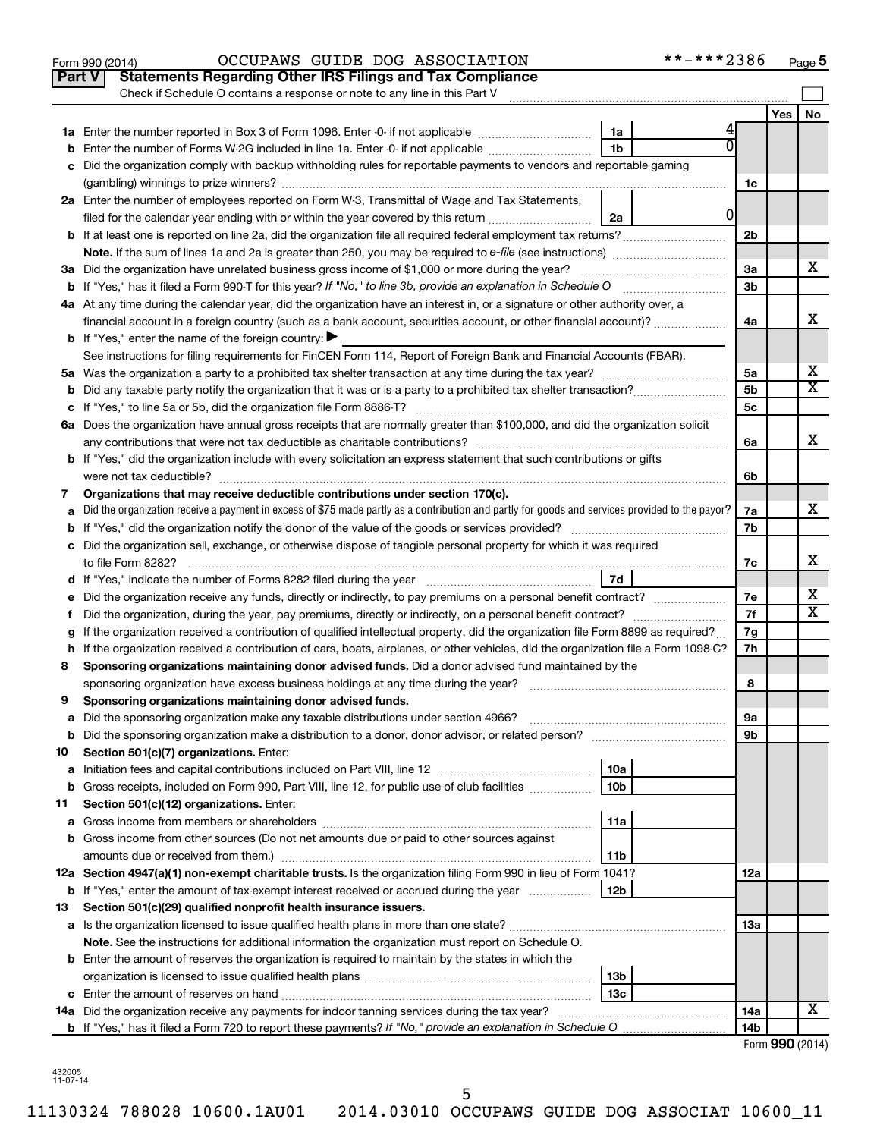|    | **-***2386<br>OCCUPAWS GUIDE DOG ASSOCIATION<br>Form 990 (2014)                                                                                                                             |                |     | Page 5                       |
|----|---------------------------------------------------------------------------------------------------------------------------------------------------------------------------------------------|----------------|-----|------------------------------|
|    | <b>Statements Regarding Other IRS Filings and Tax Compliance</b><br>Part V                                                                                                                  |                |     |                              |
|    | Check if Schedule O contains a response or note to any line in this Part V                                                                                                                  |                |     |                              |
|    |                                                                                                                                                                                             |                | Yes | No                           |
|    | 1a                                                                                                                                                                                          |                |     |                              |
| b  | 1 <sub>b</sub><br>Enter the number of Forms W-2G included in line 1a. Enter -0- if not applicable                                                                                           |                |     |                              |
| с  | Did the organization comply with backup withholding rules for reportable payments to vendors and reportable gaming                                                                          |                |     |                              |
|    |                                                                                                                                                                                             | 1c             |     |                              |
|    | 2a Enter the number of employees reported on Form W-3, Transmittal of Wage and Tax Statements,                                                                                              |                |     |                              |
|    | 0<br>filed for the calendar year ending with or within the year covered by this return<br>2a                                                                                                |                |     |                              |
|    |                                                                                                                                                                                             | 2b             |     |                              |
|    | <b>Note.</b> If the sum of lines 1a and 2a is greater than 250, you may be required to e-file (see instructions) <i>manumanous</i>                                                          |                |     |                              |
|    | 3a Did the organization have unrelated business gross income of \$1,000 or more during the year?                                                                                            | За             |     | x                            |
|    |                                                                                                                                                                                             | 3b             |     |                              |
|    | 4a At any time during the calendar year, did the organization have an interest in, or a signature or other authority over, a                                                                |                |     |                              |
|    | financial account in a foreign country (such as a bank account, securities account, or other financial account)?                                                                            | 4a             |     | x                            |
|    | <b>b</b> If "Yes," enter the name of the foreign country:                                                                                                                                   |                |     |                              |
|    | See instructions for filing requirements for FinCEN Form 114, Report of Foreign Bank and Financial Accounts (FBAR).                                                                         |                |     |                              |
|    | 5a Was the organization a party to a prohibited tax shelter transaction at any time during the tax year?                                                                                    | 5a             |     | x                            |
| b  |                                                                                                                                                                                             | 5b             |     | $\overline{\mathbf{x}}$      |
|    | If "Yes," to line 5a or 5b, did the organization file Form 8886-T?                                                                                                                          | 5 <sub>c</sub> |     |                              |
|    | 6a Does the organization have annual gross receipts that are normally greater than \$100,000, and did the organization solicit                                                              |                |     |                              |
|    | any contributions that were not tax deductible as charitable contributions?                                                                                                                 | 6a             |     | x                            |
|    | b If "Yes," did the organization include with every solicitation an express statement that such contributions or gifts                                                                      |                |     |                              |
|    | were not tax deductible?                                                                                                                                                                    | 6b             |     |                              |
| 7  | Organizations that may receive deductible contributions under section 170(c).                                                                                                               |                |     |                              |
| a  | Did the organization receive a payment in excess of \$75 made partly as a contribution and partly for goods and services provided to the payor?                                             | 7a             |     | x                            |
|    | <b>b</b> If "Yes," did the organization notify the donor of the value of the goods or services provided?                                                                                    | 7b             |     |                              |
|    | c Did the organization sell, exchange, or otherwise dispose of tangible personal property for which it was required                                                                         |                |     |                              |
|    | to file Form 8282?                                                                                                                                                                          | 7c             |     | x.                           |
|    | 7d<br>d If "Yes," indicate the number of Forms 8282 filed during the year                                                                                                                   |                |     |                              |
|    | e Did the organization receive any funds, directly or indirectly, to pay premiums on a personal benefit contract?                                                                           | 7е             |     | x<br>$\overline{\mathbf{X}}$ |
| f. | Did the organization, during the year, pay premiums, directly or indirectly, on a personal benefit contract?                                                                                | 7f             |     |                              |
| g  | If the organization received a contribution of qualified intellectual property, did the organization file Form 8899 as required?                                                            | 7g             |     |                              |
|    | h If the organization received a contribution of cars, boats, airplanes, or other vehicles, did the organization file a Form 1098-C?                                                        | 7h             |     |                              |
| 8  | Sponsoring organizations maintaining donor advised funds. Did a donor advised fund maintained by the                                                                                        |                |     |                              |
|    | sponsoring organization have excess business holdings at any time during the year?                                                                                                          | 8              |     |                              |
| 9  | Sponsoring organizations maintaining donor advised funds.                                                                                                                                   |                |     |                              |
| a  | Did the sponsoring organization make any taxable distributions under section 4966?                                                                                                          | 9а             |     |                              |
| b  |                                                                                                                                                                                             | 9b             |     |                              |
| 10 | Section 501(c)(7) organizations. Enter:                                                                                                                                                     |                |     |                              |
| a  | 10a<br>10 <sub>b</sub>                                                                                                                                                                      |                |     |                              |
| b  | Gross receipts, included on Form 990, Part VIII, line 12, for public use of club facilities<br>Section 501(c)(12) organizations. Enter:                                                     |                |     |                              |
| 11 | 11a                                                                                                                                                                                         |                |     |                              |
| a  |                                                                                                                                                                                             |                |     |                              |
| b  | Gross income from other sources (Do not net amounts due or paid to other sources against<br>11b                                                                                             |                |     |                              |
|    | 12a Section 4947(a)(1) non-exempt charitable trusts. Is the organization filing Form 990 in lieu of Form 1041?                                                                              | 12a            |     |                              |
| b  | If "Yes," enter the amount of tax-exempt interest received or accrued during the year<br>12b                                                                                                |                |     |                              |
| 13 | Section 501(c)(29) qualified nonprofit health insurance issuers.                                                                                                                            |                |     |                              |
|    |                                                                                                                                                                                             | 13a            |     |                              |
|    | a Is the organization licensed to issue qualified health plans in more than one state?<br>Note. See the instructions for additional information the organization must report on Schedule O. |                |     |                              |
|    | <b>b</b> Enter the amount of reserves the organization is required to maintain by the states in which the                                                                                   |                |     |                              |
|    | 13b                                                                                                                                                                                         |                |     |                              |
|    | 13с                                                                                                                                                                                         |                |     |                              |
|    | <b>14a</b> Did the organization receive any payments for indoor tanning services during the tax year?                                                                                       | 14a            |     | X                            |
|    |                                                                                                                                                                                             | 14b            |     |                              |
|    |                                                                                                                                                                                             |                |     | Form 990 (2014)              |

| 432005   |
|----------|
|          |
| 11-07-14 |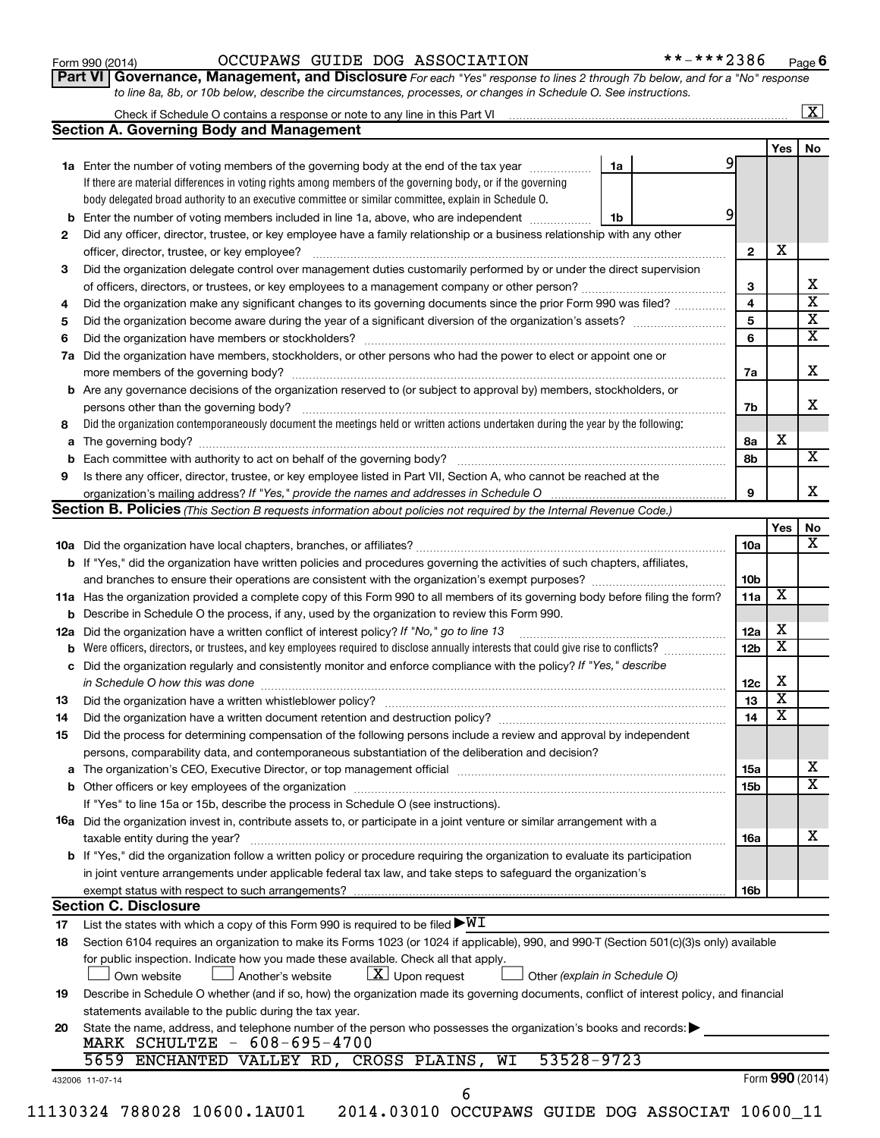| Form 990 (2014) |  |  |
|-----------------|--|--|
|-----------------|--|--|

#### Form 990 (2014) OCCUPAWS GUIDE DOG ASSOCIATION \*\*-\*\*\*2386 Page

**Part VI** Governance, Management, and Disclosure For each "Yes" response to lines 2 through 7b below, and for a "No" response *to line 8a, 8b, or 10b below, describe the circumstances, processes, or changes in Schedule O. See instructions.*

|    | <b>Section A. Governing Body and Management</b>                                                                                                                             |                 | Yes                     | No |
|----|-----------------------------------------------------------------------------------------------------------------------------------------------------------------------------|-----------------|-------------------------|----|
|    | 1a<br>1a Enter the number of voting members of the governing body at the end of the tax year                                                                                | 9               |                         |    |
|    | If there are material differences in voting rights among members of the governing body, or if the governing                                                                 |                 |                         |    |
|    | body delegated broad authority to an executive committee or similar committee, explain in Schedule O.                                                                       |                 |                         |    |
|    | <b>b</b> Enter the number of voting members included in line 1a, above, who are independent <i>manumum</i><br>1b                                                            | 9               |                         |    |
| 2  | Did any officer, director, trustee, or key employee have a family relationship or a business relationship with any other                                                    |                 |                         |    |
|    |                                                                                                                                                                             | $\mathbf{2}$    | X                       |    |
| 3  | Did the organization delegate control over management duties customarily performed by or under the direct supervision                                                       |                 |                         |    |
|    |                                                                                                                                                                             | з               |                         |    |
| 4  | Did the organization make any significant changes to its governing documents since the prior Form 990 was filed?                                                            | 4               |                         |    |
| 5  |                                                                                                                                                                             | 5               |                         |    |
| 6  |                                                                                                                                                                             | 6               |                         |    |
|    | 7a Did the organization have members, stockholders, or other persons who had the power to elect or appoint one or                                                           |                 |                         |    |
|    |                                                                                                                                                                             |                 |                         |    |
|    | <b>b</b> Are any governance decisions of the organization reserved to (or subject to approval by) members, stockholders, or                                                 | 7a              |                         |    |
|    |                                                                                                                                                                             |                 |                         |    |
|    | persons other than the governing body?<br>Did the organization contemporaneously document the meetings held or written actions undertaken during the year by the following: | 7b              |                         |    |
| 8  |                                                                                                                                                                             |                 | х                       |    |
|    |                                                                                                                                                                             | 8a              |                         |    |
|    |                                                                                                                                                                             | 8b              |                         |    |
| 9  | Is there any officer, director, trustee, or key employee listed in Part VII, Section A, who cannot be reached at the                                                        |                 |                         |    |
|    |                                                                                                                                                                             | 9               |                         |    |
|    | Section B. Policies (This Section B requests information about policies not required by the Internal Revenue Code.)                                                         |                 |                         |    |
|    |                                                                                                                                                                             |                 | Yes                     |    |
|    |                                                                                                                                                                             | 10a             |                         |    |
|    | <b>b</b> If "Yes," did the organization have written policies and procedures governing the activities of such chapters, affiliates,                                         |                 |                         |    |
|    |                                                                                                                                                                             | 10 <sub>b</sub> | X                       |    |
|    | 11a Has the organization provided a complete copy of this Form 990 to all members of its governing body before filing the form?                                             | 11a             |                         |    |
|    | <b>b</b> Describe in Schedule O the process, if any, used by the organization to review this Form 990.                                                                      |                 | х                       |    |
|    | 12a Did the organization have a written conflict of interest policy? If "No," go to line 13                                                                                 | 12a             | $\overline{\textbf{x}}$ |    |
|    |                                                                                                                                                                             | 12 <sub>b</sub> |                         |    |
|    | c Did the organization regularly and consistently monitor and enforce compliance with the policy? If "Yes," describe                                                        |                 | X                       |    |
|    | in Schedule O how this was done manufactured and continuum contract the state of the state of the state of the                                                              | 12c             |                         |    |
| 13 |                                                                                                                                                                             | 13              | X                       |    |
| 14 | Did the organization have a written document retention and destruction policy? [11] manufaction manufaction in                                                              | 14              | X                       |    |
| 15 | Did the process for determining compensation of the following persons include a review and approval by independent                                                          |                 |                         |    |
|    | persons, comparability data, and contemporaneous substantiation of the deliberation and decision?                                                                           |                 |                         |    |
|    |                                                                                                                                                                             | <b>15a</b>      |                         |    |
|    |                                                                                                                                                                             | <b>15b</b>      |                         |    |
|    | If "Yes" to line 15a or 15b, describe the process in Schedule O (see instructions).                                                                                         |                 |                         |    |
|    | 16a Did the organization invest in, contribute assets to, or participate in a joint venture or similar arrangement with a                                                   |                 |                         |    |
|    | taxable entity during the year?                                                                                                                                             | <b>16a</b>      |                         |    |
|    | b If "Yes," did the organization follow a written policy or procedure requiring the organization to evaluate its participation                                              |                 |                         |    |
|    | in joint venture arrangements under applicable federal tax law, and take steps to safeguard the organization's                                                              |                 |                         |    |
|    | exempt status with respect to such arrangements?                                                                                                                            | 16b             |                         |    |
|    | <b>Section C. Disclosure</b>                                                                                                                                                |                 |                         |    |
| 17 | List the states with which a copy of this Form 990 is required to be filed $\blacktriangleright\texttt{WI}$                                                                 |                 |                         |    |
| 18 | Section 6104 requires an organization to make its Forms 1023 (or 1024 if applicable), 990, and 990-T (Section 501(c)(3)s only) available                                    |                 |                         |    |
|    | for public inspection. Indicate how you made these available. Check all that apply.                                                                                         |                 |                         |    |
|    | $\lfloor x \rfloor$ Upon request<br>Own website<br>Another's website<br>Other (explain in Schedule O)                                                                       |                 |                         |    |
| 19 | Describe in Schedule O whether (and if so, how) the organization made its governing documents, conflict of interest policy, and financial                                   |                 |                         |    |
|    | statements available to the public during the tax year.                                                                                                                     |                 |                         |    |
| 20 | State the name, address, and telephone number of the person who possesses the organization's books and records:                                                             |                 |                         |    |
|    | MARK SCHULTZE - 608-695-4700                                                                                                                                                |                 |                         |    |
|    |                                                                                                                                                                             |                 |                         |    |
|    | 53528-9723<br>ENCHANTED VALLEY RD, CROSS PLAINS,<br>WI<br>5659                                                                                                              |                 | Form 990 (2014)         |    |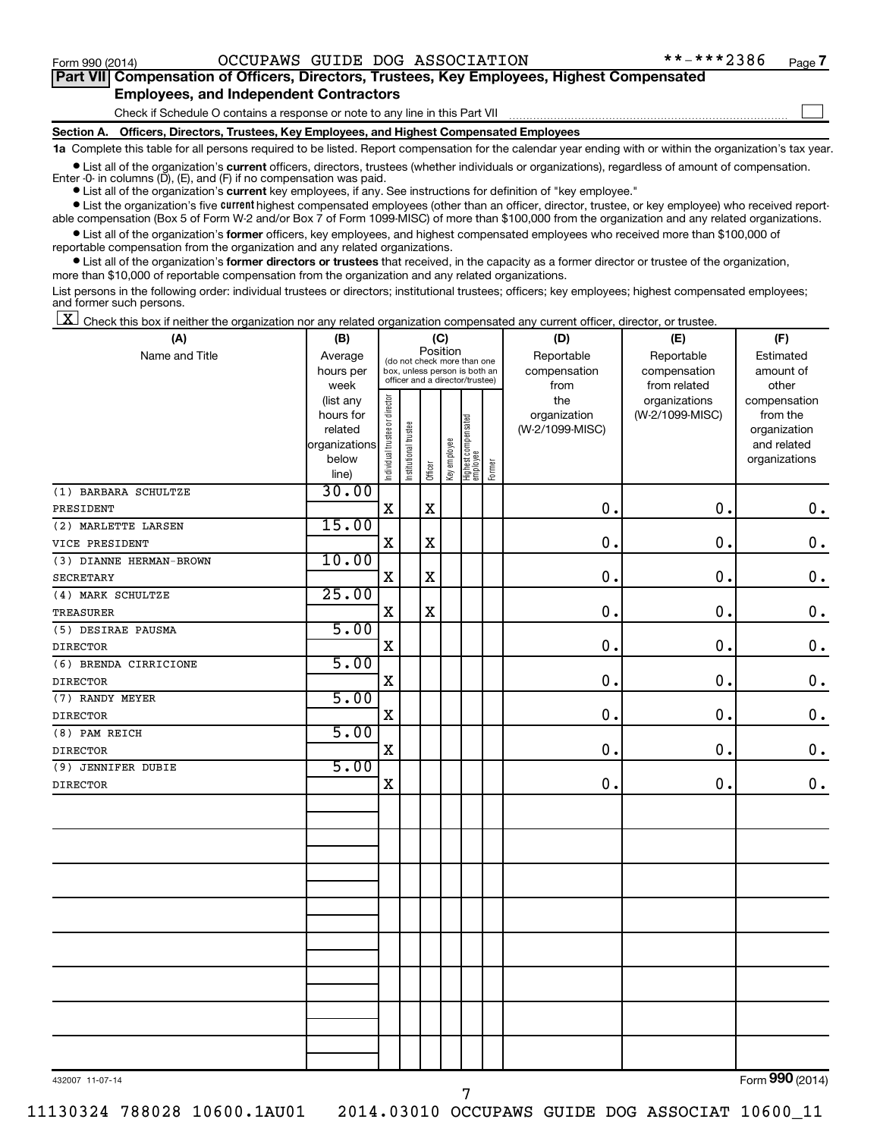$\Box$ 

| Part VII Compensation of Officers, Directors, Trustees, Key Employees, Highest Compensated |  |
|--------------------------------------------------------------------------------------------|--|
| <b>Employees, and Independent Contractors</b>                                              |  |

Check if Schedule O contains a response or note to any line in this Part VII

**Section A. Officers, Directors, Trustees, Key Employees, and Highest Compensated Employees**

**1a**  Complete this table for all persons required to be listed. Report compensation for the calendar year ending with or within the organization's tax year.

**•** List all of the organization's current officers, directors, trustees (whether individuals or organizations), regardless of amount of compensation.

**•** List all of the organization's **current** key employees, if any. See instructions for definition of "key employee." Enter -0- in columns  $(D)$ ,  $(E)$ , and  $(F)$  if no compensation was paid.

**•** List the organization's five current highest compensated employees (other than an officer, director, trustee, or key employee) who received report-

**•** List all of the organization's former officers, key employees, and highest compensated employees who received more than \$100,000 of able compensation (Box 5 of Form W-2 and/or Box 7 of Form 1099-MISC) of more than \$100,000 from the organization and any related organizations. reportable compensation from the organization and any related organizations.

**•** List all of the organization's former directors or trustees that received, in the capacity as a former director or trustee of the organization, more than \$10,000 of reportable compensation from the organization and any related organizations.

List persons in the following order: individual trustees or directors; institutional trustees; officers; key employees; highest compensated employees; and former such persons.

 $\boxed{\textbf{X}}$  Check this box if neither the organization nor any related organization compensated any current officer, director, or trustee.

| (A)                     | (C)<br>(B)             |                                         | (D)                                                              | (E)         | (F)          |                                 |           |                     |                                  |                          |
|-------------------------|------------------------|-----------------------------------------|------------------------------------------------------------------|-------------|--------------|---------------------------------|-----------|---------------------|----------------------------------|--------------------------|
| Name and Title          | Average                | Position<br>(do not check more than one |                                                                  | Reportable  | Reportable   | Estimated                       |           |                     |                                  |                          |
|                         | hours per              |                                         | box, unless person is both an<br>officer and a director/trustee) |             | compensation | compensation                    | amount of |                     |                                  |                          |
|                         | week                   |                                         |                                                                  |             |              |                                 |           | from                | from related                     | other                    |
|                         | (list any<br>hours for |                                         |                                                                  |             |              |                                 |           | the<br>organization | organizations<br>(W-2/1099-MISC) | compensation<br>from the |
|                         | related                |                                         |                                                                  |             |              |                                 |           | (W-2/1099-MISC)     |                                  | organization             |
|                         | organizations          |                                         |                                                                  |             |              |                                 |           |                     |                                  | and related              |
|                         | below                  | Individual trustee or director          | Institutional trustee                                            |             | Key employee | Highest compensated<br>employee |           |                     |                                  | organizations            |
|                         | line)                  |                                         |                                                                  | Officer     |              |                                 | Former    |                     |                                  |                          |
| (1) BARBARA SCHULTZE    | 30.00                  |                                         |                                                                  |             |              |                                 |           |                     |                                  |                          |
| PRESIDENT               |                        | X                                       |                                                                  | $\mathbf X$ |              |                                 |           | $\mathbf 0$ .       | $\mathbf 0$ .                    | $\mathbf 0$ .            |
| (2) MARLETTE LARSEN     | 15.00                  |                                         |                                                                  |             |              |                                 |           |                     |                                  |                          |
| VICE PRESIDENT          |                        | X                                       |                                                                  | $\mathbf X$ |              |                                 |           | $\mathbf 0$ .       | $\mathbf 0$ .                    | $\mathbf 0$ .            |
| (3) DIANNE HERMAN-BROWN | 10.00                  |                                         |                                                                  |             |              |                                 |           |                     |                                  |                          |
| <b>SECRETARY</b>        |                        | X                                       |                                                                  | $\mathbf X$ |              |                                 |           | 0.                  | $\mathbf 0$ .                    | $\mathbf 0$ .            |
| (4) MARK SCHULTZE       | 25.00                  |                                         |                                                                  |             |              |                                 |           |                     |                                  |                          |
| <b>TREASURER</b>        |                        | X                                       |                                                                  | $\mathbf X$ |              |                                 |           | $\mathbf 0$ .       | $\mathbf 0$ .                    | $\mathbf 0$ .            |
| (5) DESIRAE PAUSMA      | 5.00                   |                                         |                                                                  |             |              |                                 |           |                     |                                  |                          |
| <b>DIRECTOR</b>         |                        | X                                       |                                                                  |             |              |                                 |           | $\mathbf 0$ .       | 0.                               | $\boldsymbol{0}$ .       |
| (6) BRENDA CIRRICIONE   | 5.00                   |                                         |                                                                  |             |              |                                 |           |                     |                                  |                          |
| <b>DIRECTOR</b>         |                        | X                                       |                                                                  |             |              |                                 |           | $\mathbf 0$ .       | 0.                               | $\mathbf 0$ .            |
| (7) RANDY MEYER         | 5.00                   |                                         |                                                                  |             |              |                                 |           |                     |                                  |                          |
| <b>DIRECTOR</b>         |                        | X                                       |                                                                  |             |              |                                 |           | 0.                  | 0.                               | $\mathbf 0$ .            |
| (8) PAM REICH           | 5.00                   |                                         |                                                                  |             |              |                                 |           |                     |                                  |                          |
| <b>DIRECTOR</b>         |                        | X                                       |                                                                  |             |              |                                 |           | $\mathbf 0$ .       | 0.                               | $\mathbf 0$ .            |
| (9) JENNIFER DUBIE      | 5.00                   |                                         |                                                                  |             |              |                                 |           |                     |                                  |                          |
| <b>DIRECTOR</b>         |                        | $\mathbf X$                             |                                                                  |             |              |                                 |           | 0.                  | 0.                               | $0$ .                    |
|                         |                        |                                         |                                                                  |             |              |                                 |           |                     |                                  |                          |
|                         |                        |                                         |                                                                  |             |              |                                 |           |                     |                                  |                          |
|                         |                        |                                         |                                                                  |             |              |                                 |           |                     |                                  |                          |
|                         |                        |                                         |                                                                  |             |              |                                 |           |                     |                                  |                          |
|                         |                        |                                         |                                                                  |             |              |                                 |           |                     |                                  |                          |
|                         |                        |                                         |                                                                  |             |              |                                 |           |                     |                                  |                          |
|                         |                        |                                         |                                                                  |             |              |                                 |           |                     |                                  |                          |
|                         |                        |                                         |                                                                  |             |              |                                 |           |                     |                                  |                          |
|                         |                        |                                         |                                                                  |             |              |                                 |           |                     |                                  |                          |
|                         |                        |                                         |                                                                  |             |              |                                 |           |                     |                                  |                          |
|                         |                        |                                         |                                                                  |             |              |                                 |           |                     |                                  |                          |
|                         |                        |                                         |                                                                  |             |              |                                 |           |                     |                                  |                          |
|                         |                        |                                         |                                                                  |             |              |                                 |           |                     |                                  |                          |
|                         |                        |                                         |                                                                  |             |              |                                 |           |                     |                                  |                          |
|                         |                        |                                         |                                                                  |             |              |                                 |           |                     |                                  |                          |
|                         |                        |                                         |                                                                  |             |              |                                 |           |                     |                                  |                          |

432007 11-07-14

11130324 788028 10600.1AU01 2014.03010 OCCUPAWS GUIDE DOG ASSOCIAT 10600\_11

Form (2014) **990**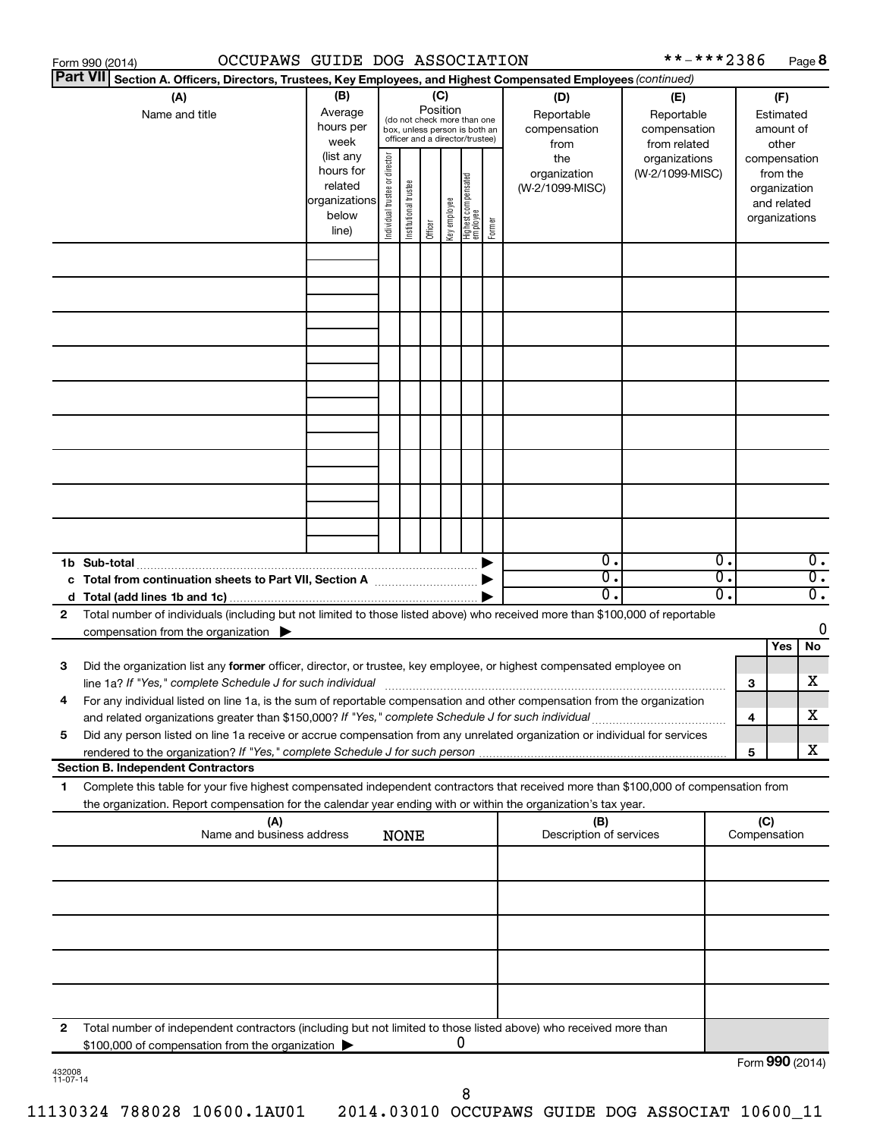|                 | OCCUPAWS GUIDE DOG ASSOCIATION<br>Form 990 (2014)                                                                                                                                                                                                      |                                                                      |                                |                       |                 |              |                                                                                                 |        |                                           | **-***2386                                        |          |                     | Page 8                                                                   |
|-----------------|--------------------------------------------------------------------------------------------------------------------------------------------------------------------------------------------------------------------------------------------------------|----------------------------------------------------------------------|--------------------------------|-----------------------|-----------------|--------------|-------------------------------------------------------------------------------------------------|--------|-------------------------------------------|---------------------------------------------------|----------|---------------------|--------------------------------------------------------------------------|
| <b>Part VII</b> | Section A. Officers, Directors, Trustees, Key Employees, and Highest Compensated Employees (continued)                                                                                                                                                 |                                                                      |                                |                       |                 |              |                                                                                                 |        |                                           |                                                   |          |                     |                                                                          |
|                 | (A)<br>Name and title                                                                                                                                                                                                                                  | (B)<br>Average<br>hours per<br>week                                  |                                |                       | (C)<br>Position |              | (do not check more than one<br>box, unless person is both an<br>officer and a director/trustee) |        | (D)<br>Reportable<br>compensation<br>from | (E)<br>Reportable<br>compensation<br>from related |          |                     | (F)<br>Estimated<br>amount of<br>other                                   |
|                 |                                                                                                                                                                                                                                                        | (list any<br>hours for<br>related<br>organizations<br>below<br>line) | Individual trustee or director | Institutional trustee | Officer         | Key employee | Highest compensated<br>  employee                                                               | Former | the<br>organization<br>(W-2/1099-MISC)    | organizations<br>(W-2/1099-MISC)                  |          |                     | compensation<br>from the<br>organization<br>and related<br>organizations |
|                 |                                                                                                                                                                                                                                                        |                                                                      |                                |                       |                 |              |                                                                                                 |        |                                           |                                                   |          |                     |                                                                          |
|                 |                                                                                                                                                                                                                                                        |                                                                      |                                |                       |                 |              |                                                                                                 |        |                                           |                                                   |          |                     |                                                                          |
|                 |                                                                                                                                                                                                                                                        |                                                                      |                                |                       |                 |              |                                                                                                 |        |                                           |                                                   |          |                     |                                                                          |
|                 |                                                                                                                                                                                                                                                        |                                                                      |                                |                       |                 |              |                                                                                                 |        |                                           |                                                   |          |                     |                                                                          |
|                 |                                                                                                                                                                                                                                                        |                                                                      |                                |                       |                 |              |                                                                                                 |        |                                           |                                                   |          |                     |                                                                          |
|                 |                                                                                                                                                                                                                                                        |                                                                      |                                |                       |                 |              |                                                                                                 |        |                                           |                                                   |          |                     |                                                                          |
|                 |                                                                                                                                                                                                                                                        |                                                                      |                                |                       |                 |              |                                                                                                 |        |                                           |                                                   |          |                     |                                                                          |
|                 | 1b Sub-total                                                                                                                                                                                                                                           |                                                                      |                                |                       |                 |              |                                                                                                 |        | $\overline{0}$ .                          |                                                   | 0.       |                     | $\overline{0}$ .                                                         |
|                 | c Total from continuation sheets to Part VII, Section A manufactured by                                                                                                                                                                                |                                                                      |                                |                       |                 |              |                                                                                                 |        | $\overline{0}$ .<br>$\overline{0}$ .      |                                                   | σ.<br>О. |                     | $\overline{0}$ .<br>$\overline{0}$ .                                     |
| 2               | Total number of individuals (including but not limited to those listed above) who received more than \$100,000 of reportable                                                                                                                           |                                                                      |                                |                       |                 |              |                                                                                                 |        |                                           |                                                   |          |                     |                                                                          |
|                 | compensation from the organization $\blacktriangleright$                                                                                                                                                                                               |                                                                      |                                |                       |                 |              |                                                                                                 |        |                                           |                                                   |          |                     | 0                                                                        |
|                 |                                                                                                                                                                                                                                                        |                                                                      |                                |                       |                 |              |                                                                                                 |        |                                           |                                                   |          |                     | Yes<br>No                                                                |
| 3               | Did the organization list any former officer, director, or trustee, key employee, or highest compensated employee on<br>line 1a? If "Yes," complete Schedule J for such individual manufactured content to the set of the set of the s                 |                                                                      |                                |                       |                 |              |                                                                                                 |        |                                           |                                                   |          | 3                   | х                                                                        |
|                 | For any individual listed on line 1a, is the sum of reportable compensation and other compensation from the organization<br>and related organizations greater than \$150,000? If "Yes," complete Schedule J for such individual                        |                                                                      |                                |                       |                 |              |                                                                                                 |        |                                           |                                                   |          | 4                   | х                                                                        |
| 5               | Did any person listed on line 1a receive or accrue compensation from any unrelated organization or individual for services                                                                                                                             |                                                                      |                                |                       |                 |              |                                                                                                 |        |                                           |                                                   |          |                     |                                                                          |
|                 | <b>Section B. Independent Contractors</b>                                                                                                                                                                                                              |                                                                      |                                |                       |                 |              |                                                                                                 |        |                                           |                                                   |          | 5                   | х                                                                        |
| 1.              | Complete this table for your five highest compensated independent contractors that received more than \$100,000 of compensation from<br>the organization. Report compensation for the calendar year ending with or within the organization's tax year. |                                                                      |                                |                       |                 |              |                                                                                                 |        |                                           |                                                   |          |                     |                                                                          |
|                 | (A)<br>Name and business address                                                                                                                                                                                                                       |                                                                      |                                | <b>NONE</b>           |                 |              |                                                                                                 |        | (B)<br>Description of services            |                                                   |          | (C)<br>Compensation |                                                                          |
|                 |                                                                                                                                                                                                                                                        |                                                                      |                                |                       |                 |              |                                                                                                 |        |                                           |                                                   |          |                     |                                                                          |
|                 |                                                                                                                                                                                                                                                        |                                                                      |                                |                       |                 |              |                                                                                                 |        |                                           |                                                   |          |                     |                                                                          |
|                 |                                                                                                                                                                                                                                                        |                                                                      |                                |                       |                 |              |                                                                                                 |        |                                           |                                                   |          |                     |                                                                          |
|                 |                                                                                                                                                                                                                                                        |                                                                      |                                |                       |                 |              |                                                                                                 |        |                                           |                                                   |          |                     |                                                                          |
| 2               | Total number of independent contractors (including but not limited to those listed above) who received more than<br>\$100,000 of compensation from the organization                                                                                    |                                                                      |                                |                       |                 |              | 0                                                                                               |        |                                           |                                                   |          |                     |                                                                          |
| 432008          |                                                                                                                                                                                                                                                        |                                                                      |                                |                       |                 |              |                                                                                                 |        |                                           |                                                   |          |                     | Form 990 (2014)                                                          |

432008 11-07-14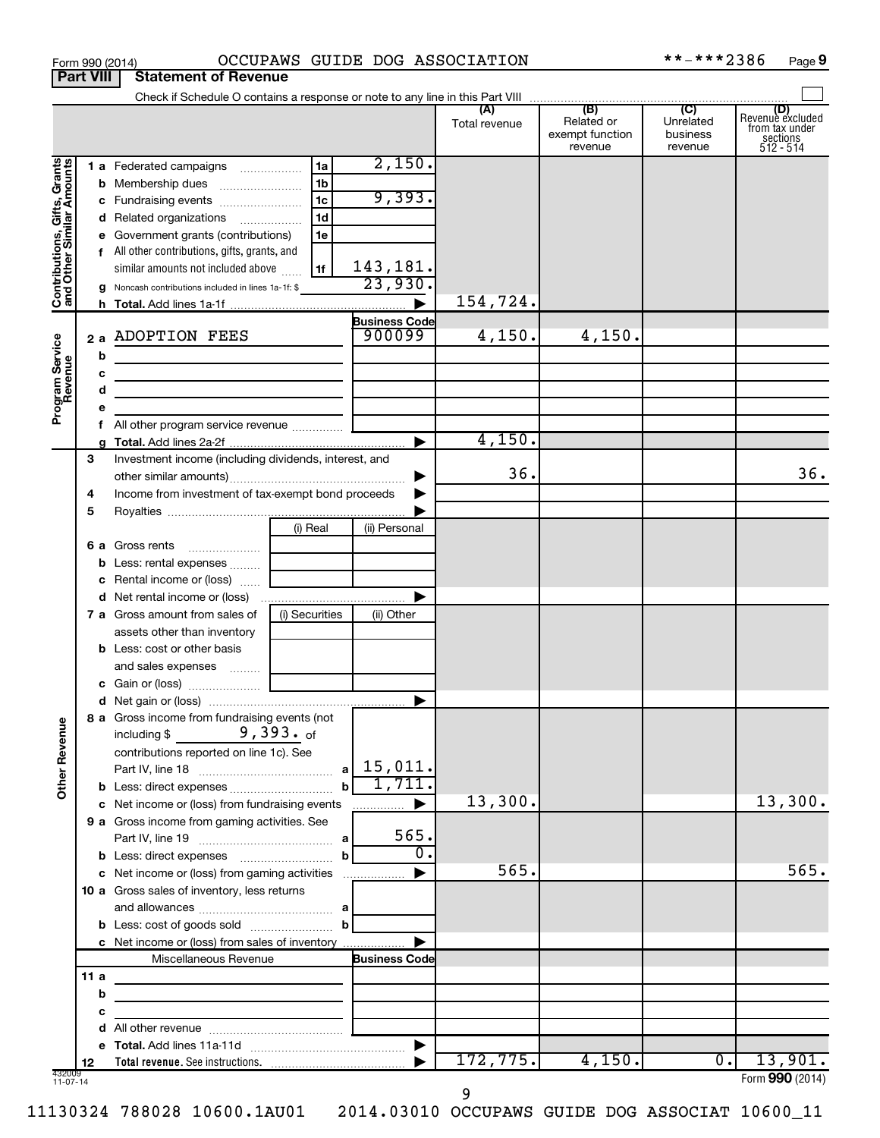|                                                           | <b>Part VIII</b> | <b>Statement of Revenue</b>                                                |                |                                |               |                                          |                                  |                                                                    |
|-----------------------------------------------------------|------------------|----------------------------------------------------------------------------|----------------|--------------------------------|---------------|------------------------------------------|----------------------------------|--------------------------------------------------------------------|
|                                                           |                  |                                                                            |                |                                |               |                                          |                                  |                                                                    |
|                                                           |                  |                                                                            |                |                                | Total revenue | Related or<br>exempt function<br>revenue | Unrelated<br>business<br>revenue | (D)<br>Revenue excluded<br>trom tax under<br>sections<br>512 - 514 |
| Contributions, Gifts, Grants<br>and Other Similar Amounts |                  | 1 a Federated campaigns                                                    | 1a             | 2,150.                         |               |                                          |                                  |                                                                    |
|                                                           | b                |                                                                            | 1b             |                                |               |                                          |                                  |                                                                    |
|                                                           | с                | Fundraising events                                                         | 1 <sub>c</sub> | 9,393.                         |               |                                          |                                  |                                                                    |
|                                                           | d                | Related organizations                                                      | 1 <sub>d</sub> |                                |               |                                          |                                  |                                                                    |
|                                                           |                  | Government grants (contributions)                                          | 1e             |                                |               |                                          |                                  |                                                                    |
|                                                           |                  | f All other contributions, gifts, grants, and                              |                |                                |               |                                          |                                  |                                                                    |
|                                                           |                  | similar amounts not included above                                         | 1f             | $\frac{143,181}{23,930}$       |               |                                          |                                  |                                                                    |
|                                                           | g                | Noncash contributions included in lines 1a-1f: \$                          |                |                                |               |                                          |                                  |                                                                    |
|                                                           | h.               |                                                                            |                |                                | 154,724.      |                                          |                                  |                                                                    |
|                                                           |                  | 2 a ADOPTION FEES                                                          |                | <b>Business Code</b><br>900099 | 4,150.        | 4,150.                                   |                                  |                                                                    |
|                                                           |                  |                                                                            |                |                                |               |                                          |                                  |                                                                    |
|                                                           | b                |                                                                            |                |                                |               |                                          |                                  |                                                                    |
|                                                           | c<br>d           | the control of the control of the control of the control of the control of |                |                                |               |                                          |                                  |                                                                    |
| Program Service<br>Revenue                                | е                | <u> 1989 - Johann Barbara, martin amerikan basar da</u>                    |                |                                |               |                                          |                                  |                                                                    |
|                                                           | f                |                                                                            |                |                                |               |                                          |                                  |                                                                    |
|                                                           |                  |                                                                            |                |                                | 4,150.        |                                          |                                  |                                                                    |
|                                                           | 3                | Investment income (including dividends, interest, and                      |                |                                |               |                                          |                                  |                                                                    |
|                                                           |                  |                                                                            |                |                                | 36.           |                                          |                                  | 36.                                                                |
|                                                           | 4                | Income from investment of tax-exempt bond proceeds                         |                |                                |               |                                          |                                  |                                                                    |
|                                                           | 5                |                                                                            |                |                                |               |                                          |                                  |                                                                    |
|                                                           |                  |                                                                            | (i) Real       | (ii) Personal                  |               |                                          |                                  |                                                                    |
|                                                           |                  | 6 a Gross rents                                                            |                |                                |               |                                          |                                  |                                                                    |
|                                                           | b                | Less: rental expenses                                                      |                |                                |               |                                          |                                  |                                                                    |
|                                                           | с                | Rental income or (loss)                                                    |                |                                |               |                                          |                                  |                                                                    |
|                                                           | d                |                                                                            |                |                                |               |                                          |                                  |                                                                    |
|                                                           |                  | 7 a Gross amount from sales of                                             | (i) Securities | (ii) Other                     |               |                                          |                                  |                                                                    |
|                                                           |                  | assets other than inventory                                                |                |                                |               |                                          |                                  |                                                                    |
|                                                           |                  | <b>b</b> Less: cost or other basis                                         |                |                                |               |                                          |                                  |                                                                    |
|                                                           |                  | and sales expenses                                                         |                |                                |               |                                          |                                  |                                                                    |
|                                                           |                  |                                                                            |                |                                |               |                                          |                                  |                                                                    |
|                                                           |                  | 8 a Gross income from fundraising events (not                              |                |                                |               |                                          |                                  |                                                                    |
| <b>Other Revenue</b>                                      |                  | $9,393.$ of<br>including \$                                                |                |                                |               |                                          |                                  |                                                                    |
|                                                           |                  | contributions reported on line 1c). See                                    |                |                                |               |                                          |                                  |                                                                    |
|                                                           |                  |                                                                            |                | 15,011.                        |               |                                          |                                  |                                                                    |
|                                                           |                  |                                                                            | $\mathbf b$    | 1,711.                         |               |                                          |                                  |                                                                    |
|                                                           |                  | c Net income or (loss) from fundraising events                             |                | .                              | 13,300.       |                                          |                                  | 13,300.                                                            |
|                                                           |                  | 9 a Gross income from gaming activities. See                               |                |                                |               |                                          |                                  |                                                                    |
|                                                           |                  |                                                                            |                | 565.                           |               |                                          |                                  |                                                                    |
|                                                           |                  |                                                                            | b              | $\mathbf{0}$ .                 |               |                                          |                                  |                                                                    |
|                                                           |                  | c Net income or (loss) from gaming activities                              |                |                                | 565.          |                                          |                                  | 565.                                                               |
|                                                           |                  | 10 a Gross sales of inventory, less returns                                |                |                                |               |                                          |                                  |                                                                    |
|                                                           |                  |                                                                            |                |                                |               |                                          |                                  |                                                                    |
|                                                           |                  |                                                                            |                |                                |               |                                          |                                  |                                                                    |
|                                                           |                  | c Net income or (loss) from sales of inventory<br>Miscellaneous Revenue    |                | <b>Business Code</b>           |               |                                          |                                  |                                                                    |
|                                                           | 11a              |                                                                            |                |                                |               |                                          |                                  |                                                                    |
|                                                           | b                |                                                                            |                |                                |               |                                          |                                  |                                                                    |
|                                                           | с                | the control of the control of the control of the                           |                |                                |               |                                          |                                  |                                                                    |
|                                                           | d                |                                                                            |                |                                |               |                                          |                                  |                                                                    |
|                                                           | е                |                                                                            |                |                                |               |                                          |                                  |                                                                    |
|                                                           | 12               |                                                                            |                |                                | 172,775.      | 4,150.                                   | $0 \cdot$                        | 13,901.                                                            |
| 432009<br>11-07-14                                        |                  |                                                                            |                |                                |               |                                          |                                  | Form 990 (2014)                                                    |

Form 990 (2014) OCCUPAWS GUIDE DOG ASSOCIATION \*\*-\*\*\*2386 Page

 $***$  -\*\*\* 2386 Page 9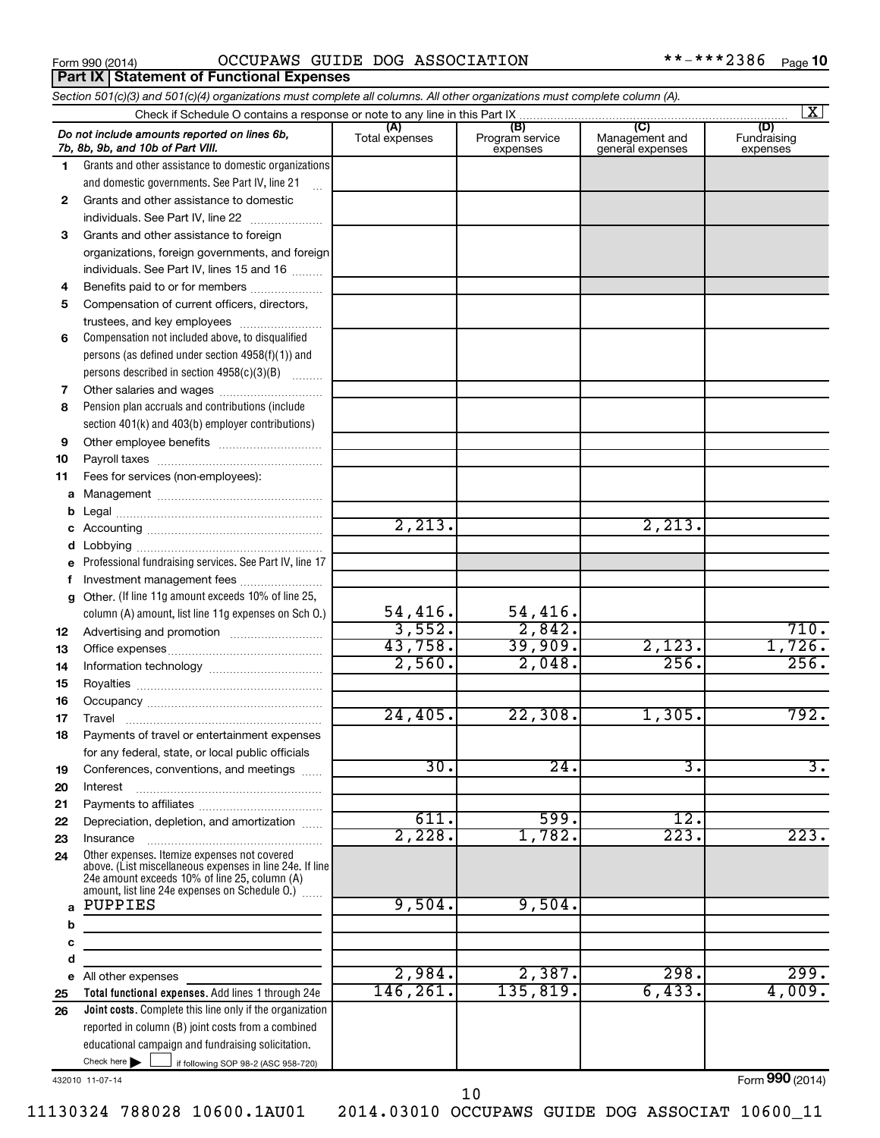**Part IX Statement of Functional Expenses**

Form 990 (2014) OCCUPAWS GUIDE DOG ASSOCIATION \*\*-\*\*\*2386 <sub>Page</sub>

|          | Section 501(c)(3) and 501(c)(4) organizations must complete all columns. All other organizations must complete column (A).                                                                                  |                |                             |                                    | $\mathbf{X}$            |
|----------|-------------------------------------------------------------------------------------------------------------------------------------------------------------------------------------------------------------|----------------|-----------------------------|------------------------------------|-------------------------|
|          | Check if Schedule O contains a response or note to any line in this Part IX                                                                                                                                 | (A)            | (B)                         | (C)                                | (D)                     |
|          | Do not include amounts reported on lines 6b,<br>7b, 8b, 9b, and 10b of Part VIII.                                                                                                                           | Total expenses | Program service<br>expenses | Management and<br>general expenses | Fundraising<br>expenses |
| 1.       | Grants and other assistance to domestic organizations                                                                                                                                                       |                |                             |                                    |                         |
|          | and domestic governments. See Part IV, line 21                                                                                                                                                              |                |                             |                                    |                         |
| 2        | Grants and other assistance to domestic                                                                                                                                                                     |                |                             |                                    |                         |
|          | individuals. See Part IV, line 22<br>$\overline{\phantom{a}}$                                                                                                                                               |                |                             |                                    |                         |
| 3        | Grants and other assistance to foreign                                                                                                                                                                      |                |                             |                                    |                         |
|          | organizations, foreign governments, and foreign                                                                                                                                                             |                |                             |                                    |                         |
|          | individuals. See Part IV, lines 15 and 16                                                                                                                                                                   |                |                             |                                    |                         |
| 4        | Benefits paid to or for members                                                                                                                                                                             |                |                             |                                    |                         |
| 5        | Compensation of current officers, directors,                                                                                                                                                                |                |                             |                                    |                         |
|          | trustees, and key employees                                                                                                                                                                                 |                |                             |                                    |                         |
| 6        | Compensation not included above, to disqualified                                                                                                                                                            |                |                             |                                    |                         |
|          | persons (as defined under section 4958(f)(1)) and                                                                                                                                                           |                |                             |                                    |                         |
|          | persons described in section 4958(c)(3)(B)                                                                                                                                                                  |                |                             |                                    |                         |
| 7        |                                                                                                                                                                                                             |                |                             |                                    |                         |
| 8        | Pension plan accruals and contributions (include                                                                                                                                                            |                |                             |                                    |                         |
|          | section 401(k) and 403(b) employer contributions)                                                                                                                                                           |                |                             |                                    |                         |
| 9        |                                                                                                                                                                                                             |                |                             |                                    |                         |
| 10       |                                                                                                                                                                                                             |                |                             |                                    |                         |
| 11       | Fees for services (non-employees):                                                                                                                                                                          |                |                             |                                    |                         |
| а        |                                                                                                                                                                                                             |                |                             |                                    |                         |
| b        |                                                                                                                                                                                                             | 2,213.         |                             | 2,213.                             |                         |
| с        |                                                                                                                                                                                                             |                |                             |                                    |                         |
| d        |                                                                                                                                                                                                             |                |                             |                                    |                         |
|          | Professional fundraising services. See Part IV, line 17                                                                                                                                                     |                |                             |                                    |                         |
| f        | Investment management fees<br>Other. (If line 11g amount exceeds 10% of line 25,                                                                                                                            |                |                             |                                    |                         |
| g        | column (A) amount, list line 11g expenses on Sch 0.)                                                                                                                                                        | 54,416.        | 54,416.                     |                                    |                         |
|          |                                                                                                                                                                                                             | 3,552.         | 2,842.                      |                                    | 710.                    |
| 12       |                                                                                                                                                                                                             | 43,758.        | 39,909.                     | 2,123.                             | 1,726.                  |
| 13<br>14 |                                                                                                                                                                                                             | 2,560.         | 2,048.                      | 256.                               | 256.                    |
| 15       |                                                                                                                                                                                                             |                |                             |                                    |                         |
| 16       |                                                                                                                                                                                                             |                |                             |                                    |                         |
| 17       |                                                                                                                                                                                                             | 24,405.        | 22,308.                     | 1,305.                             | 792.                    |
| 18       | Payments of travel or entertainment expenses                                                                                                                                                                |                |                             |                                    |                         |
|          | for any federal, state, or local public officials                                                                                                                                                           |                |                             |                                    |                         |
| 19       | Conferences, conventions, and meetings                                                                                                                                                                      | 30.            | 24.                         | з.                                 | з.                      |
| 20       | Interest                                                                                                                                                                                                    |                |                             |                                    |                         |
| 21       |                                                                                                                                                                                                             |                |                             |                                    |                         |
| 22       | Depreciation, depletion, and amortization                                                                                                                                                                   | 611.           | 599.                        | 12.                                |                         |
| 23       | Insurance                                                                                                                                                                                                   | 2,228.         | 1,782.                      | 223.                               | 223.                    |
| 24       | Other expenses. Itemize expenses not covered<br>above. (List miscellaneous expenses in line 24e. If line<br>24e amount exceeds 10% of line 25, column (A)<br>amount, list line 24e expenses on Schedule O.) |                |                             |                                    |                         |
| a        | PUPPIES                                                                                                                                                                                                     | 9,504.         | 9,504.                      |                                    |                         |
| b        |                                                                                                                                                                                                             |                |                             |                                    |                         |
| с        |                                                                                                                                                                                                             |                |                             |                                    |                         |
| d        |                                                                                                                                                                                                             |                |                             |                                    |                         |
|          | e All other expenses                                                                                                                                                                                        | 2,984.         | 2,387.                      | 298.                               | 299.                    |
| 25       | Total functional expenses. Add lines 1 through 24e                                                                                                                                                          | 146,261.       | 135,819.                    | 6,433.                             | 4,009.                  |
| 26       | Joint costs. Complete this line only if the organization                                                                                                                                                    |                |                             |                                    |                         |
|          | reported in column (B) joint costs from a combined                                                                                                                                                          |                |                             |                                    |                         |
|          | educational campaign and fundraising solicitation.                                                                                                                                                          |                |                             |                                    |                         |
|          | Check here $\blacktriangleright$<br>if following SOP 98-2 (ASC 958-720)                                                                                                                                     |                |                             |                                    |                         |

432010 11-07-14

Form (2014) **990**

10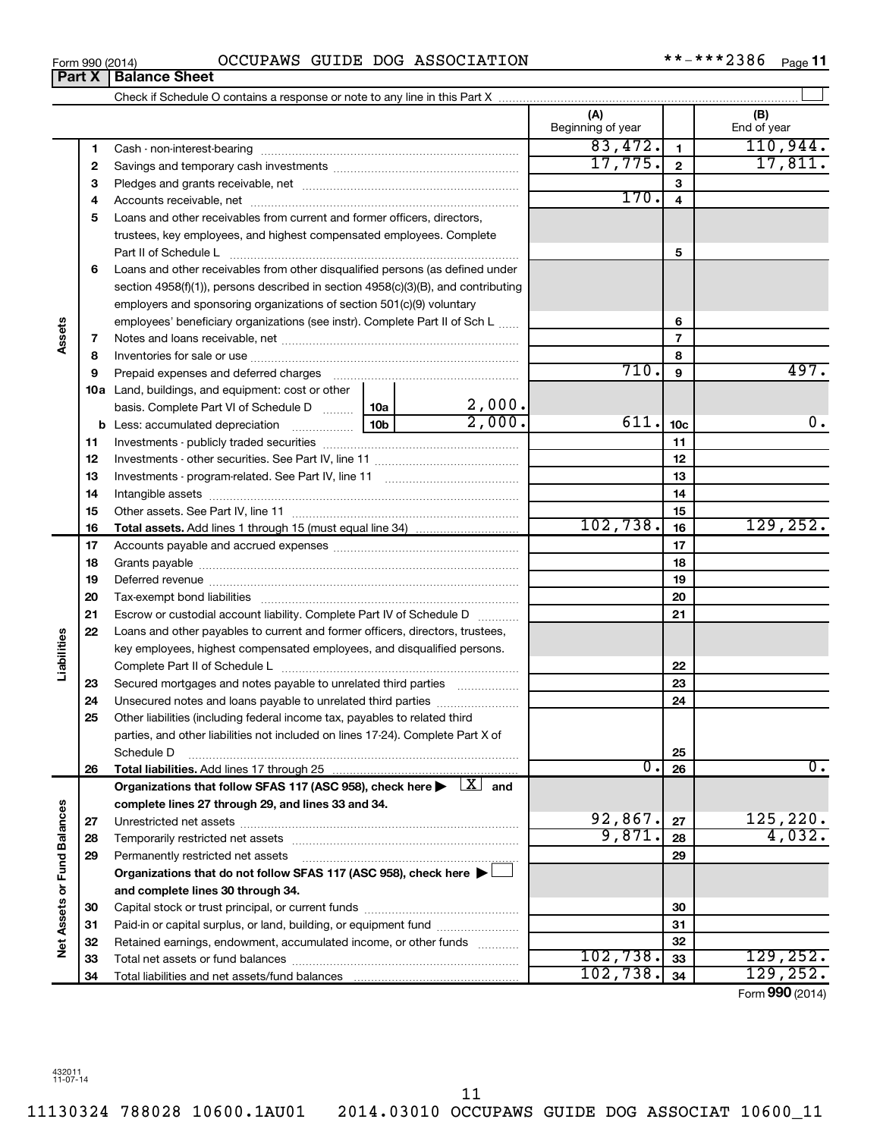11130324 788028 10600.1AU01 2014.03010 OCCUPAWS GUIDE DOG ASSOCIAT 10600\_11

### Form 990 (2014) OCCUPAWS GUIDE DOG ASSOCIATION \*\*-\*\*\*\*2386 Page

 $***$   $***$  2386 Page 11

|                      | Part X | <b>Balance Sheet</b>                                                                                                       |      |                  |                          |              |                     |
|----------------------|--------|----------------------------------------------------------------------------------------------------------------------------|------|------------------|--------------------------|--------------|---------------------|
|                      |        |                                                                                                                            |      |                  |                          |              |                     |
|                      |        |                                                                                                                            |      |                  | (A)<br>Beginning of year |              | (B)<br>End of year  |
|                      | 1      |                                                                                                                            |      |                  | 83,472.                  | $\mathbf{1}$ | 110,944.            |
|                      | 2      |                                                                                                                            |      |                  | 17,775.                  | $\mathbf{2}$ | 17,811.             |
|                      | 3      |                                                                                                                            |      |                  |                          | 3            |                     |
|                      | 4      |                                                                                                                            |      | 170.             | 4                        |              |                     |
|                      | 5      | Loans and other receivables from current and former officers, directors,                                                   |      |                  |                          |              |                     |
|                      |        | trustees, key employees, and highest compensated employees. Complete                                                       |      |                  |                          |              |                     |
|                      |        | Part II of Schedule L                                                                                                      |      |                  |                          | 5            |                     |
|                      | 6      | Loans and other receivables from other disqualified persons (as defined under                                              |      |                  |                          |              |                     |
|                      |        | section $4958(f)(1)$ , persons described in section $4958(c)(3)(B)$ , and contributing                                     |      |                  |                          |              |                     |
|                      |        | employers and sponsoring organizations of section 501(c)(9) voluntary                                                      |      |                  |                          |              |                     |
|                      |        | employees' beneficiary organizations (see instr). Complete Part II of Sch L                                                |      | 6                |                          |              |                     |
| Assets               | 7      |                                                                                                                            |      | 7                |                          |              |                     |
|                      | 8      |                                                                                                                            |      |                  |                          | 8            |                     |
|                      | 9      |                                                                                                                            |      |                  | $\overline{710}$ .       | 9            | 497.                |
|                      |        | <b>10a</b> Land, buildings, and equipment: cost or other                                                                   |      |                  |                          |              |                     |
|                      |        | basis. Complete Part VI of Schedule D  10a                                                                                 |      | 2,000.<br>2,000. |                          |              |                     |
|                      |        |                                                                                                                            | 611. | 10 <sub>c</sub>  | 0.                       |              |                     |
|                      | 11     |                                                                                                                            |      | 11               |                          |              |                     |
|                      | 12     |                                                                                                                            |      | 12               |                          |              |                     |
|                      | 13     |                                                                                                                            |      |                  |                          | 13           |                     |
|                      | 14     |                                                                                                                            |      |                  |                          | 14           |                     |
|                      | 15     |                                                                                                                            |      |                  |                          | 15           |                     |
|                      | 16     | <b>Total assets.</b> Add lines 1 through 15 (must equal line 34) <i></i>                                                   |      |                  | 102, 738.                | 16           | 129, 252.           |
|                      | 17     |                                                                                                                            |      |                  | 17                       |              |                     |
|                      | 18     |                                                                                                                            |      |                  |                          | 18           |                     |
|                      | 19     |                                                                                                                            |      |                  |                          | 19           |                     |
|                      | 20     |                                                                                                                            |      |                  |                          | 20           |                     |
|                      | 21     | Escrow or custodial account liability. Complete Part IV of Schedule D                                                      |      |                  |                          | 21           |                     |
|                      | 22     | Loans and other payables to current and former officers, directors, trustees,                                              |      |                  |                          |              |                     |
|                      |        | key employees, highest compensated employees, and disqualified persons.                                                    |      |                  |                          |              |                     |
| Liabilities          |        |                                                                                                                            |      |                  |                          | 22           |                     |
|                      | 23     | Secured mortgages and notes payable to unrelated third parties                                                             |      |                  |                          | 23           |                     |
|                      | 24     | Unsecured notes and loans payable to unrelated third parties                                                               |      |                  |                          | 24           |                     |
|                      | 25     | Other liabilities (including federal income tax, payables to related third                                                 |      |                  |                          |              |                     |
|                      |        | parties, and other liabilities not included on lines 17-24). Complete Part X of                                            |      |                  |                          |              |                     |
|                      |        | Schedule D                                                                                                                 |      |                  |                          | 25           |                     |
|                      | 26     | Total liabilities. Add lines 17 through 25                                                                                 |      |                  | 0.                       | 26           | 0.                  |
|                      |        | Organizations that follow SFAS 117 (ASC 958), check here $\blacktriangleright \begin{array}{c} \perp X \\ \end{array}$ and |      |                  |                          |              |                     |
|                      |        | complete lines 27 through 29, and lines 33 and 34.                                                                         |      |                  |                          |              |                     |
|                      | 27     |                                                                                                                            |      |                  | 92,867.<br>9,871.        | 27           | 125, 220.<br>4,032. |
|                      | 28     |                                                                                                                            |      |                  |                          | 28           |                     |
| <b>Fund Balances</b> | 29     | Permanently restricted net assets                                                                                          |      |                  |                          | 29           |                     |
|                      |        | Organizations that do not follow SFAS 117 (ASC 958), check here >                                                          |      |                  |                          |              |                     |
| Net Assets or        |        | and complete lines 30 through 34.                                                                                          |      |                  |                          |              |                     |
|                      | 30     |                                                                                                                            |      |                  |                          | 30           |                     |
|                      | 31     | Paid-in or capital surplus, or land, building, or equipment fund                                                           |      |                  |                          | 31           |                     |
|                      | 32     | Retained earnings, endowment, accumulated income, or other funds                                                           |      |                  | 102,738.                 | 32           | 129, 252.           |
|                      | 33     |                                                                                                                            |      |                  | 102,738.                 | 33<br>34     | 129,252.            |
|                      | 34     |                                                                                                                            |      |                  |                          |              |                     |

Form (2014) **990**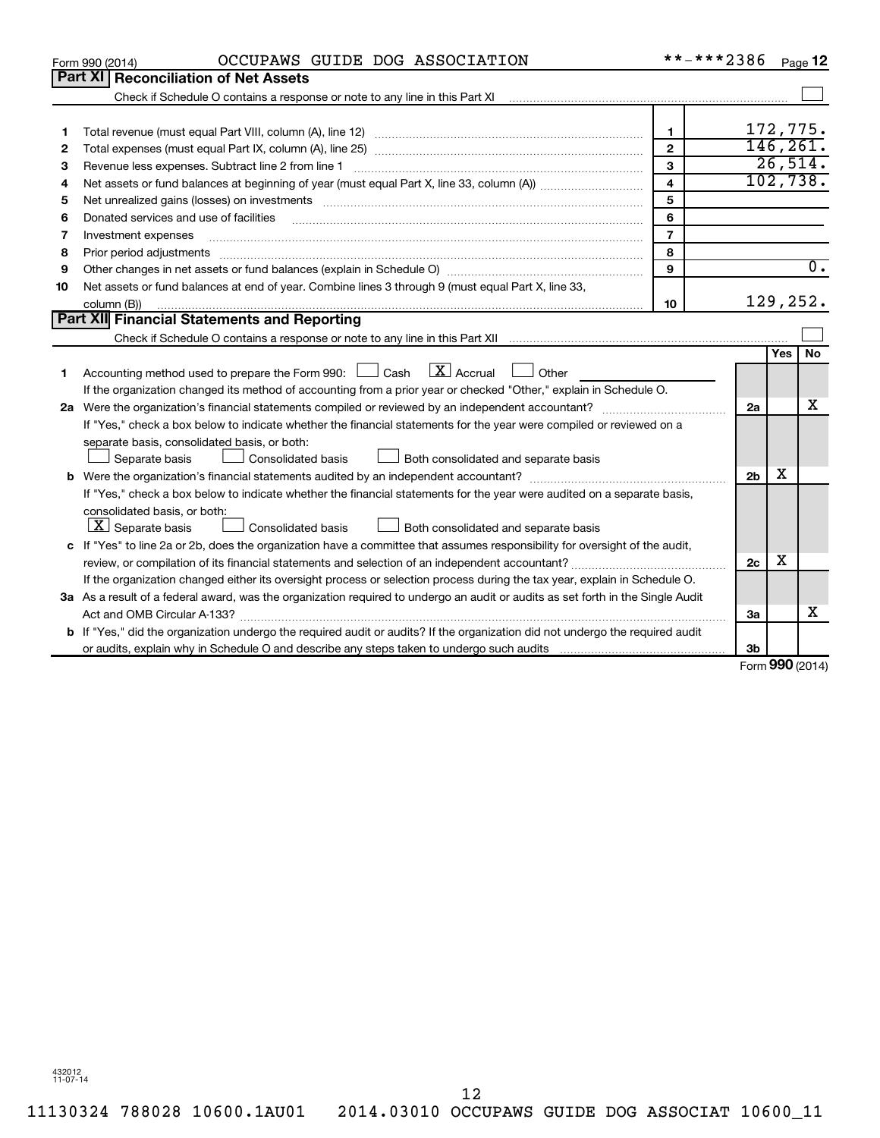|    | OCCUPAWS GUIDE DOG ASSOCIATION<br>Form 990 (2014)                                                                                    | **-***2386              |                   |     | Page 12          |
|----|--------------------------------------------------------------------------------------------------------------------------------------|-------------------------|-------------------|-----|------------------|
|    | Part XI Reconciliation of Net Assets                                                                                                 |                         |                   |     |                  |
|    |                                                                                                                                      |                         |                   |     |                  |
|    |                                                                                                                                      |                         |                   |     |                  |
| 1  |                                                                                                                                      | $\mathbf{1}$            |                   |     | 172,775.         |
| 2  |                                                                                                                                      | $\overline{2}$          |                   |     | 146, 261.        |
| з  |                                                                                                                                      | 3                       |                   |     | 26,514.          |
| 4  |                                                                                                                                      | $\overline{\mathbf{4}}$ |                   |     | 102,738.         |
| 5  |                                                                                                                                      | 5                       |                   |     |                  |
| 6  | Donated services and use of facilities                                                                                               | 6                       |                   |     |                  |
| 7  | Investment expenses                                                                                                                  | $\overline{7}$          |                   |     |                  |
| 8  | Prior period adjustments                                                                                                             | 8                       |                   |     |                  |
| 9  |                                                                                                                                      | 9                       |                   |     | $\overline{0}$ . |
| 10 | Net assets or fund balances at end of year. Combine lines 3 through 9 (must equal Part X, line 33,                                   |                         |                   |     |                  |
|    | column (B))                                                                                                                          | 10                      |                   |     | 129,252.         |
|    | Part XII Financial Statements and Reporting                                                                                          |                         |                   |     |                  |
|    |                                                                                                                                      |                         |                   |     |                  |
|    |                                                                                                                                      |                         |                   | Yes | No               |
| 1  | $\mathbf{X}$ Accrual<br>Accounting method used to prepare the Form 990: [130] Cash<br>Other                                          |                         |                   |     |                  |
|    | If the organization changed its method of accounting from a prior year or checked "Other," explain in Schedule O.                    |                         |                   |     |                  |
|    |                                                                                                                                      |                         | 2a                |     | x                |
|    | If "Yes," check a box below to indicate whether the financial statements for the year were compiled or reviewed on a                 |                         |                   |     |                  |
|    | separate basis, consolidated basis, or both:                                                                                         |                         |                   |     |                  |
|    | Consolidated basis<br>Both consolidated and separate basis<br>Separate basis                                                         |                         |                   |     |                  |
|    |                                                                                                                                      |                         | 2 <sub>b</sub>    | х   |                  |
|    | If "Yes," check a box below to indicate whether the financial statements for the year were audited on a separate basis,              |                         |                   |     |                  |
|    | consolidated basis, or both:                                                                                                         |                         |                   |     |                  |
|    | $\lfloor x \rfloor$ Separate basis<br>Consolidated basis<br>Both consolidated and separate basis                                     |                         |                   |     |                  |
|    | c If "Yes" to line 2a or 2b, does the organization have a committee that assumes responsibility for oversight of the audit,          |                         |                   |     |                  |
|    |                                                                                                                                      |                         | 2c                | х   |                  |
|    | If the organization changed either its oversight process or selection process during the tax year, explain in Schedule O.            |                         |                   |     |                  |
|    | 3a As a result of a federal award, was the organization required to undergo an audit or audits as set forth in the Single Audit      |                         |                   |     |                  |
|    |                                                                                                                                      |                         | 3a                |     | x                |
|    | <b>b</b> If "Yes," did the organization undergo the required audit or audits? If the organization did not undergo the required audit |                         |                   |     |                  |
|    |                                                                                                                                      |                         | 3 <sub>b</sub>    |     |                  |
|    |                                                                                                                                      |                         | $Form$ 990 (2014) |     |                  |

Form (2014) **990**

432012 11-07-14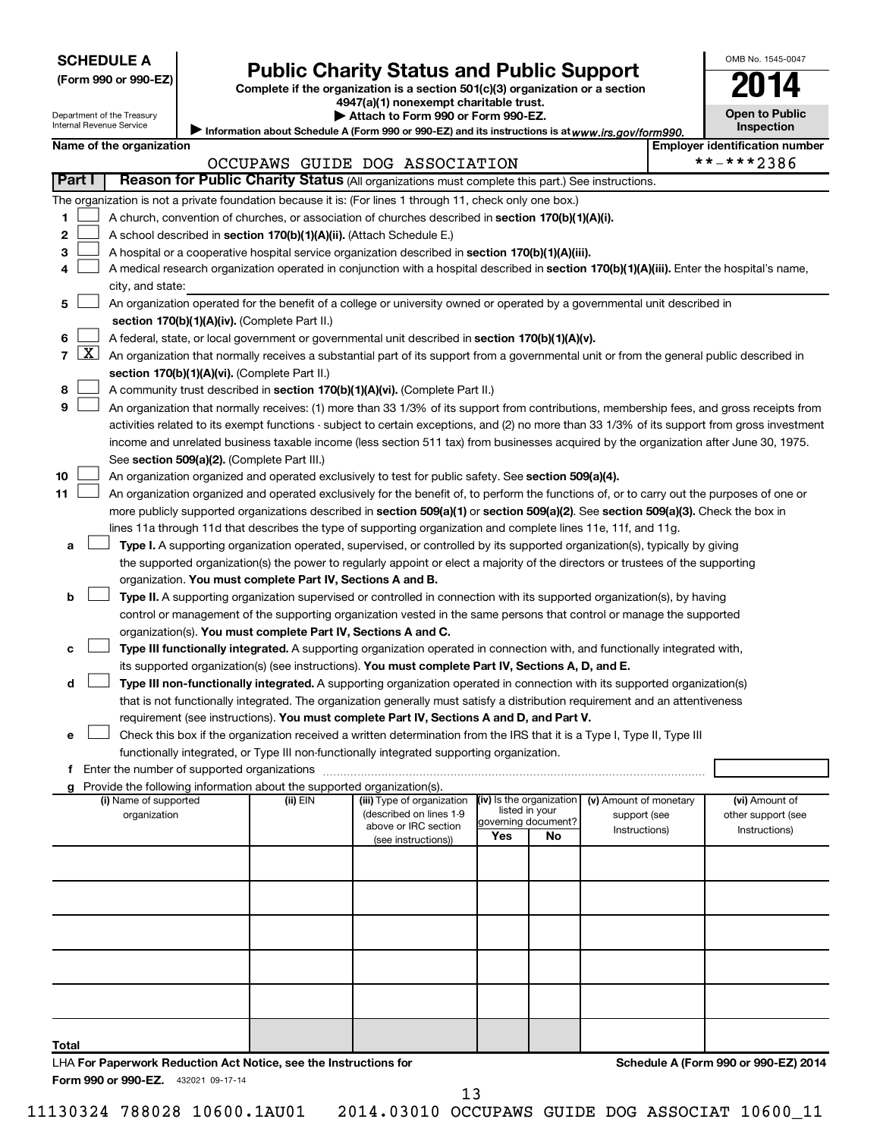| <b>SCHEDULE A</b> |  |
|-------------------|--|
|-------------------|--|

Department of the Treasury Internal Revenue Service

# Form 990 or 990-EZ) **Public Charity Status and Public Support**<br>
Complete if the organization is a section 501(c)(3) organization or a section<br> **2014**

**4947(a)(1) nonexempt charitable trust. | Attach to Form 990 or Form 990-EZ.** 

| U                                          |  |
|--------------------------------------------|--|
| <b>Open to Public</b><br><b>Inspection</b> |  |

OMB No. 1545-0047

Information about Schedule A (Form 990 or 990-EZ) and its instructions is at www.irs.gov/form990.

|        | Name of the organization                                                                                                                          |                             | <b>Employer identification number</b> |
|--------|---------------------------------------------------------------------------------------------------------------------------------------------------|-----------------------------|---------------------------------------|
|        | OCCUPAWS GUIDE DOG ASSOCIATION                                                                                                                    |                             | **-***2386                            |
| Part I | Reason for Public Charity Status (All organizations must complete this part.) See instructions.                                                   |                             |                                       |
|        | The organization is not a private foundation because it is: (For lines 1 through 11, check only one box.)                                         |                             |                                       |
| 1.     | A church, convention of churches, or association of churches described in section 170(b)(1)(A)(i).                                                |                             |                                       |
| 2      | A school described in section 170(b)(1)(A)(ii). (Attach Schedule E.)                                                                              |                             |                                       |
| 3      | A hospital or a cooperative hospital service organization described in section 170(b)(1)(A)(iii).                                                 |                             |                                       |
|        | A medical research organization operated in conjunction with a hospital described in section 170(b)(1)(A)(iii). Enter the hospital's name,        |                             |                                       |
|        | city, and state:                                                                                                                                  |                             |                                       |
| 5      | An organization operated for the benefit of a college or university owned or operated by a governmental unit described in                         |                             |                                       |
|        | section 170(b)(1)(A)(iv). (Complete Part II.)                                                                                                     |                             |                                       |
| 6      | A federal, state, or local government or governmental unit described in section 170(b)(1)(A)(v).                                                  |                             |                                       |
|        | 7 $ X $ An organization that normally receives a substantial part of its support from a governmental unit or from the general public described in |                             |                                       |
|        | section 170(b)(1)(A)(vi). (Complete Part II.)                                                                                                     |                             |                                       |
| 8      | A community trust described in section 170(b)(1)(A)(vi). (Complete Part II.)                                                                      |                             |                                       |
| 9      | An organization that normally receives: (1) more than 33 1/3% of its support from contributions, membership fees, and gross receipts from         |                             |                                       |
|        | activities related to its exempt functions - subject to certain exceptions, and (2) no more than 33 1/3% of its support from gross investment     |                             |                                       |
|        | income and unrelated business taxable income (less section 511 tax) from businesses acquired by the organization after June 30, 1975.             |                             |                                       |
|        | See section 509(a)(2). (Complete Part III.)                                                                                                       |                             |                                       |
| 10     | An organization organized and operated exclusively to test for public safety. See section 509(a)(4).                                              |                             |                                       |
| 11     | An organization organized and operated exclusively for the benefit of, to perform the functions of, or to carry out the purposes of one or        |                             |                                       |
|        | more publicly supported organizations described in section 509(a)(1) or section 509(a)(2). See section 509(a)(3). Check the box in                |                             |                                       |
|        | lines 11a through 11d that describes the type of supporting organization and complete lines 11e, 11f, and 11g.                                    |                             |                                       |
| a      | <b>Type I.</b> A supporting organization operated, supervised, or controlled by its supported organization(s), typically by giving                |                             |                                       |
|        | the supported organization(s) the power to regularly appoint or elect a majority of the directors or trustees of the supporting                   |                             |                                       |
|        | organization. You must complete Part IV, Sections A and B.                                                                                        |                             |                                       |
| b      | Type II. A supporting organization supervised or controlled in connection with its supported organization(s), by having                           |                             |                                       |
|        | control or management of the supporting organization vested in the same persons that control or manage the supported                              |                             |                                       |
|        | organization(s). You must complete Part IV, Sections A and C.                                                                                     |                             |                                       |
| с      | Type III functionally integrated. A supporting organization operated in connection with, and functionally integrated with,                        |                             |                                       |
|        | its supported organization(s) (see instructions). You must complete Part IV, Sections A, D, and E.                                                |                             |                                       |
| d      | Type III non-functionally integrated. A supporting organization operated in connection with its supported organization(s)                         |                             |                                       |
|        | that is not functionally integrated. The organization generally must satisfy a distribution requirement and an attentiveness                      |                             |                                       |
|        | requirement (see instructions). You must complete Part IV, Sections A and D, and Part V.                                                          |                             |                                       |
| е      | Check this box if the organization received a written determination from the IRS that it is a Type I, Type II, Type III                           |                             |                                       |
|        | functionally integrated, or Type III non-functionally integrated supporting organization.                                                         |                             |                                       |
|        | Enter the number of supported organizations                                                                                                       |                             |                                       |
|        | Provide the following information about the supported organization(s).                                                                            | (iv) Is the organization    |                                       |
|        | (ii) EIN<br>(iii) Type of organization<br>(i) Name of supported                                                                                   | (v) Amount of monetary<br>i | (vi) Amount of                        |

(described on lines 1-9 **g**

| (i) Ivality of Supported<br>organization                                | צוו⊐ (ווי | (iii) i ype or organization<br>(described on lines 1-9<br>above or IRC section<br>(see instructions)) | $\mathbf{u}$<br>listed in your<br>governing document?<br>Yes<br>No |  | <b>(V)</b> Allioulit of Highletaly<br>support (see<br>Instructions) | <b>TVITATIOUTLOI</b><br>other support (see<br>Instructions) |
|-------------------------------------------------------------------------|-----------|-------------------------------------------------------------------------------------------------------|--------------------------------------------------------------------|--|---------------------------------------------------------------------|-------------------------------------------------------------|
|                                                                         |           |                                                                                                       |                                                                    |  |                                                                     |                                                             |
|                                                                         |           |                                                                                                       |                                                                    |  |                                                                     |                                                             |
|                                                                         |           |                                                                                                       |                                                                    |  |                                                                     |                                                             |
|                                                                         |           |                                                                                                       |                                                                    |  |                                                                     |                                                             |
|                                                                         |           |                                                                                                       |                                                                    |  |                                                                     |                                                             |
| Total                                                                   |           |                                                                                                       |                                                                    |  |                                                                     |                                                             |
| <b>LUA For Donorwork Poduction Act Notice, can the Instructions for</b> |           |                                                                                                       |                                                                    |  |                                                                     | Schodule A (Form 000 or 000 EZ) 2014                        |

Form 990 or 990-EZ. 432021 09-17-14 LHA **For Paperwork Reduction Act Notice, see the Instructions for**  **Schedule A (Form 990 or 990-EZ) 2014**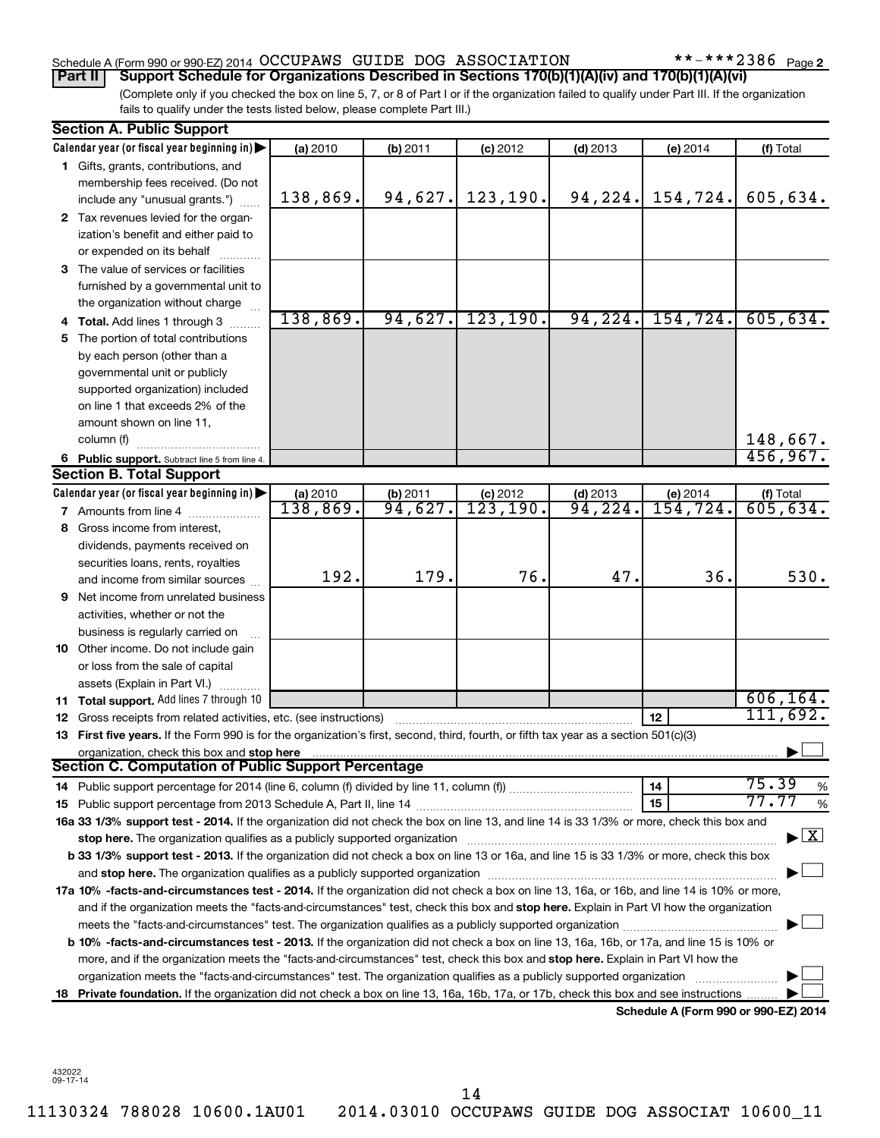#### Schedule A (Form 990 or 990-EZ) 2014 OCCUPAWS GUIDE DOG ASSOCIATION \*\*-\*\*\*2386 Page

 $***$   $***$  2386 Page 2

(Complete only if you checked the box on line 5, 7, or 8 of Part I or if the organization failed to qualify under Part III. If the organization **Part II Support Schedule for Organizations Described in Sections 170(b)(1)(A)(iv) and 170(b)(1)(A)(vi)**

fails to qualify under the tests listed below, please complete Part III.)

|     | <b>Section A. Public Support</b>                                                                                                               |          |          |            |            |                                      |                                    |
|-----|------------------------------------------------------------------------------------------------------------------------------------------------|----------|----------|------------|------------|--------------------------------------|------------------------------------|
|     | Calendar year (or fiscal year beginning in)                                                                                                    | (a) 2010 | (b) 2011 | $(c)$ 2012 | $(d)$ 2013 | (e) 2014                             | (f) Total                          |
|     | 1 Gifts, grants, contributions, and                                                                                                            |          |          |            |            |                                      |                                    |
|     | membership fees received. (Do not                                                                                                              |          |          |            |            |                                      |                                    |
|     | include any "unusual grants.")                                                                                                                 | 138,869. | 94,627.  | 123, 190.  | 94, 224.   | 154,724.                             | 605,634.                           |
|     | 2 Tax revenues levied for the organ-                                                                                                           |          |          |            |            |                                      |                                    |
|     | ization's benefit and either paid to                                                                                                           |          |          |            |            |                                      |                                    |
|     | or expended on its behalf                                                                                                                      |          |          |            |            |                                      |                                    |
|     | 3 The value of services or facilities                                                                                                          |          |          |            |            |                                      |                                    |
|     | furnished by a governmental unit to                                                                                                            |          |          |            |            |                                      |                                    |
|     | the organization without charge                                                                                                                |          |          |            |            |                                      |                                    |
|     | 4 Total. Add lines 1 through 3                                                                                                                 | 138,869. | 94,627.  | 123, 190.  | 94,224.    | 154, 724.                            | 605, 634.                          |
| 5   | The portion of total contributions                                                                                                             |          |          |            |            |                                      |                                    |
|     | by each person (other than a                                                                                                                   |          |          |            |            |                                      |                                    |
|     | governmental unit or publicly                                                                                                                  |          |          |            |            |                                      |                                    |
|     | supported organization) included                                                                                                               |          |          |            |            |                                      |                                    |
|     | on line 1 that exceeds 2% of the                                                                                                               |          |          |            |            |                                      |                                    |
|     | amount shown on line 11,                                                                                                                       |          |          |            |            |                                      |                                    |
|     | column (f)                                                                                                                                     |          |          |            |            |                                      | 148,667.                           |
|     | 6 Public support. Subtract line 5 from line 4.                                                                                                 |          |          |            |            |                                      | 456,967.                           |
|     | <b>Section B. Total Support</b>                                                                                                                |          |          |            |            |                                      |                                    |
|     | Calendar year (or fiscal year beginning in)                                                                                                    | (a) 2010 | (b) 2011 | $(c)$ 2012 | $(d)$ 2013 | (e) 2014                             | (f) Total                          |
|     | <b>7</b> Amounts from line 4                                                                                                                   | 138,869. | 94,627.  | 123, 190.  | 94,224.    | 154, 724.                            | 605,634.                           |
| 8   | Gross income from interest.                                                                                                                    |          |          |            |            |                                      |                                    |
|     | dividends, payments received on                                                                                                                |          |          |            |            |                                      |                                    |
|     | securities loans, rents, royalties                                                                                                             |          |          |            |            |                                      |                                    |
|     | and income from similar sources                                                                                                                | 192.     | 179.     | 76.        | 47.        | 36.                                  | 530.                               |
| 9   | Net income from unrelated business                                                                                                             |          |          |            |            |                                      |                                    |
|     | activities, whether or not the                                                                                                                 |          |          |            |            |                                      |                                    |
|     | business is regularly carried on                                                                                                               |          |          |            |            |                                      |                                    |
|     | 10 Other income. Do not include gain                                                                                                           |          |          |            |            |                                      |                                    |
|     | or loss from the sale of capital                                                                                                               |          |          |            |            |                                      |                                    |
|     | assets (Explain in Part VI.)                                                                                                                   |          |          |            |            |                                      |                                    |
|     | <b>11 Total support.</b> Add lines 7 through 10                                                                                                |          |          |            |            |                                      | 606, 164.                          |
| 12  | Gross receipts from related activities, etc. (see instructions)                                                                                |          |          |            |            | 12                                   | 111,692.                           |
|     | 13 First five years. If the Form 990 is for the organization's first, second, third, fourth, or fifth tax year as a section 501(c)(3)          |          |          |            |            |                                      |                                    |
|     | organization, check this box and stop here                                                                                                     |          |          |            |            |                                      |                                    |
|     | <b>Section C. Computation of Public Support Percentage</b>                                                                                     |          |          |            |            |                                      |                                    |
|     |                                                                                                                                                |          |          |            |            | 14                                   | 75.39<br>%                         |
|     |                                                                                                                                                |          |          |            |            | 15                                   | 77.77<br>%                         |
|     | 16a 33 1/3% support test - 2014. If the organization did not check the box on line 13, and line 14 is 33 1/3% or more, check this box and      |          |          |            |            |                                      |                                    |
|     |                                                                                                                                                |          |          |            |            |                                      | $\blacktriangleright$ $\mathbf{X}$ |
|     | b 33 1/3% support test - 2013. If the organization did not check a box on line 13 or 16a, and line 15 is 33 1/3% or more, check this box       |          |          |            |            |                                      |                                    |
|     |                                                                                                                                                |          |          |            |            |                                      |                                    |
|     | 17a 10% -facts-and-circumstances test - 2014. If the organization did not check a box on line 13, 16a, or 16b, and line 14 is 10% or more,     |          |          |            |            |                                      |                                    |
|     | and if the organization meets the "facts-and-circumstances" test, check this box and stop here. Explain in Part VI how the organization        |          |          |            |            |                                      |                                    |
|     |                                                                                                                                                |          |          |            |            |                                      |                                    |
|     | <b>b 10%</b> -facts-and-circumstances test - 2013. If the organization did not check a box on line 13, 16a, 16b, or 17a, and line 15 is 10% or |          |          |            |            |                                      |                                    |
|     | more, and if the organization meets the "facts-and-circumstances" test, check this box and stop here. Explain in Part VI how the               |          |          |            |            |                                      |                                    |
|     | organization meets the "facts-and-circumstances" test. The organization qualifies as a publicly supported organization                         |          |          |            |            |                                      |                                    |
| 18. | Private foundation. If the organization did not check a box on line 13, 16a, 16b, 17a, or 17b, check this box and see instructions.            |          |          |            |            |                                      |                                    |
|     |                                                                                                                                                |          |          |            |            | Schedule A (Form 990 or 990-EZ) 2014 |                                    |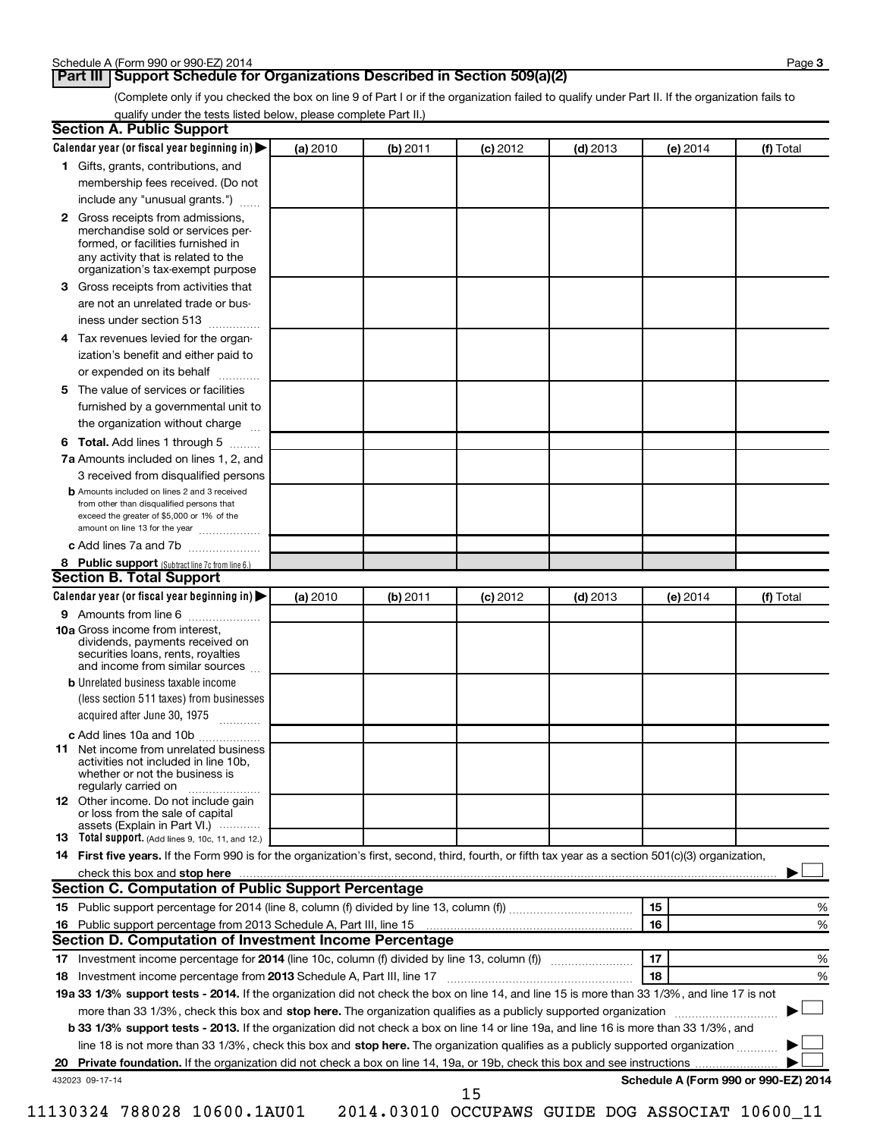#### **Part III Support Schedule for Organizations Described in Section 509(a)(2)**

(Complete only if you checked the box on line 9 of Part I or if the organization failed to qualify under Part II. If the organization fails to qualify under the tests listed below, please complete Part II.)

| <b>Section A. Public Support</b>                                                                                                                                                 |          |          |            |            |                                      |           |
|----------------------------------------------------------------------------------------------------------------------------------------------------------------------------------|----------|----------|------------|------------|--------------------------------------|-----------|
| Calendar year (or fiscal year beginning in)                                                                                                                                      | (a) 2010 | (b) 2011 | $(c)$ 2012 | $(d)$ 2013 | (e) 2014                             | (f) Total |
| 1 Gifts, grants, contributions, and                                                                                                                                              |          |          |            |            |                                      |           |
| membership fees received. (Do not                                                                                                                                                |          |          |            |            |                                      |           |
| include any "unusual grants.")                                                                                                                                                   |          |          |            |            |                                      |           |
| 2 Gross receipts from admissions,<br>merchandise sold or services per-<br>formed, or facilities furnished in<br>any activity that is related to the                              |          |          |            |            |                                      |           |
| organization's tax-exempt purpose<br>3 Gross receipts from activities that                                                                                                       |          |          |            |            |                                      |           |
| are not an unrelated trade or bus-                                                                                                                                               |          |          |            |            |                                      |           |
| iness under section 513                                                                                                                                                          |          |          |            |            |                                      |           |
|                                                                                                                                                                                  |          |          |            |            |                                      |           |
| 4 Tax revenues levied for the organ-                                                                                                                                             |          |          |            |            |                                      |           |
| ization's benefit and either paid to<br>or expended on its behalf                                                                                                                |          |          |            |            |                                      |           |
| .<br>5 The value of services or facilities                                                                                                                                       |          |          |            |            |                                      |           |
| furnished by a governmental unit to                                                                                                                                              |          |          |            |            |                                      |           |
| the organization without charge                                                                                                                                                  |          |          |            |            |                                      |           |
| 6 Total. Add lines 1 through 5                                                                                                                                                   |          |          |            |            |                                      |           |
| 7a Amounts included on lines 1, 2, and                                                                                                                                           |          |          |            |            |                                      |           |
| 3 received from disqualified persons                                                                                                                                             |          |          |            |            |                                      |           |
| <b>b</b> Amounts included on lines 2 and 3 received<br>from other than disqualified persons that<br>exceed the greater of \$5,000 or 1% of the<br>amount on line 13 for the year |          |          |            |            |                                      |           |
| c Add lines 7a and 7b                                                                                                                                                            |          |          |            |            |                                      |           |
| 8 Public support (Subtract line 7c from line 6.)                                                                                                                                 |          |          |            |            |                                      |           |
| <b>Section B. Total Support</b>                                                                                                                                                  |          |          |            |            |                                      |           |
| Calendar year (or fiscal year beginning in)                                                                                                                                      | (a) 2010 | (b) 2011 | $(c)$ 2012 | $(d)$ 2013 | (e) 2014                             | (f) Total |
| 9 Amounts from line 6                                                                                                                                                            |          |          |            |            |                                      |           |
| <b>10a</b> Gross income from interest,<br>dividends, payments received on<br>securities loans, rents, royalties<br>and income from similar sources                               |          |          |            |            |                                      |           |
| <b>b</b> Unrelated business taxable income                                                                                                                                       |          |          |            |            |                                      |           |
| (less section 511 taxes) from businesses                                                                                                                                         |          |          |            |            |                                      |           |
| acquired after June 30, 1975<br>$\overline{\phantom{a}}$                                                                                                                         |          |          |            |            |                                      |           |
| c Add lines 10a and 10b                                                                                                                                                          |          |          |            |            |                                      |           |
| <b>11</b> Net income from unrelated business<br>activities not included in line 10b.<br>whether or not the business is<br>regularly carried on                                   |          |          |            |            |                                      |           |
| 12 Other income. Do not include gain<br>or loss from the sale of capital<br>assets (Explain in Part VI.)                                                                         |          |          |            |            |                                      |           |
| <b>13</b> Total support. (Add lines 9, 10c, 11, and 12.)                                                                                                                         |          |          |            |            |                                      |           |
| 14 First five years. If the Form 990 is for the organization's first, second, third, fourth, or fifth tax year as a section 501(c)(3) organization,                              |          |          |            |            |                                      |           |
| check this box and stop here                                                                                                                                                     |          |          |            |            |                                      |           |
| <b>Section C. Computation of Public Support Percentage</b>                                                                                                                       |          |          |            |            |                                      |           |
|                                                                                                                                                                                  |          |          |            |            | 15                                   | %         |
|                                                                                                                                                                                  |          |          |            |            | 16                                   | %         |
| Section D. Computation of Investment Income Percentage                                                                                                                           |          |          |            |            |                                      |           |
|                                                                                                                                                                                  |          |          |            |            | 17                                   | %         |
| 18 Investment income percentage from 2013 Schedule A, Part III, line 17                                                                                                          |          |          |            |            | 18                                   | %         |
| 19a 33 1/3% support tests - 2014. If the organization did not check the box on line 14, and line 15 is more than 33 1/3%, and line 17 is not                                     |          |          |            |            |                                      |           |
| more than 33 1/3%, check this box and stop here. The organization qualifies as a publicly supported organization                                                                 |          |          |            |            |                                      |           |
| b 33 1/3% support tests - 2013. If the organization did not check a box on line 14 or line 19a, and line 16 is more than 33 1/3%, and                                            |          |          |            |            |                                      |           |
| line 18 is not more than 33 1/3%, check this box and stop here. The organization qualifies as a publicly supported organization <i></i>                                          |          |          |            |            |                                      |           |
|                                                                                                                                                                                  |          |          |            |            |                                      |           |
| 432023 09-17-14                                                                                                                                                                  |          |          | 15         |            | Schedule A (Form 990 or 990-EZ) 2014 |           |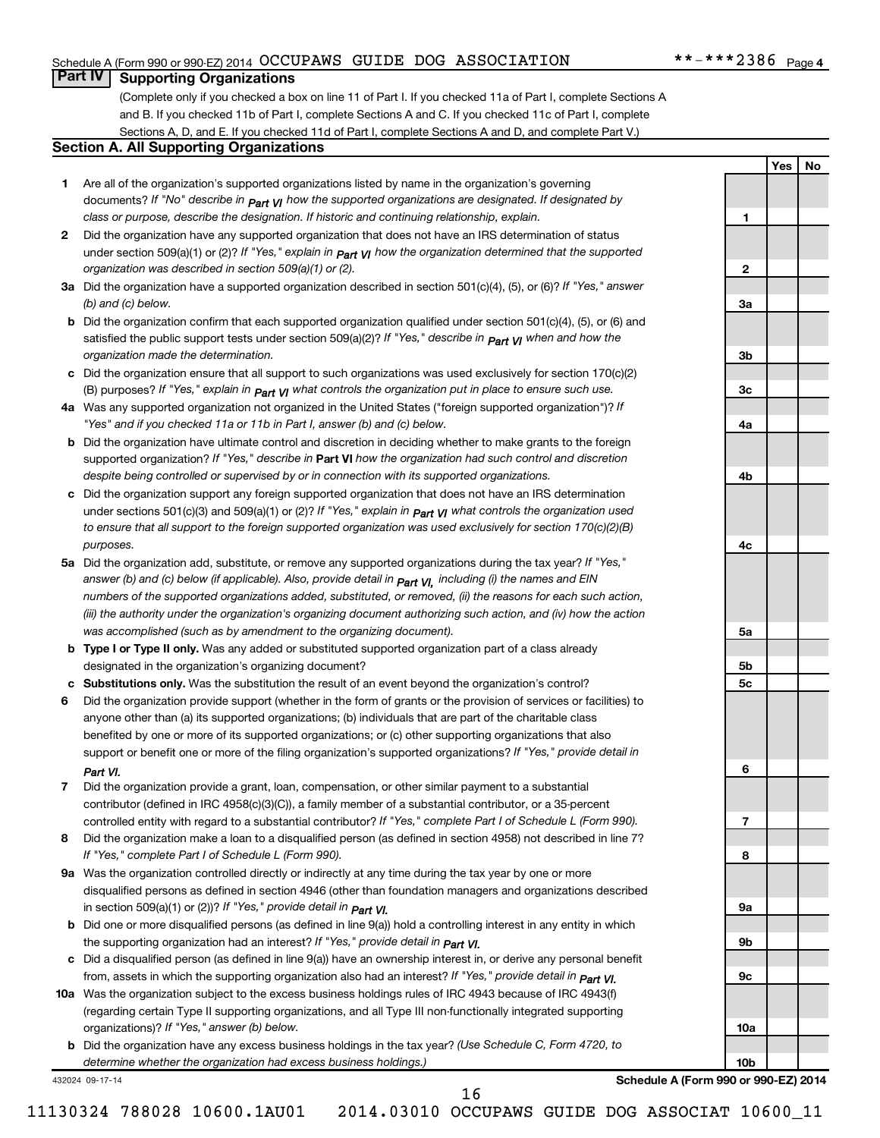#### Schedule A (Form 990 or 990-EZ) 2014 OCCUPAWS GUIDE DOG ASSOCIATION \*\*-\*\*\*2386 Page

#### **Part IV Supporting Organizations**

(Complete only if you checked a box on line 11 of Part I. If you checked 11a of Part I, complete Sections A and B. If you checked 11b of Part I, complete Sections A and C. If you checked 11c of Part I, complete Sections A, D, and E. If you checked 11d of Part I, complete Sections A and D, and complete Part V.)

#### **Section A. All Supporting Organizations**

- **1** Are all of the organization's supported organizations listed by name in the organization's governing documents? If "No" describe in  $_{\mathsf{Part}}$   $_{\mathsf{V}}$  how the supported organizations are designated. If designated by *class or purpose, describe the designation. If historic and continuing relationship, explain.*
- **2** Did the organization have any supported organization that does not have an IRS determination of status under section 509(a)(1) or (2)? If "Yes," explain in  $_{\sf Part}$   $_{\sf VI}$  how the organization determined that the supported *organization was described in section 509(a)(1) or (2).*
- **3a** Did the organization have a supported organization described in section 501(c)(4), (5), or (6)? If "Yes," answer *(b) and (c) below.*
- **b** Did the organization confirm that each supported organization qualified under section 501(c)(4), (5), or (6) and satisfied the public support tests under section 509(a)(2)? If "Yes," describe in  $_{\rm Part}$   $_{\rm VI}$  when and how the *organization made the determination.*
- **c** Did the organization ensure that all support to such organizations was used exclusively for section 170(c)(2) (B) purposes? If "Yes," explain in  $_{\mathsf{Part}}$   $_{\mathsf{V}}$  what controls the organization put in place to ensure such use.
- **4 a** *If* Was any supported organization not organized in the United States ("foreign supported organization")? *"Yes" and if you checked 11a or 11b in Part I, answer (b) and (c) below.*
- **b** Did the organization have ultimate control and discretion in deciding whether to make grants to the foreign supported organization? If "Yes," describe in Part VI how the organization had such control and discretion *despite being controlled or supervised by or in connection with its supported organizations.*
- **c** Did the organization support any foreign supported organization that does not have an IRS determination under sections 501(c)(3) and 509(a)(1) or (2)? If "Yes," ex*plain in*  $_{\sf Part}$  *v*J what controls the organization used *to ensure that all support to the foreign supported organization was used exclusively for section 170(c)(2)(B) purposes.*
- **5a** Did the organization add, substitute, or remove any supported organizations during the tax year? If "Yes," answer (b) and (c) below (if applicable). Also, provide detail in  $_{\mathsf{Part}}$   $_{\mathsf{V{\mathsf{I}}}}$ , including (i) the names and EIN *numbers of the supported organizations added, substituted, or removed, (ii) the reasons for each such action, (iii) the authority under the organization's organizing document authorizing such action, and (iv) how the action was accomplished (such as by amendment to the organizing document).*
- **b** Type I or Type II only. Was any added or substituted supported organization part of a class already designated in the organization's organizing document?
- **c Substitutions only.**  Was the substitution the result of an event beyond the organization's control?
- **6** Did the organization provide support (whether in the form of grants or the provision of services or facilities) to support or benefit one or more of the filing organization's supported organizations? If "Yes," provide detail in anyone other than (a) its supported organizations; (b) individuals that are part of the charitable class benefited by one or more of its supported organizations; or (c) other supporting organizations that also *Part VI.*
- **7** Did the organization provide a grant, loan, compensation, or other similar payment to a substantial controlled entity with regard to a substantial contributor? If "Yes," complete Part I of Schedule L (Form 990). contributor (defined in IRC 4958(c)(3)(C)), a family member of a substantial contributor, or a 35-percent
- **8** Did the organization make a loan to a disqualified person (as defined in section 4958) not described in line 7? *If "Yes," complete Part I of Schedule L (Form 990).*
- **9 a** Was the organization controlled directly or indirectly at any time during the tax year by one or more *If "Yes," provide detail in*  in section 509(a)(1) or (2))? *Part VI.* disqualified persons as defined in section 4946 (other than foundation managers and organizations described
- **b** Did one or more disqualified persons (as defined in line 9(a)) hold a controlling interest in any entity in which  *If "Yes," provide detail in*  the supporting organization had an interest? *Part VI.*
- **c** Did a disqualified person (as defined in line 9(a)) have an ownership interest in, or derive any personal benefit from, assets in which the supporting organization also had an interest? If "Yes," *provide detail in Part VI.*
- **10 a** Was the organization subject to the excess business holdings rules of IRC 4943 because of IRC 4943(f)  *If "Yes," answer (b) below.* organizations)? (regarding certain Type II supporting organizations, and all Type III non-functionally integrated supporting
- **b** Did the organization have any excess business holdings in the tax year? (Use Schedule C, Form 4720, to *determine whether the organization had excess business holdings.)*

432024 09-17-14

**Schedule A (Form 990 or 990-EZ) 2014**

**10b**

**1**

**2**

**3a**

**3b**

**3c**

**4a**

**4b**

**4c**

**5a**

**5b 5c**

**6**

**7**

**8**

**9a**

**9b**

**9c**

**10a**

**Yes No**

16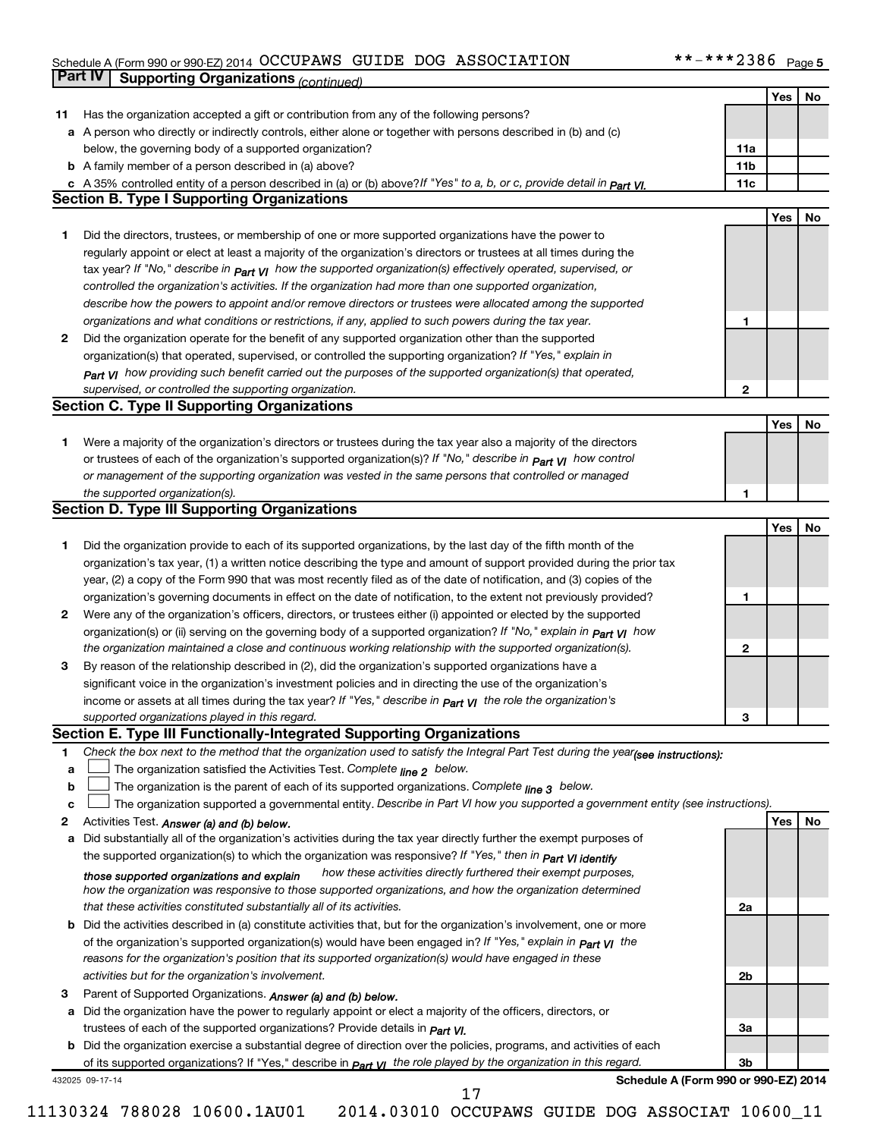#### Schedule A (Form 990 or 990-EZ) 2014 Page OCCUPAWS GUIDE DOG ASSOCIATION \*\*-\*\*\*2386

|    | <b>Part IV</b>  | <b>Supporting Organizations (continued)</b>                                                                                                                                                                                              |                 |     |    |
|----|-----------------|------------------------------------------------------------------------------------------------------------------------------------------------------------------------------------------------------------------------------------------|-----------------|-----|----|
|    |                 |                                                                                                                                                                                                                                          |                 | Yes | No |
| 11 |                 | Has the organization accepted a gift or contribution from any of the following persons?                                                                                                                                                  |                 |     |    |
| а  |                 | A person who directly or indirectly controls, either alone or together with persons described in (b) and (c)                                                                                                                             |                 |     |    |
|    |                 | below, the governing body of a supported organization?                                                                                                                                                                                   | 11a             |     |    |
|    |                 | <b>b</b> A family member of a person described in (a) above?                                                                                                                                                                             | 11 <sub>b</sub> |     |    |
|    |                 | c A 35% controlled entity of a person described in (a) or (b) above? If "Yes" to a, b, or c, provide detail in Part VI.                                                                                                                  | 11c             |     |    |
|    |                 | <b>Section B. Type I Supporting Organizations</b>                                                                                                                                                                                        |                 |     |    |
|    |                 |                                                                                                                                                                                                                                          |                 | Yes | No |
|    |                 |                                                                                                                                                                                                                                          |                 |     |    |
| 1. |                 | Did the directors, trustees, or membership of one or more supported organizations have the power to                                                                                                                                      |                 |     |    |
|    |                 | regularly appoint or elect at least a majority of the organization's directors or trustees at all times during the                                                                                                                       |                 |     |    |
|    |                 | tax year? If "No," describe in $P_{\text{part}}$ $V_I$ how the supported organization(s) effectively operated, supervised, or                                                                                                            |                 |     |    |
|    |                 | controlled the organization's activities. If the organization had more than one supported organization,                                                                                                                                  |                 |     |    |
|    |                 | describe how the powers to appoint and/or remove directors or trustees were allocated among the supported                                                                                                                                |                 |     |    |
|    |                 | organizations and what conditions or restrictions, if any, applied to such powers during the tax year.                                                                                                                                   | 1               |     |    |
| 2  |                 | Did the organization operate for the benefit of any supported organization other than the supported                                                                                                                                      |                 |     |    |
|    |                 | organization(s) that operated, supervised, or controlled the supporting organization? If "Yes," explain in                                                                                                                               |                 |     |    |
|    |                 | Part VI how providing such benefit carried out the purposes of the supported organization(s) that operated,                                                                                                                              |                 |     |    |
|    |                 | supervised, or controlled the supporting organization.                                                                                                                                                                                   | 2               |     |    |
|    |                 | <b>Section C. Type II Supporting Organizations</b>                                                                                                                                                                                       |                 |     |    |
|    |                 |                                                                                                                                                                                                                                          |                 | Yes | No |
| 1. |                 | Were a majority of the organization's directors or trustees during the tax year also a majority of the directors                                                                                                                         |                 |     |    |
|    |                 | or trustees of each of the organization's supported organization(s)? If "No," describe in <b>Part VI</b> how control                                                                                                                     |                 |     |    |
|    |                 | or management of the supporting organization was vested in the same persons that controlled or managed                                                                                                                                   |                 |     |    |
|    |                 | the supported organization(s).                                                                                                                                                                                                           | 1               |     |    |
|    |                 | <b>Section D. Type III Supporting Organizations</b>                                                                                                                                                                                      |                 |     |    |
|    |                 |                                                                                                                                                                                                                                          |                 | Yes | No |
| 1  |                 | Did the organization provide to each of its supported organizations, by the last day of the fifth month of the                                                                                                                           |                 |     |    |
|    |                 | organization's tax year, (1) a written notice describing the type and amount of support provided during the prior tax                                                                                                                    |                 |     |    |
|    |                 | year, (2) a copy of the Form 990 that was most recently filed as of the date of notification, and (3) copies of the                                                                                                                      |                 |     |    |
|    |                 | organization's governing documents in effect on the date of notification, to the extent not previously provided?                                                                                                                         | 1               |     |    |
| 2  |                 | Were any of the organization's officers, directors, or trustees either (i) appointed or elected by the supported                                                                                                                         |                 |     |    |
|    |                 |                                                                                                                                                                                                                                          |                 |     |    |
|    |                 | organization(s) or (ii) serving on the governing body of a supported organization? If "No," explain in <b>Part VI</b> how<br>the organization maintained a close and continuous working relationship with the supported organization(s). | 2               |     |    |
|    |                 |                                                                                                                                                                                                                                          |                 |     |    |
| 3  |                 | By reason of the relationship described in (2), did the organization's supported organizations have a                                                                                                                                    |                 |     |    |
|    |                 | significant voice in the organization's investment policies and in directing the use of the organization's                                                                                                                               |                 |     |    |
|    |                 | income or assets at all times during the tax year? If "Yes," describe in $_{Part}$ y the role the organization's                                                                                                                         |                 |     |    |
|    |                 | supported organizations played in this regard.                                                                                                                                                                                           | з               |     |    |
|    |                 | Section E. Type III Functionally-Integrated Supporting Organizations                                                                                                                                                                     |                 |     |    |
| 1  |                 | Check the box next to the method that the organization used to satisfy the Integral Part Test during the year(see instructions):                                                                                                         |                 |     |    |
| a  |                 | The organization satisfied the Activities Test. Complete line 2 below.                                                                                                                                                                   |                 |     |    |
| b  |                 | The organization is the parent of each of its supported organizations. Complete $_{\text{line 3}}$ below.                                                                                                                                |                 |     |    |
| c  |                 | The organization supported a governmental entity. Describe in Part VI how you supported a government entity (see instructions).                                                                                                          |                 |     |    |
| 2  |                 | Activities Test. Answer (a) and (b) below.                                                                                                                                                                                               |                 | Yes | No |
| а  |                 | Did substantially all of the organization's activities during the tax year directly further the exempt purposes of                                                                                                                       |                 |     |    |
|    |                 | the supported organization(s) to which the organization was responsive? If "Yes," then in Part VI identify                                                                                                                               |                 |     |    |
|    |                 | how these activities directly furthered their exempt purposes,<br>those supported organizations and explain                                                                                                                              |                 |     |    |
|    |                 | how the organization was responsive to those supported organizations, and how the organization determined                                                                                                                                |                 |     |    |
|    |                 | that these activities constituted substantially all of its activities.                                                                                                                                                                   | 2a              |     |    |
| b  |                 | Did the activities described in (a) constitute activities that, but for the organization's involvement, one or more                                                                                                                      |                 |     |    |
|    |                 | of the organization's supported organization(s) would have been engaged in? If "Yes," explain in $P_{art}$ $V_I$ the                                                                                                                     |                 |     |    |
|    |                 | reasons for the organization's position that its supported organization(s) would have engaged in these                                                                                                                                   |                 |     |    |
|    |                 | activities but for the organization's involvement.                                                                                                                                                                                       | 2b              |     |    |
| З  |                 | Parent of Supported Organizations. Answer (a) and (b) below.                                                                                                                                                                             |                 |     |    |
| а  |                 | Did the organization have the power to regularly appoint or elect a majority of the officers, directors, or                                                                                                                              |                 |     |    |
|    |                 | trustees of each of the supported organizations? Provide details in <i>Part VI.</i>                                                                                                                                                      | За              |     |    |
|    |                 | <b>b</b> Did the organization exercise a substantial degree of direction over the policies, programs, and activities of each                                                                                                             |                 |     |    |
|    |                 | of its supported organizations? If "Yes," describe in $P_{\text{art}}$ VI the role played by the organization in this regard.                                                                                                            | Зb              |     |    |
|    | 432025 09-17-14 | Schedule A (Form 990 or 990-EZ) 2014                                                                                                                                                                                                     |                 |     |    |
|    |                 | 17                                                                                                                                                                                                                                       |                 |     |    |

11130324 788028 10600.1AU01 2014.03010 OCCUPAWS GUIDE DOG ASSOCIAT 10600\_11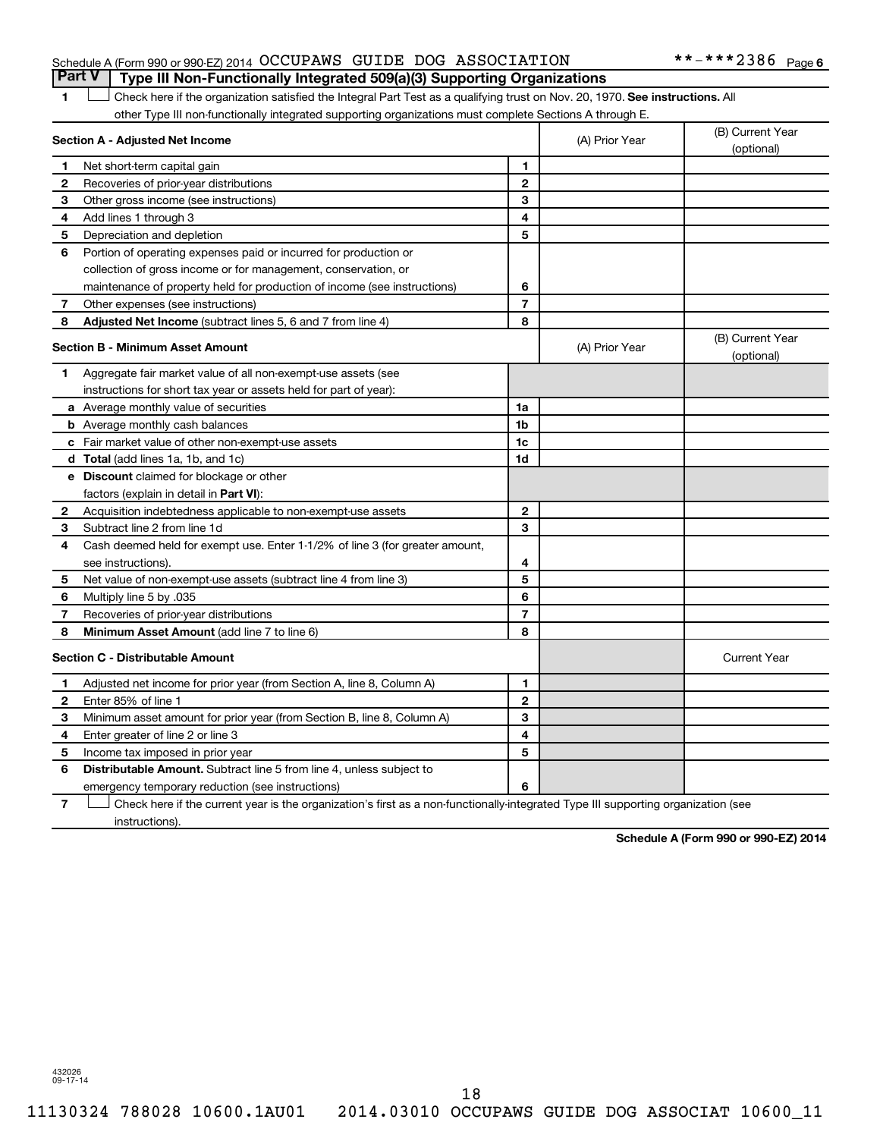#### Schedule A (Form 990 or 990-EZ) 2014 OCCUPAWS GUIDE DOG ASSOCIATION \*\*-\*\*\*2386 Page

#### 1 **Letter on Reck here if the organization satisfied the Integral Part Test as a qualifying trust on Nov. 20, 1970. See instructions. All** other Type III non-functionally integrated supporting organizations must complete Sections A through E. **Part V Type III Non-Functionally Integrated 509(a)(3) Supporting Organizations**

|              | Section A - Adjusted Net Income                                              |                | (A) Prior Year | (B) Current Year<br>(optional) |
|--------------|------------------------------------------------------------------------------|----------------|----------------|--------------------------------|
| 1            | Net short-term capital gain                                                  | 1              |                |                                |
| $\mathbf{2}$ | Recoveries of prior-year distributions                                       | $\mathbf{2}$   |                |                                |
| З            | Other gross income (see instructions)                                        | 3              |                |                                |
| 4            | Add lines 1 through 3                                                        | 4              |                |                                |
| 5            | Depreciation and depletion                                                   | 5              |                |                                |
| 6            | Portion of operating expenses paid or incurred for production or             |                |                |                                |
|              | collection of gross income or for management, conservation, or               |                |                |                                |
|              | maintenance of property held for production of income (see instructions)     | 6              |                |                                |
| 7            | Other expenses (see instructions)                                            | $\overline{7}$ |                |                                |
| 8            | Adjusted Net Income (subtract lines 5, 6 and 7 from line 4)                  | 8              |                |                                |
|              | <b>Section B - Minimum Asset Amount</b>                                      |                | (A) Prior Year | (B) Current Year<br>(optional) |
| 1            | Aggregate fair market value of all non-exempt-use assets (see                |                |                |                                |
|              | instructions for short tax year or assets held for part of year):            |                |                |                                |
|              | a Average monthly value of securities                                        | 1a             |                |                                |
|              | <b>b</b> Average monthly cash balances                                       | 1b             |                |                                |
|              | c Fair market value of other non-exempt-use assets                           | 1c             |                |                                |
|              | d Total (add lines 1a, 1b, and 1c)                                           | 1d             |                |                                |
|              | e Discount claimed for blockage or other                                     |                |                |                                |
|              | factors (explain in detail in <b>Part VI</b> ):                              |                |                |                                |
| $\mathbf{2}$ | Acquisition indebtedness applicable to non-exempt-use assets                 | $\mathbf{2}$   |                |                                |
| 3            | Subtract line 2 from line 1d                                                 | 3              |                |                                |
| 4            | Cash deemed held for exempt use. Enter 1-1/2% of line 3 (for greater amount, |                |                |                                |
|              | see instructions).                                                           | 4              |                |                                |
| 5            | Net value of non-exempt-use assets (subtract line 4 from line 3)             | 5              |                |                                |
| 6            | Multiply line 5 by .035                                                      | 6              |                |                                |
| 7            | Recoveries of prior-year distributions                                       | $\overline{7}$ |                |                                |
| 8            | <b>Minimum Asset Amount (add line 7 to line 6)</b>                           | 8              |                |                                |
|              | <b>Section C - Distributable Amount</b>                                      |                |                | <b>Current Year</b>            |
| 1            | Adjusted net income for prior year (from Section A, line 8, Column A)        | 1              |                |                                |
| 2            | Enter 85% of line 1                                                          | $\mathbf{2}$   |                |                                |
| 3            | Minimum asset amount for prior year (from Section B, line 8, Column A)       | 3              |                |                                |
| 4            | Enter greater of line 2 or line 3                                            | 4              |                |                                |
| 5            | Income tax imposed in prior year                                             | 5              |                |                                |
| 6            | Distributable Amount. Subtract line 5 from line 4, unless subject to         |                |                |                                |
|              | emergency temporary reduction (see instructions)                             | 6              |                |                                |
|              |                                                                              |                |                |                                |

**7** Check here if the current year is the organization's first as a non-functionally-integrated Type III supporting organization (see † instructions).

**Schedule A (Form 990 or 990-EZ) 2014**

432026 09-17-14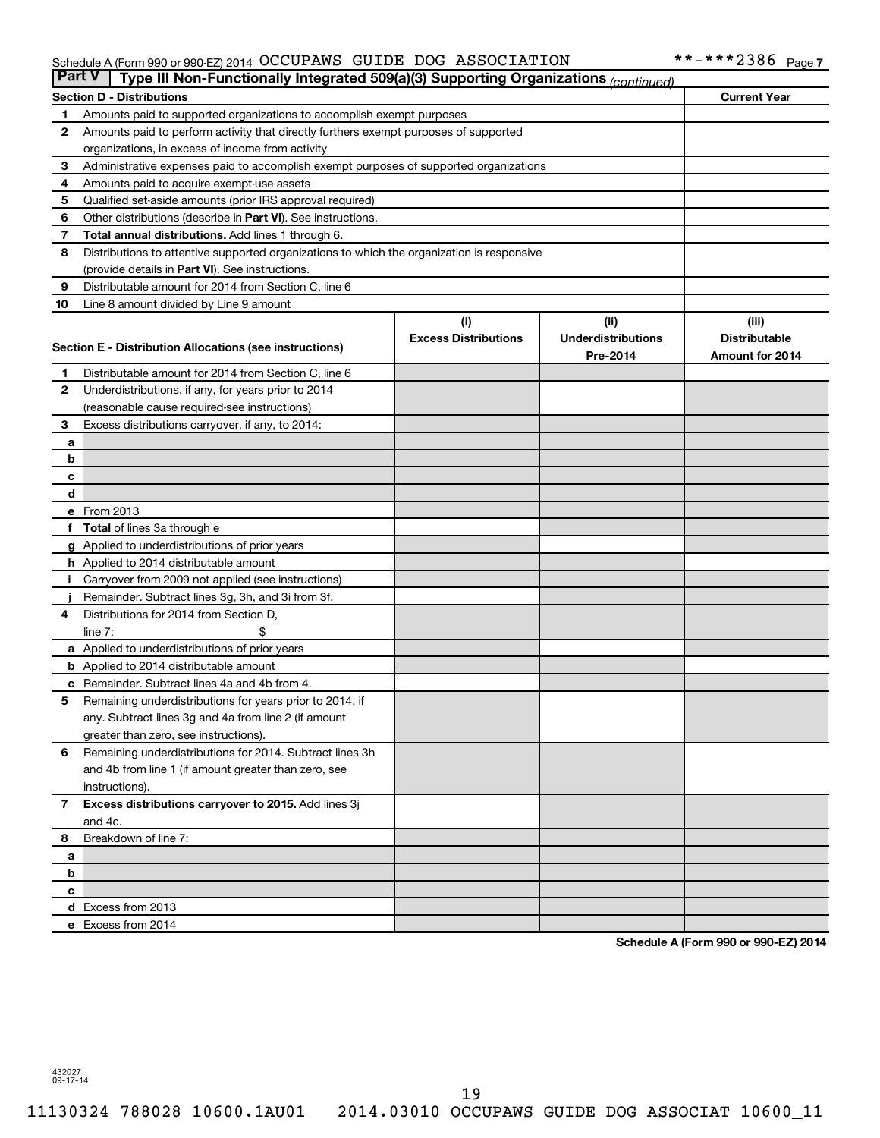#### Schedule A (Form 990 or 990-EZ) 2014 Page OCCUPAWS GUIDE DOG ASSOCIATION \*\*-\*\*\*2386

| <b>Part V</b> | Type III Non-Functionally Integrated 509(a)(3) Supporting Organizations (continued)                 |                             |                           |                        |
|---------------|-----------------------------------------------------------------------------------------------------|-----------------------------|---------------------------|------------------------|
|               | <b>Section D - Distributions</b>                                                                    |                             |                           | <b>Current Year</b>    |
| 1             | Amounts paid to supported organizations to accomplish exempt purposes                               |                             |                           |                        |
| 2             | Amounts paid to perform activity that directly furthers exempt purposes of supported                |                             |                           |                        |
|               | organizations, in excess of income from activity                                                    |                             |                           |                        |
| 3             | Administrative expenses paid to accomplish exempt purposes of supported organizations               |                             |                           |                        |
| 4             | Amounts paid to acquire exempt-use assets                                                           |                             |                           |                        |
| 5             | Qualified set-aside amounts (prior IRS approval required)                                           |                             |                           |                        |
| 6             | Other distributions (describe in Part VI). See instructions.                                        |                             |                           |                        |
| 7             | Total annual distributions. Add lines 1 through 6.                                                  |                             |                           |                        |
| 8             | Distributions to attentive supported organizations to which the organization is responsive          |                             |                           |                        |
|               | (provide details in Part VI). See instructions.                                                     |                             |                           |                        |
| 9             | Distributable amount for 2014 from Section C, line 6                                                |                             |                           |                        |
| 10            | Line 8 amount divided by Line 9 amount                                                              |                             |                           |                        |
|               |                                                                                                     | (i)                         | (ii)                      | (iii)                  |
|               | Section E - Distribution Allocations (see instructions)                                             | <b>Excess Distributions</b> | <b>Underdistributions</b> | <b>Distributable</b>   |
|               |                                                                                                     |                             | Pre-2014                  | <b>Amount for 2014</b> |
| 1             | Distributable amount for 2014 from Section C, line 6                                                |                             |                           |                        |
| $\mathbf{2}$  | Underdistributions, if any, for years prior to 2014                                                 |                             |                           |                        |
|               | (reasonable cause required-see instructions)                                                        |                             |                           |                        |
| З             | Excess distributions carryover, if any, to 2014:                                                    |                             |                           |                        |
| а             |                                                                                                     |                             |                           |                        |
| b             |                                                                                                     |                             |                           |                        |
| с             |                                                                                                     |                             |                           |                        |
| d             |                                                                                                     |                             |                           |                        |
|               | e From 2013                                                                                         |                             |                           |                        |
| f             | <b>Total</b> of lines 3a through e                                                                  |                             |                           |                        |
|               | <b>g</b> Applied to underdistributions of prior years                                               |                             |                           |                        |
|               | <b>h</b> Applied to 2014 distributable amount<br>Carryover from 2009 not applied (see instructions) |                             |                           |                        |
|               | Remainder. Subtract lines 3g, 3h, and 3i from 3f.                                                   |                             |                           |                        |
| 4             | Distributions for 2014 from Section D,                                                              |                             |                           |                        |
|               | $line 7$ :                                                                                          |                             |                           |                        |
|               | a Applied to underdistributions of prior years                                                      |                             |                           |                        |
|               | <b>b</b> Applied to 2014 distributable amount                                                       |                             |                           |                        |
| с             | Remainder. Subtract lines 4a and 4b from 4.                                                         |                             |                           |                        |
| 5             | Remaining underdistributions for years prior to 2014, if                                            |                             |                           |                        |
|               | any. Subtract lines 3g and 4a from line 2 (if amount                                                |                             |                           |                        |
|               | greater than zero, see instructions).                                                               |                             |                           |                        |
| 6             | Remaining underdistributions for 2014. Subtract lines 3h                                            |                             |                           |                        |
|               | and 4b from line 1 (if amount greater than zero, see                                                |                             |                           |                        |
|               | instructions).                                                                                      |                             |                           |                        |
| $\mathbf{7}$  | Excess distributions carryover to 2015. Add lines 3j                                                |                             |                           |                        |
|               | and 4c.                                                                                             |                             |                           |                        |
| 8             | Breakdown of line 7:                                                                                |                             |                           |                        |
| а             |                                                                                                     |                             |                           |                        |
| b             |                                                                                                     |                             |                           |                        |
| с             |                                                                                                     |                             |                           |                        |
|               | d Excess from 2013                                                                                  |                             |                           |                        |
|               | e Excess from 2014                                                                                  |                             |                           |                        |

**Schedule A (Form 990 or 990-EZ) 2014**

432027 09-17-14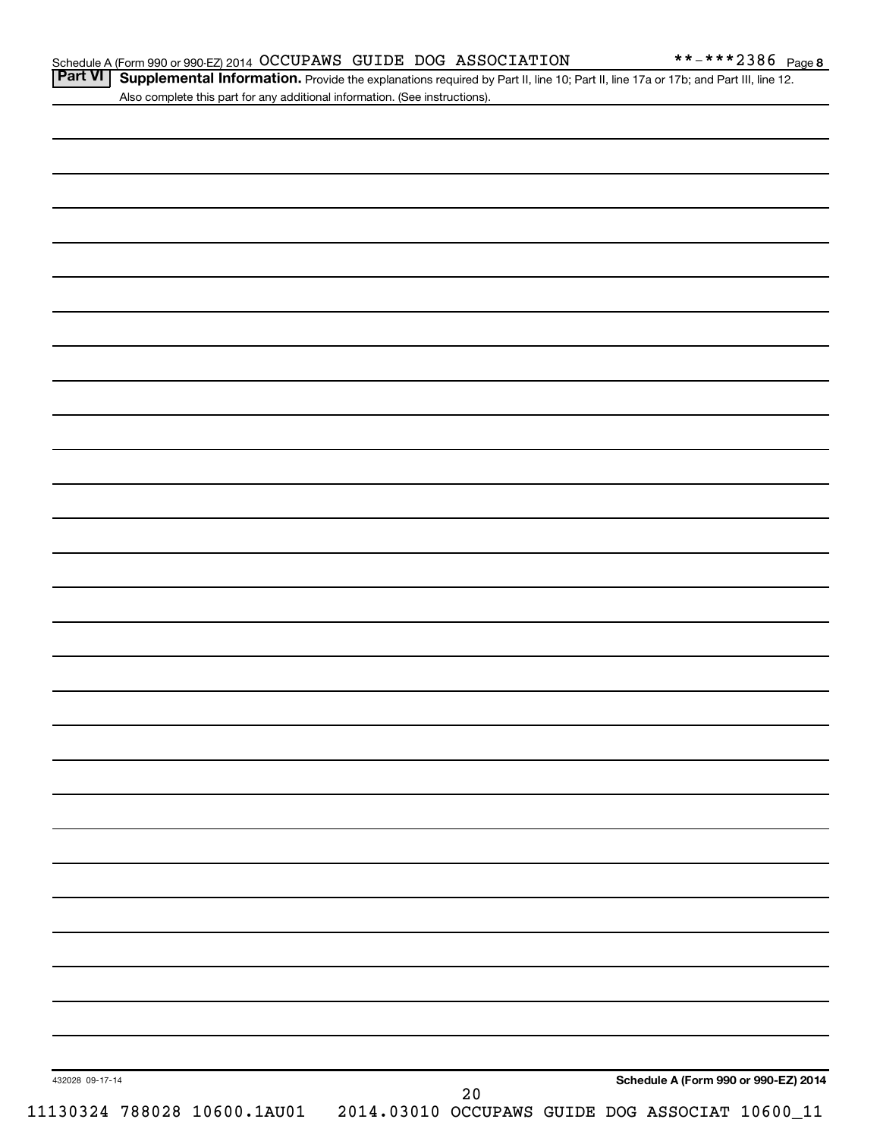Part VI | Supplemental Information. Provide the explanations required by Part II, line 10; Part II, line 17a or 17b; and Part III, line 12. Also complete this part for any additional information. (See instructions).

|                                                                                                      |  |  |  | Schedule A (Form 990 or 990-EZ) 2014 |  |
|------------------------------------------------------------------------------------------------------|--|--|--|--------------------------------------|--|
| 432028 09-17-14<br>20<br>11130324 788028 10600.1AU01 2014.03010 OCCUPAWS GUIDE DOG ASSOCIAT 10600_11 |  |  |  |                                      |  |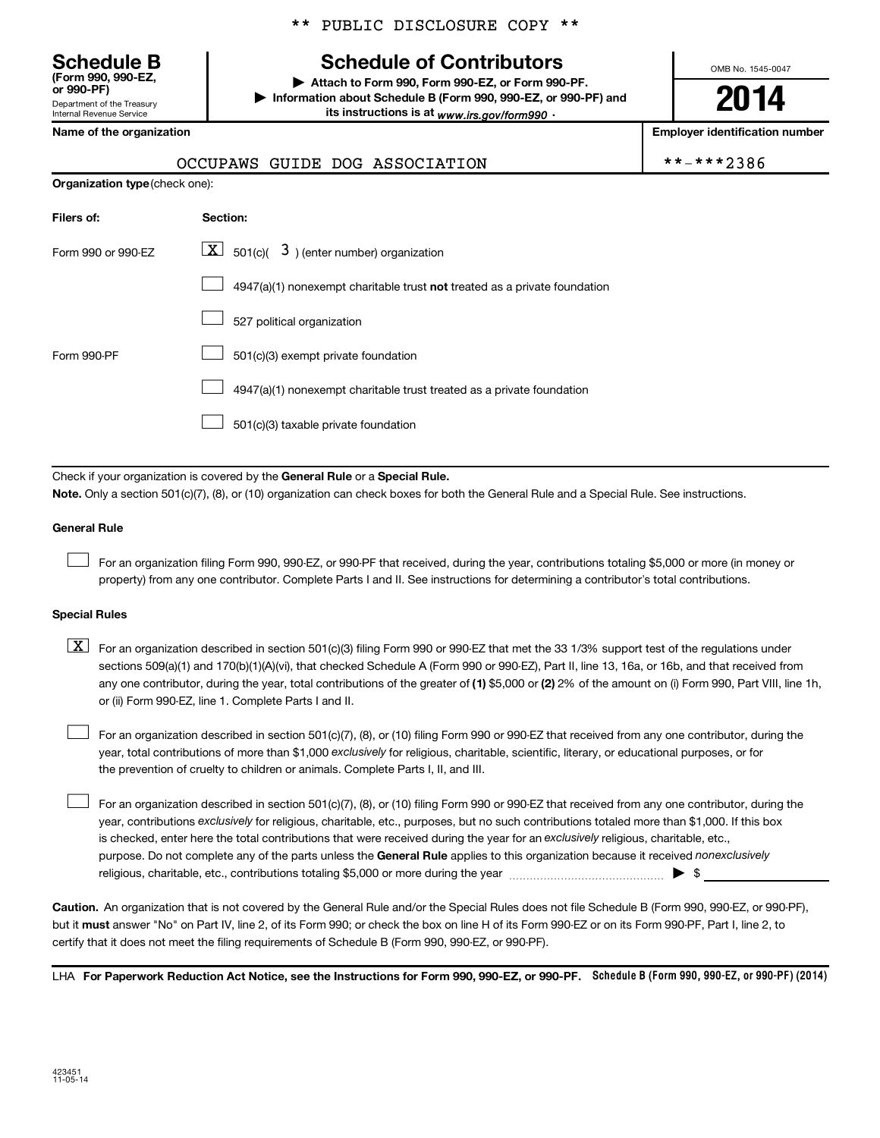Department of the Treasury **(Form 990, 990-EZ,**

Internal Revenue Service

\*\* PUBLIC DISCLOSURE COPY \*\*

# **Schedule B Schedule of Contributors**

**or 990-PF) | Attach to Form 990, Form 990-EZ, or Form 990-PF. | Information about Schedule B (Form 990, 990-EZ, or 990-PF) and** its instructions is at <sub>www.irs.gov/form990  $\cdot$ </sub>

OMB No. 1545-0047

**2014**

**Employer identification number** 

| *-***2386 |  |
|-----------|--|
|-----------|--|

|  | Name of the organization |
|--|--------------------------|
|--|--------------------------|

|  | OCCUPAWS GUIDE DOG ASSOCIATION | **-***2386 |
|--|--------------------------------|------------|
|  |                                |            |

| <b>Organization type (check one):</b> |                                                                                    |  |  |  |  |  |  |
|---------------------------------------|------------------------------------------------------------------------------------|--|--|--|--|--|--|
| Filers of:                            | Section:                                                                           |  |  |  |  |  |  |
| Form 990 or 990-EZ                    | $ \mathbf{X} $ 501(c)( 3) (enter number) organization                              |  |  |  |  |  |  |
|                                       | $4947(a)(1)$ nonexempt charitable trust <b>not</b> treated as a private foundation |  |  |  |  |  |  |
|                                       | 527 political organization                                                         |  |  |  |  |  |  |
| Form 990-PF                           | 501(c)(3) exempt private foundation                                                |  |  |  |  |  |  |
|                                       | 4947(a)(1) nonexempt charitable trust treated as a private foundation              |  |  |  |  |  |  |
|                                       | 501(c)(3) taxable private foundation                                               |  |  |  |  |  |  |

Check if your organization is covered by the General Rule or a Special Rule.

**Note.**  Only a section 501(c)(7), (8), or (10) organization can check boxes for both the General Rule and a Special Rule. See instructions.

#### **General Rule**

 $\Box$ 

For an organization filing Form 990, 990-EZ, or 990-PF that received, during the year, contributions totaling \$5,000 or more (in money or property) from any one contributor. Complete Parts I and II. See instructions for determining a contributor's total contributions.

#### **Special Rules**

any one contributor, during the year, total contributions of the greater of **(1)** \$5,000 or **(2)** 2% of the amount on (i) Form 990, Part VIII, line 1h,  $\boxed{\text{X}}$  For an organization described in section 501(c)(3) filing Form 990 or 990-EZ that met the 33 1/3% support test of the regulations under sections 509(a)(1) and 170(b)(1)(A)(vi), that checked Schedule A (Form 990 or 990-EZ), Part II, line 13, 16a, or 16b, and that received from or (ii) Form 990-EZ, line 1. Complete Parts I and II.

year, total contributions of more than \$1,000 *exclusively* for religious, charitable, scientific, literary, or educational purposes, or for For an organization described in section 501(c)(7), (8), or (10) filing Form 990 or 990-EZ that received from any one contributor, during the the prevention of cruelty to children or animals. Complete Parts I, II, and III.  $\Box$ 

purpose. Do not complete any of the parts unless the General Rule applies to this organization because it received nonexclusively year, contributions exclusively for religious, charitable, etc., purposes, but no such contributions totaled more than \$1,000. If this box is checked, enter here the total contributions that were received during the year for an exclusively religious, charitable, etc., For an organization described in section 501(c)(7), (8), or (10) filing Form 990 or 990-EZ that received from any one contributor, during the religious, charitable, etc., contributions totaling \$5,000 or more during the year  $\ldots$  $\ldots$  $\ldots$  $\ldots$  $\ldots$  $\ldots$  $\Box$ 

**Caution.** An organization that is not covered by the General Rule and/or the Special Rules does not file Schedule B (Form 990, 990-EZ, or 990-PF),  **must** but it answer "No" on Part IV, line 2, of its Form 990; or check the box on line H of its Form 990-EZ or on its Form 990-PF, Part I, line 2, to certify that it does not meet the filing requirements of Schedule B (Form 990, 990-EZ, or 990-PF).

LHA For Paperwork Reduction Act Notice, see the Instructions for Form 990, 990-EZ, or 990-PF. Schedule B (Form 990, 990-EZ, or 990-PF) (2014)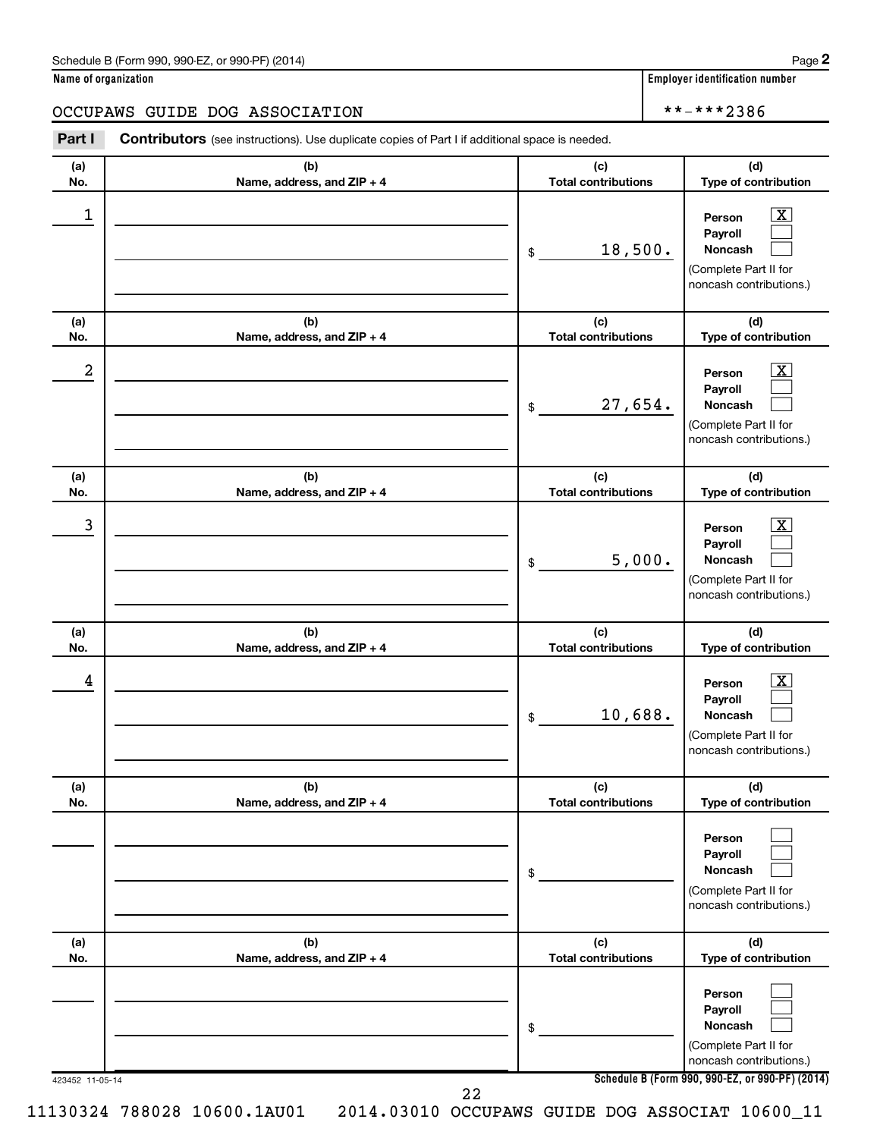| Schedule B (Form 990, 990-EZ, or 990-PF) (2014)<br>$\sqrt{2}$ and $\sqrt{2}$ and $\sqrt{2}$ and $\sqrt{2}$ and $\sqrt{2}$ and $\sqrt{2}$ and $\sqrt{2}$ and $\sqrt{2}$ and $\sqrt{2}$ and $\sqrt{2}$ and $\sqrt{2}$ and $\sqrt{2}$ and $\sqrt{2}$ and $\sqrt{2}$ and $\sqrt{2}$ and $\sqrt{2}$ and $\sqrt{2}$ and $\sqrt{2}$ and $\sqrt{2$ | Page |
|--------------------------------------------------------------------------------------------------------------------------------------------------------------------------------------------------------------------------------------------------------------------------------------------------------------------------------------------|------|
|--------------------------------------------------------------------------------------------------------------------------------------------------------------------------------------------------------------------------------------------------------------------------------------------------------------------------------------------|------|

| Name of organization |  |  |
|----------------------|--|--|
|----------------------|--|--|

|                  | Name of organization                                                                                  |                                   | <b>Employer identification number</b>                                                            |
|------------------|-------------------------------------------------------------------------------------------------------|-----------------------------------|--------------------------------------------------------------------------------------------------|
|                  | OCCUPAWS GUIDE DOG ASSOCIATION                                                                        |                                   | **-***2386                                                                                       |
| Part I           | <b>Contributors</b> (see instructions). Use duplicate copies of Part I if additional space is needed. |                                   |                                                                                                  |
| (a)<br>No.       | (b)<br>Name, address, and ZIP + 4                                                                     | (c)<br><b>Total contributions</b> | (d)<br>Type of contribution                                                                      |
| 1                |                                                                                                       | 18,500.<br>\$                     | $\mathbf{X}$<br>Person<br>Payroll<br>Noncash<br>(Complete Part II for<br>noncash contributions.) |
| (a)<br>No.       | (b)<br>Name, address, and ZIP + 4                                                                     | (c)<br><b>Total contributions</b> | (d)<br>Type of contribution                                                                      |
| $\boldsymbol{2}$ |                                                                                                       | 27,654.<br>$\$$                   | $\mathbf{X}$<br>Person<br>Payroll<br>Noncash<br>(Complete Part II for<br>noncash contributions.) |
| (a)<br>No.       | (b)<br>Name, address, and ZIP + 4                                                                     | (c)<br><b>Total contributions</b> | (d)<br>Type of contribution                                                                      |
| 3                |                                                                                                       | 5,000.<br>\$                      | $\mathbf{X}$<br>Person<br>Payroll<br>Noncash<br>(Complete Part II for<br>noncash contributions.) |
| (a)<br>No.       | (b)<br>Name, address, and ZIP + 4                                                                     | (c)<br><b>Total contributions</b> | (d)<br>Type of contribution                                                                      |
| 4                |                                                                                                       | 10,688.<br>\$                     | $\mathbf{X}$<br>Person<br>Payroll<br>Noncash<br>(Complete Part II for<br>noncash contributions.) |
| (a)<br>No.       | (b)<br>Name, address, and ZIP + 4                                                                     | (c)<br><b>Total contributions</b> | (d)<br>Type of contribution                                                                      |
|                  |                                                                                                       | \$                                | Person<br>Payroll<br>Noncash<br>(Complete Part II for<br>noncash contributions.)                 |
| (a)<br>No.       | (b)<br>Name, address, and ZIP + 4                                                                     | (c)<br><b>Total contributions</b> | (d)<br>Type of contribution                                                                      |
|                  |                                                                                                       | \$                                | Person<br>Payroll<br>Noncash<br>(Complete Part II for<br>noncash contributions.)                 |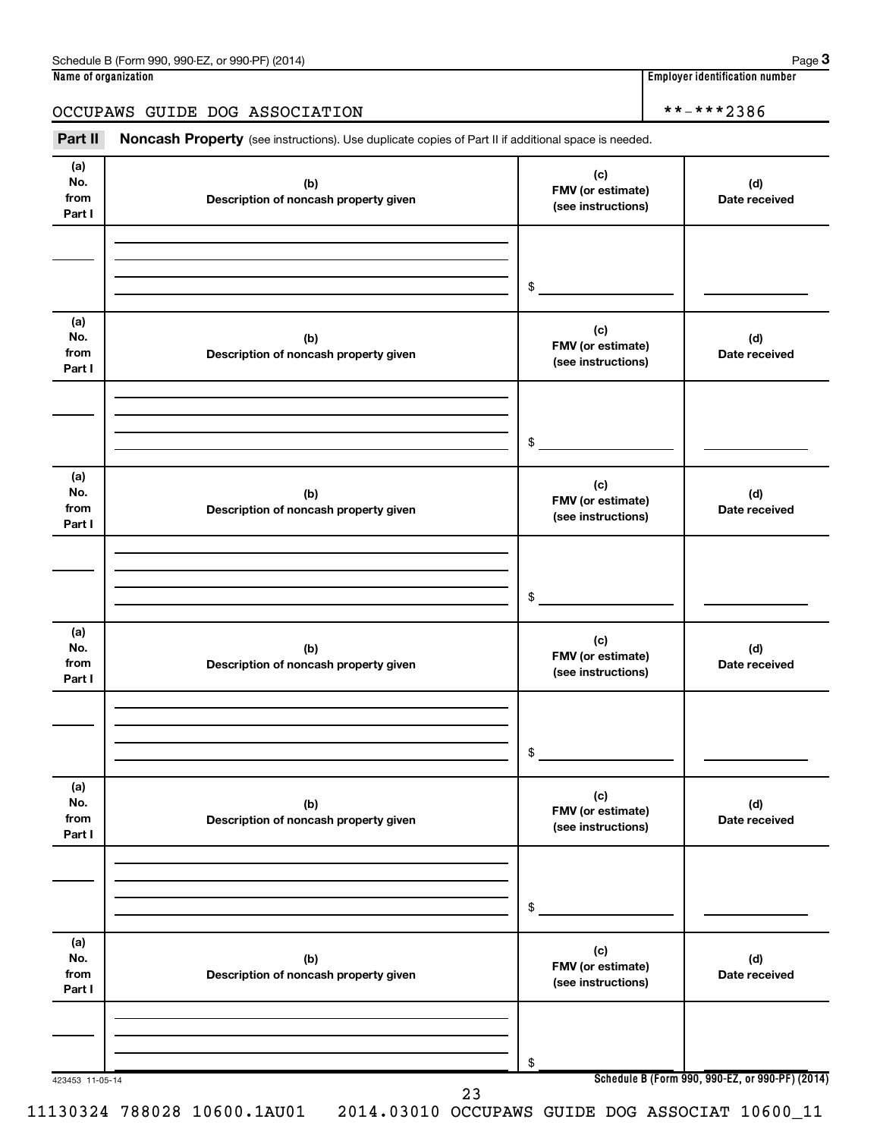### OCCUPAWS GUIDE DOG ASSOCIATION \*\*-\*\*\*2386

Part II Noncash Property (see instructions). Use duplicate copies of Part II if additional space is needed.

| (a)<br>No.<br>from<br>Part I | (b)<br>Description of noncash property given | (c)<br>FMV (or estimate)<br>(see instructions) | (d)<br>Date received                            |
|------------------------------|----------------------------------------------|------------------------------------------------|-------------------------------------------------|
|                              |                                              |                                                |                                                 |
|                              |                                              |                                                |                                                 |
|                              |                                              | \$                                             |                                                 |
| (a)<br>No.<br>from<br>Part I | (b)<br>Description of noncash property given | (c)<br>FMV (or estimate)<br>(see instructions) | (d)<br>Date received                            |
|                              |                                              |                                                |                                                 |
|                              |                                              | \$                                             |                                                 |
| (a)<br>No.<br>from<br>Part I | (b)<br>Description of noncash property given | (c)<br>FMV (or estimate)<br>(see instructions) | (d)<br>Date received                            |
|                              |                                              |                                                |                                                 |
|                              |                                              | \$                                             |                                                 |
| (a)<br>No.<br>from<br>Part I | (b)<br>Description of noncash property given | (c)<br>FMV (or estimate)<br>(see instructions) | (d)<br>Date received                            |
|                              |                                              |                                                |                                                 |
|                              |                                              | \$                                             |                                                 |
| (a)<br>No.<br>from<br>Part I | (b)<br>Description of noncash property given | (c)<br>FMV (or estimate)<br>(see instructions) | (d)<br>Date received                            |
|                              |                                              |                                                |                                                 |
|                              |                                              | \$                                             |                                                 |
| (a)<br>No.<br>from<br>Part I | (b)<br>Description of noncash property given | (c)<br>FMV (or estimate)<br>(see instructions) | (d)<br>Date received                            |
|                              |                                              |                                                |                                                 |
|                              |                                              |                                                |                                                 |
| 423453 11-05-14              |                                              | \$                                             | Schedule B (Form 990, 990-EZ, or 990-PF) (2014) |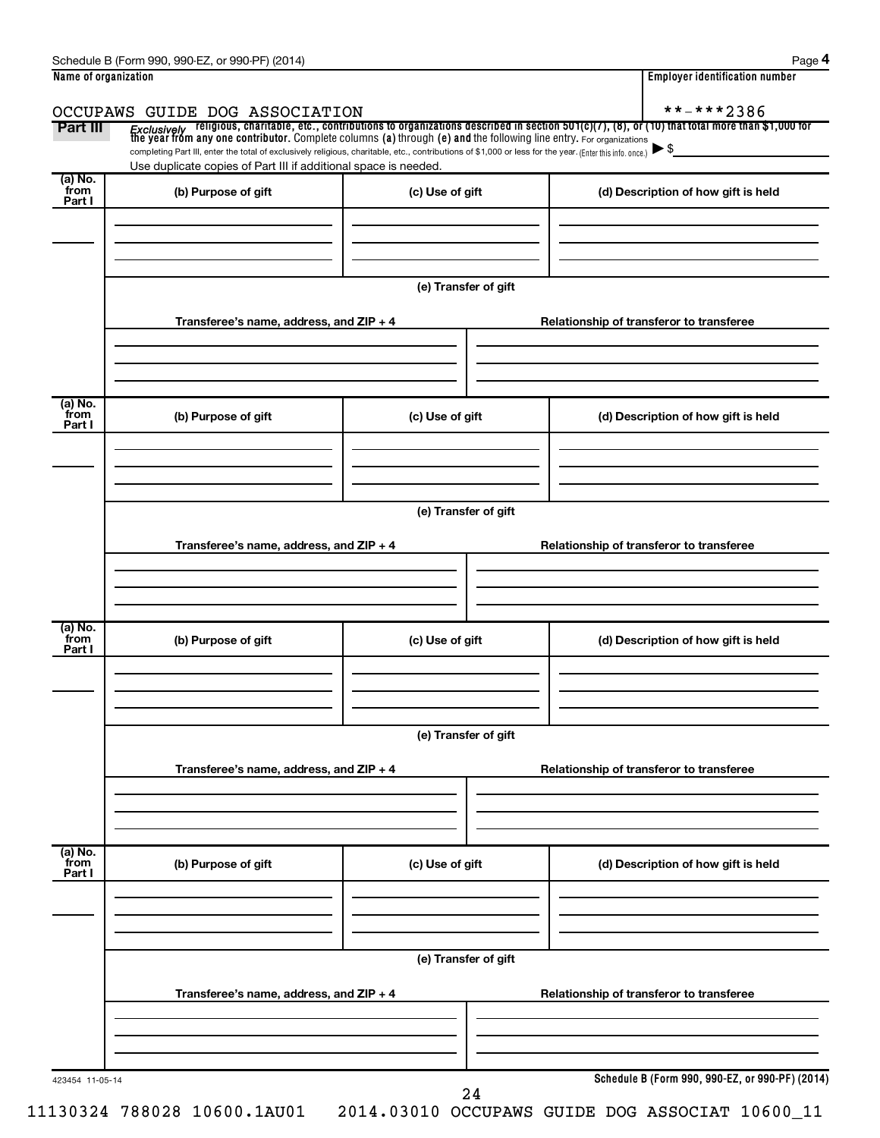|                           | Schedule B (Form 990, 990-EZ, or 990-PF) (2014)                                                                                                          |                                          | Page 4                                                                                                                                                                                                                                         |
|---------------------------|----------------------------------------------------------------------------------------------------------------------------------------------------------|------------------------------------------|------------------------------------------------------------------------------------------------------------------------------------------------------------------------------------------------------------------------------------------------|
| Name of organization      |                                                                                                                                                          |                                          | <b>Employer identification number</b>                                                                                                                                                                                                          |
|                           | OCCUPAWS GUIDE DOG ASSOCIATION                                                                                                                           |                                          | **-***2386                                                                                                                                                                                                                                     |
| Part III                  | completing Part III, enter the total of exclusively religious, charitable, etc., contributions of \$1,000 or less for the year. (Enter this info. once.) |                                          | <i>Exclusively</i> religious, charitable, etc., contributions to organizations described in section 501(c)(7), (8), or (10) that total more than \$1,000 for<br>the year from any one contributor. Complete columns (a) through (e) and<br>►\$ |
|                           | Use duplicate copies of Part III if additional space is needed.                                                                                          |                                          |                                                                                                                                                                                                                                                |
| (a) No.<br>from<br>Part I | (b) Purpose of gift                                                                                                                                      | (c) Use of gift                          | (d) Description of how gift is held                                                                                                                                                                                                            |
|                           |                                                                                                                                                          |                                          |                                                                                                                                                                                                                                                |
|                           |                                                                                                                                                          |                                          |                                                                                                                                                                                                                                                |
|                           | Transferee's name, address, and ZIP + 4                                                                                                                  | (e) Transfer of gift                     | Relationship of transferor to transferee                                                                                                                                                                                                       |
|                           |                                                                                                                                                          |                                          |                                                                                                                                                                                                                                                |
|                           |                                                                                                                                                          |                                          |                                                                                                                                                                                                                                                |
| (a) No.<br>from<br>Part I | (b) Purpose of gift                                                                                                                                      | (c) Use of gift                          | (d) Description of how gift is held                                                                                                                                                                                                            |
|                           |                                                                                                                                                          |                                          |                                                                                                                                                                                                                                                |
|                           |                                                                                                                                                          | (e) Transfer of gift                     |                                                                                                                                                                                                                                                |
|                           | Transferee's name, address, and ZIP + 4                                                                                                                  |                                          | Relationship of transferor to transferee                                                                                                                                                                                                       |
|                           |                                                                                                                                                          |                                          |                                                                                                                                                                                                                                                |
|                           |                                                                                                                                                          |                                          |                                                                                                                                                                                                                                                |
| (a) No.<br>from<br>Part I | (b) Purpose of gift                                                                                                                                      | (c) Use of gift                          | (d) Description of how gift is held                                                                                                                                                                                                            |
|                           |                                                                                                                                                          |                                          |                                                                                                                                                                                                                                                |
|                           |                                                                                                                                                          | (e) Transfer of gift                     |                                                                                                                                                                                                                                                |
|                           | Transferee's name, address, and ZIP + 4                                                                                                                  | Relationship of transferor to transferee |                                                                                                                                                                                                                                                |
|                           |                                                                                                                                                          |                                          |                                                                                                                                                                                                                                                |
|                           |                                                                                                                                                          |                                          |                                                                                                                                                                                                                                                |
| (a) No.<br>from<br>Part I | (b) Purpose of gift                                                                                                                                      | (c) Use of gift                          | (d) Description of how gift is held                                                                                                                                                                                                            |
|                           |                                                                                                                                                          |                                          |                                                                                                                                                                                                                                                |
|                           |                                                                                                                                                          |                                          |                                                                                                                                                                                                                                                |
|                           | Transferee's name, address, and ZIP + 4                                                                                                                  | (e) Transfer of gift                     | Relationship of transferor to transferee                                                                                                                                                                                                       |
|                           |                                                                                                                                                          |                                          |                                                                                                                                                                                                                                                |
|                           |                                                                                                                                                          |                                          |                                                                                                                                                                                                                                                |
| 423454 11-05-14           |                                                                                                                                                          | 24                                       | Schedule B (Form 990, 990-EZ, or 990-PF) (2014)                                                                                                                                                                                                |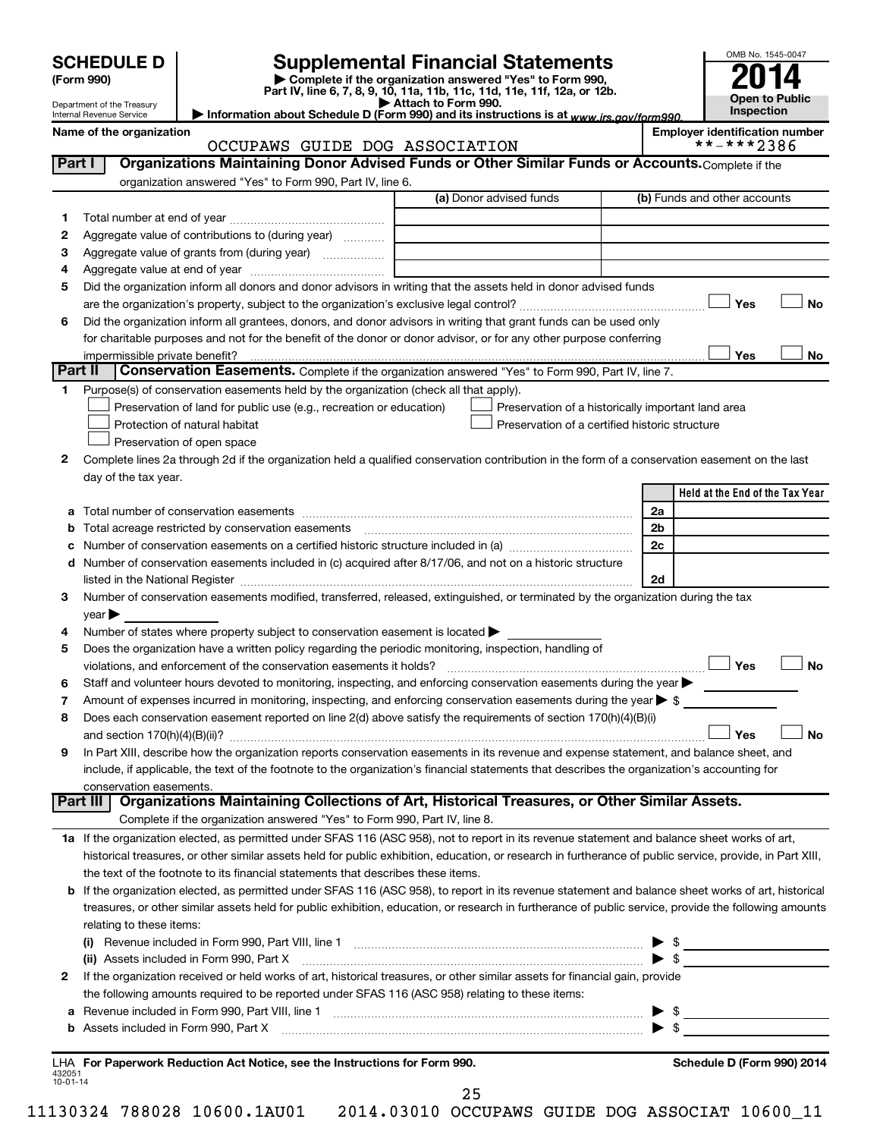| <b>SCHEDULE D</b> |  |
|-------------------|--|
|-------------------|--|

Department of the Treasury Internal Revenue Service

**1**

# **SCHEDULE D Supplemental Financial Statements**<br> **Form 990 2014**<br> **Part IV** line 6.7.8.9.10, 11a, 11b, 11d, 11d, 11d, 11d, 11d, 12a, 0r, 12b

**(Form 990) | Complete if the organization answered "Yes" to Form 990, Part IV, line 6, 7, 8, 9, 10, 11a, 11b, 11c, 11d, 11e, 11f, 12a, or 12b.**

**| Attach to Form 990. | Information about Schedule D (Form 990) and its instructions is at**  *www.irs.gov/form990.*



#### Name of the organization<br>CCCUPAWS GUIDE DOG ASSOCIATION **And the set of the organization number**<br>\*\*-\*\*\*2386 OCCUPAWS GUIDE DOG ASSOCIATION

**Held at the End of the Tax Year** (a) Donor advised funds **1 2 3 4 5 6 Yes No** † † **Yes No 2** Complete lines 2a through 2d if the organization held a qualified conservation contribution in the form of a conservation easement on the last **3** Number of conservation easements modified, transferred, released, extinguished, or terminated by the organization during the tax **4 5 6 7 8 9 a** Total number of conservation easements ~~~~~~~~~~~~~~~~~~~~~~~~~~~~~~~~ **b** Total acreage restricted by conservation easements ~~~~~~~~~~~~~~~~~~~~~~~~~~ **c** Number of conservation easements on a certified historic structure included in (a)  $\ldots$  $\ldots$  $\ldots$  $\ldots$  $\ldots$  $\ldots$ **d** Number of conservation easements included in (c) acquired after 8/17/06, and not on a historic structure **2a 2b 2c 2d**  $|N_0|$ **Yes No** † † **1 a** If the organization elected, as permitted under SFAS 116 (ASC 958), not to report in its revenue statement and balance sheet works of art, **2** If the organization received or held works of art, historical treasures, or other similar assets for financial gain, provide **b** If the organization elected, as permitted under SFAS 116 (ASC 958), to report in its revenue statement and balance sheet works of art, historical **(i)** Revenue included in Form 990, Part VIII, line 1  $\ldots$   $\ldots$   $\ldots$   $\ldots$   $\ldots$   $\ldots$   $\ldots$   $\ldots$   $\ldots$   $\ldots$   $\ldots$   $\ldots$   $\ldots$   $\ldots$ **(ii)** Assets included in Form 990, Part X ~~~~~~~~~~~~~~~~~~~~~~~~~~~~~~~~~ | \$ **a** Revenue included in Form 990, Part VIII, line 1 ~~~~~~~~~~~~~~~~~~~~~~~~~~~~~~ | \$ **b** Assets included in Form 990, Part X ~~~~~~~~~~~~~~~~~~~~~~~~~~~~~~~~~~~ | \$ **Part I** | Organizations Maintaining Donor Advised Funds or Other Similar Funds or Accounts. Complete if the organization answered "Yes" to Form 990, Part IV, line 6. (b) Funds and other accounts Total number at end of year ~~~~~~~~~~~~~~~ Aggregate value of contributions to (during year)  $\quad \quad \ldots \ldots \ldots$ Aggregate value of grants from (during year) will contain the Aggregate value of grants from (during year) Aggregate value at end of year ~~~~~~~~~~~~~ Did the organization inform all donors and donor advisors in writing that the assets held in donor advised funds are the organization's property, subject to the organization's exclusive legal control?~~~~~~~~~~~~~~~~~~ Did the organization inform all grantees, donors, and donor advisors in writing that grant funds can be used only for charitable purposes and not for the benefit of the donor or donor advisor, or for any other purpose conferring impermissible private benefit? **Part II** Conservation Easements. Complete if the organization answered "Yes" to Form 990, Part IV, line 7. Purpose(s) of conservation easements held by the organization (check all that apply). **Preservation of land for public use (e.g., recreation or education) Example 1** Protection of natural habitat Preservation of open space Preservation of a historically important land area Preservation of a certified historic structure day of the tax year. listed in the National Register ~~~~~~~~~~~~~~~~~~~~~~~~~~~~~~~~~~~~~~  $year$ Number of states where property subject to conservation easement is located  $\blacktriangleright$ Does the organization have a written policy regarding the periodic monitoring, inspection, handling of violations, and enforcement of the conservation easements it holds? ~~~~~~~~~~~~~~~~~~~~~~~~~ Staff and volunteer hours devoted to monitoring, inspecting, and enforcing conservation easements during the year  $\blacktriangleright$ Amount of expenses incurred in monitoring, inspecting, and enforcing conservation easements during the year  $\triangleright$  \$ Does each conservation easement reported on line 2(d) above satisfy the requirements of section 170(h)(4)(B)(i) and section 170(h)(4)(B)(ii)? ~~~~~~~~~~~~~~~~~~~~~~~~~~~~~~~~~~~~~~~~~~~~~~ In Part XIII, describe how the organization reports conservation easements in its revenue and expense statement, and balance sheet, and include, if applicable, the text of the footnote to the organization's financial statements that describes the organization's accounting for conservation easements. Complete if the organization answered "Yes" to Form 990, Part IV, line 8. historical treasures, or other similar assets held for public exhibition, education, or research in furtherance of public service, provide, in Part XIII, the text of the footnote to its financial statements that describes these items. treasures, or other similar assets held for public exhibition, education, or research in furtherance of public service, provide the following amounts relating to these items: the following amounts required to be reported under SFAS 116 (ASC 958) relating to these items: **Part III Organizations Maintaining Collections of Art, Historical Treasures, or Other Similar Assets.**  $\lfloor \ \ \rfloor$  Yes  $\lfloor \ \ \rfloor$  $\Box$  $|Y_{\text{es}}|$ 

#### 432051 10-01-14 **For Paperwork Reduction Act Notice, see the Instructions for Form 990. Schedule D (Form 990) 2014** LHA

25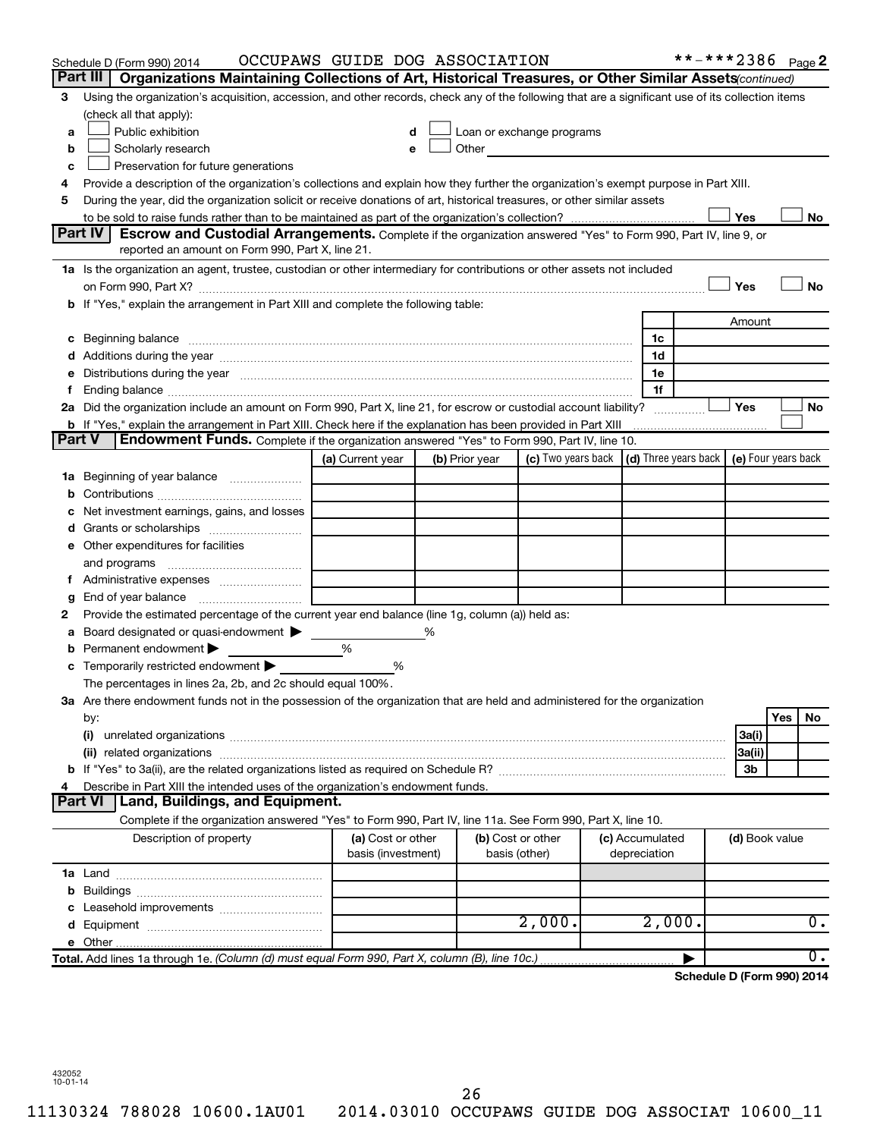|               | Schedule D (Form 990) 2014                                                                                                                                                                                                     | OCCUPAWS GUIDE DOG ASSOCIATION |   |                |                                                                                                                                                                                                                               |                 | **-***2386 Page 2                            |                |     |                  |
|---------------|--------------------------------------------------------------------------------------------------------------------------------------------------------------------------------------------------------------------------------|--------------------------------|---|----------------|-------------------------------------------------------------------------------------------------------------------------------------------------------------------------------------------------------------------------------|-----------------|----------------------------------------------|----------------|-----|------------------|
|               | Part III<br>Organizations Maintaining Collections of Art, Historical Treasures, or Other Similar Assets (continued)                                                                                                            |                                |   |                |                                                                                                                                                                                                                               |                 |                                              |                |     |                  |
| З             | Using the organization's acquisition, accession, and other records, check any of the following that are a significant use of its collection items                                                                              |                                |   |                |                                                                                                                                                                                                                               |                 |                                              |                |     |                  |
|               | (check all that apply):                                                                                                                                                                                                        |                                |   |                |                                                                                                                                                                                                                               |                 |                                              |                |     |                  |
| a             | Public exhibition                                                                                                                                                                                                              | d                              |   |                | Loan or exchange programs                                                                                                                                                                                                     |                 |                                              |                |     |                  |
| b             | Scholarly research                                                                                                                                                                                                             | е                              |   |                | Other and the contract of the contract of the contract of the contract of the contract of the contract of the contract of the contract of the contract of the contract of the contract of the contract of the contract of the |                 |                                              |                |     |                  |
| c             | Preservation for future generations                                                                                                                                                                                            |                                |   |                |                                                                                                                                                                                                                               |                 |                                              |                |     |                  |
| 4             | Provide a description of the organization's collections and explain how they further the organization's exempt purpose in Part XIII.                                                                                           |                                |   |                |                                                                                                                                                                                                                               |                 |                                              |                |     |                  |
| 5             | During the year, did the organization solicit or receive donations of art, historical treasures, or other similar assets                                                                                                       |                                |   |                |                                                                                                                                                                                                                               |                 |                                              |                |     |                  |
|               |                                                                                                                                                                                                                                |                                |   |                |                                                                                                                                                                                                                               |                 |                                              | Yes            |     | No               |
|               | Part IV I<br><b>Escrow and Custodial Arrangements.</b> Complete if the organization answered "Yes" to Form 990, Part IV, line 9, or                                                                                            |                                |   |                |                                                                                                                                                                                                                               |                 |                                              |                |     |                  |
|               | reported an amount on Form 990, Part X, line 21.                                                                                                                                                                               |                                |   |                |                                                                                                                                                                                                                               |                 |                                              |                |     |                  |
|               | 1a Is the organization an agent, trustee, custodian or other intermediary for contributions or other assets not included                                                                                                       |                                |   |                |                                                                                                                                                                                                                               |                 |                                              |                |     |                  |
|               |                                                                                                                                                                                                                                |                                |   |                |                                                                                                                                                                                                                               |                 |                                              | Yes            |     | No               |
|               | b If "Yes," explain the arrangement in Part XIII and complete the following table:                                                                                                                                             |                                |   |                |                                                                                                                                                                                                                               |                 |                                              |                |     |                  |
|               |                                                                                                                                                                                                                                |                                |   |                |                                                                                                                                                                                                                               |                 |                                              | Amount         |     |                  |
|               | c Beginning balance Manual Manual Communication and the contract of the contract of the contract of the contract of the contract of the contract of the contract of the contract of the contract of the contract of the contra |                                |   |                |                                                                                                                                                                                                                               | 1c              |                                              |                |     |                  |
|               |                                                                                                                                                                                                                                |                                |   |                |                                                                                                                                                                                                                               | 1d              |                                              |                |     |                  |
|               | e Distributions during the year manufactured and continuum control of the control of the control of the state of the state of the control of the control of the control of the control of the control of the control of the co |                                |   |                |                                                                                                                                                                                                                               | 1e              |                                              |                |     |                  |
| Ť.            | Ending balance measurements are all the contract of the contract of the contract of the contract of the contract of the contract of the contract of the contract of the contract of the contract of the contract of the contra |                                |   |                |                                                                                                                                                                                                                               | 1f              |                                              |                |     |                  |
|               | 2a Did the organization include an amount on Form 990, Part X, line 21, for escrow or custodial account liability?                                                                                                             |                                |   |                |                                                                                                                                                                                                                               |                 |                                              | Yes            |     | <b>No</b>        |
| <b>Part V</b> | <b>b</b> If "Yes," explain the arrangement in Part XIII. Check here if the explanation has been provided in Part XIII                                                                                                          |                                |   |                |                                                                                                                                                                                                                               |                 |                                              |                |     |                  |
|               | <b>Endowment Funds.</b> Complete if the organization answered "Yes" to Form 990, Part IV, line 10.                                                                                                                             |                                |   |                |                                                                                                                                                                                                                               |                 | (d) Three years back $ $ (e) Four years back |                |     |                  |
|               |                                                                                                                                                                                                                                | (a) Current year               |   | (b) Prior year | (c) Two years back                                                                                                                                                                                                            |                 |                                              |                |     |                  |
|               | 1a Beginning of year balance                                                                                                                                                                                                   |                                |   |                |                                                                                                                                                                                                                               |                 |                                              |                |     |                  |
| b             |                                                                                                                                                                                                                                |                                |   |                |                                                                                                                                                                                                                               |                 |                                              |                |     |                  |
| c             | Net investment earnings, gains, and losses                                                                                                                                                                                     |                                |   |                |                                                                                                                                                                                                                               |                 |                                              |                |     |                  |
|               | e Other expenditures for facilities                                                                                                                                                                                            |                                |   |                |                                                                                                                                                                                                                               |                 |                                              |                |     |                  |
|               | and programs                                                                                                                                                                                                                   |                                |   |                |                                                                                                                                                                                                                               |                 |                                              |                |     |                  |
|               | f Administrative expenses                                                                                                                                                                                                      |                                |   |                |                                                                                                                                                                                                                               |                 |                                              |                |     |                  |
| g             | End of year balance <i>manually contained</i>                                                                                                                                                                                  |                                |   |                |                                                                                                                                                                                                                               |                 |                                              |                |     |                  |
| 2             | Provide the estimated percentage of the current year end balance (line 1g, column (a)) held as:                                                                                                                                |                                |   |                |                                                                                                                                                                                                                               |                 |                                              |                |     |                  |
| а             | Board designated or quasi-endowment                                                                                                                                                                                            |                                | % |                |                                                                                                                                                                                                                               |                 |                                              |                |     |                  |
| b             | Permanent endowment                                                                                                                                                                                                            | %                              |   |                |                                                                                                                                                                                                                               |                 |                                              |                |     |                  |
| с             | Temporarily restricted endowment                                                                                                                                                                                               | %                              |   |                |                                                                                                                                                                                                                               |                 |                                              |                |     |                  |
|               | The percentages in lines 2a, 2b, and 2c should equal 100%.                                                                                                                                                                     |                                |   |                |                                                                                                                                                                                                                               |                 |                                              |                |     |                  |
|               | 3a Are there endowment funds not in the possession of the organization that are held and administered for the organization                                                                                                     |                                |   |                |                                                                                                                                                                                                                               |                 |                                              |                |     |                  |
|               | by:                                                                                                                                                                                                                            |                                |   |                |                                                                                                                                                                                                                               |                 |                                              |                | Yes | No               |
|               |                                                                                                                                                                                                                                |                                |   |                |                                                                                                                                                                                                                               |                 |                                              | 3a(i)          |     |                  |
|               |                                                                                                                                                                                                                                |                                |   |                |                                                                                                                                                                                                                               |                 |                                              | 3a(ii)         |     |                  |
|               |                                                                                                                                                                                                                                |                                |   |                |                                                                                                                                                                                                                               |                 |                                              | 3b             |     |                  |
| 4             | Describe in Part XIII the intended uses of the organization's endowment funds.                                                                                                                                                 |                                |   |                |                                                                                                                                                                                                                               |                 |                                              |                |     |                  |
|               | Land, Buildings, and Equipment.<br><b>Part VI</b>                                                                                                                                                                              |                                |   |                |                                                                                                                                                                                                                               |                 |                                              |                |     |                  |
|               | Complete if the organization answered "Yes" to Form 990, Part IV, line 11a. See Form 990, Part X, line 10.                                                                                                                     |                                |   |                |                                                                                                                                                                                                                               |                 |                                              |                |     |                  |
|               | Description of property                                                                                                                                                                                                        | (a) Cost or other              |   |                | (b) Cost or other                                                                                                                                                                                                             | (c) Accumulated |                                              | (d) Book value |     |                  |
|               |                                                                                                                                                                                                                                | basis (investment)             |   |                | basis (other)                                                                                                                                                                                                                 | depreciation    |                                              |                |     |                  |
|               |                                                                                                                                                                                                                                |                                |   |                |                                                                                                                                                                                                                               |                 |                                              |                |     |                  |
| b             |                                                                                                                                                                                                                                |                                |   |                |                                                                                                                                                                                                                               |                 |                                              |                |     |                  |
|               |                                                                                                                                                                                                                                |                                |   |                |                                                                                                                                                                                                                               |                 |                                              |                |     |                  |
|               |                                                                                                                                                                                                                                |                                |   |                | 2,000.                                                                                                                                                                                                                        | 2,000.          |                                              |                |     | $\overline{0}$ . |
|               |                                                                                                                                                                                                                                |                                |   |                |                                                                                                                                                                                                                               |                 |                                              |                |     |                  |
|               | Total. Add lines 1a through 1e. (Column (d) must equal Form 990, Part X, column (B), line 10c.)                                                                                                                                |                                |   |                |                                                                                                                                                                                                                               |                 |                                              |                |     | $\overline{0}$ . |
|               |                                                                                                                                                                                                                                |                                |   |                |                                                                                                                                                                                                                               |                 | Schedule D (Form 990) 2014                   |                |     |                  |

432052 10-01-14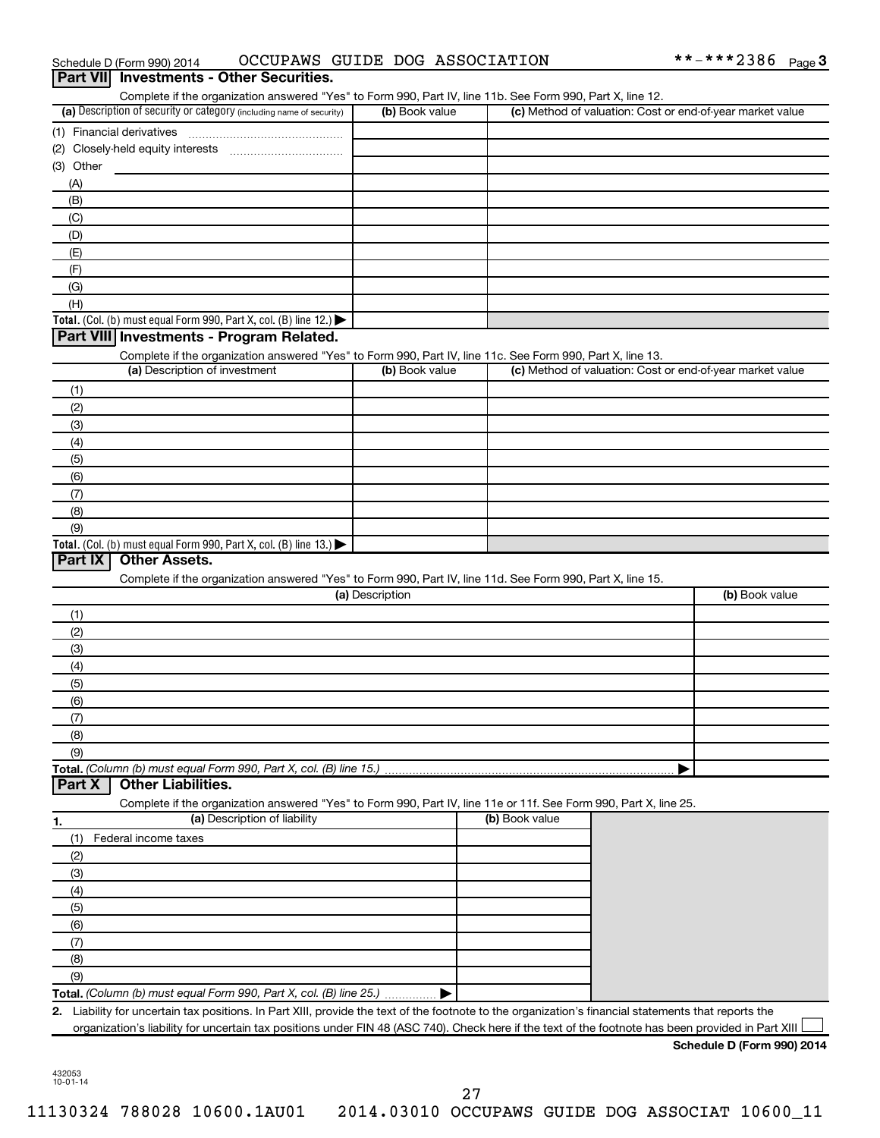| <b>Part VIII</b>    | Schedule D (Form 990) 2014                                                                                        | OCCUPAWS GUIDE DOG ASSOCIATION |                | **-***2386 Page 3                                         |
|---------------------|-------------------------------------------------------------------------------------------------------------------|--------------------------------|----------------|-----------------------------------------------------------|
|                     | <b>Investments - Other Securities.</b>                                                                            |                                |                |                                                           |
|                     | Complete if the organization answered "Yes" to Form 990, Part IV, line 11b. See Form 990, Part X, line 12.        |                                |                |                                                           |
|                     | (a) Description of security or category (including name of security)                                              | (b) Book value                 |                | (c) Method of valuation: Cost or end-of-year market value |
|                     | (1) Financial derivatives                                                                                         |                                |                |                                                           |
|                     |                                                                                                                   |                                |                |                                                           |
| (3) Other           |                                                                                                                   |                                |                |                                                           |
| (A)                 |                                                                                                                   |                                |                |                                                           |
| (B)                 |                                                                                                                   |                                |                |                                                           |
| (C)                 |                                                                                                                   |                                |                |                                                           |
| (D)                 |                                                                                                                   |                                |                |                                                           |
| (E)                 |                                                                                                                   |                                |                |                                                           |
| (F)                 |                                                                                                                   |                                |                |                                                           |
| (G)                 |                                                                                                                   |                                |                |                                                           |
| (H)                 |                                                                                                                   |                                |                |                                                           |
|                     | Total. (Col. (b) must equal Form 990, Part X, col. (B) line 12.) $\blacktriangleright$                            |                                |                |                                                           |
|                     | Part VIII Investments - Program Related.                                                                          |                                |                |                                                           |
|                     | Complete if the organization answered "Yes" to Form 990, Part IV, line 11c. See Form 990, Part X, line 13.        |                                |                |                                                           |
|                     | (a) Description of investment                                                                                     | (b) Book value                 |                | (c) Method of valuation: Cost or end-of-year market value |
| (1)                 |                                                                                                                   |                                |                |                                                           |
| (2)                 |                                                                                                                   |                                |                |                                                           |
| (3)                 |                                                                                                                   |                                |                |                                                           |
| (4)                 |                                                                                                                   |                                |                |                                                           |
| (5)                 |                                                                                                                   |                                |                |                                                           |
| (6)                 |                                                                                                                   |                                |                |                                                           |
| (7)                 |                                                                                                                   |                                |                |                                                           |
| (8)                 |                                                                                                                   |                                |                |                                                           |
|                     |                                                                                                                   |                                |                |                                                           |
| (9)                 |                                                                                                                   |                                |                |                                                           |
|                     | Total. (Col. (b) must equal Form 990, Part X, col. (B) line $13.$ )                                               |                                |                |                                                           |
| Part IX             | <b>Other Assets.</b>                                                                                              |                                |                |                                                           |
|                     | Complete if the organization answered "Yes" to Form 990, Part IV, line 11d. See Form 990, Part X, line 15.        |                                |                |                                                           |
|                     |                                                                                                                   | (a) Description                |                | (b) Book value                                            |
| (1)                 |                                                                                                                   |                                |                |                                                           |
| (2)                 |                                                                                                                   |                                |                |                                                           |
| (3)                 |                                                                                                                   |                                |                |                                                           |
| (4)                 |                                                                                                                   |                                |                |                                                           |
| (5)                 |                                                                                                                   |                                |                |                                                           |
| (6)                 |                                                                                                                   |                                |                |                                                           |
| (7)                 |                                                                                                                   |                                |                |                                                           |
| (8)                 |                                                                                                                   |                                |                |                                                           |
| (9)                 |                                                                                                                   |                                |                |                                                           |
|                     | Total. (Column (b) must equal Form 990, Part X, col. (B) line 15.)                                                |                                |                |                                                           |
|                     | <b>Other Liabilities.</b>                                                                                         |                                |                |                                                           |
|                     | Complete if the organization answered "Yes" to Form 990, Part IV, line 11e or 11f. See Form 990, Part X, line 25. |                                |                |                                                           |
|                     | (a) Description of liability                                                                                      |                                | (b) Book value |                                                           |
| (1)                 | Federal income taxes                                                                                              |                                |                |                                                           |
| (2)                 |                                                                                                                   |                                |                |                                                           |
| (3)                 |                                                                                                                   |                                |                |                                                           |
| (4)                 |                                                                                                                   |                                |                |                                                           |
| (5)                 |                                                                                                                   |                                |                |                                                           |
| (6)                 |                                                                                                                   |                                |                |                                                           |
| (7)                 |                                                                                                                   |                                |                |                                                           |
| Part X<br>1.<br>(8) |                                                                                                                   |                                |                |                                                           |
| (9)                 |                                                                                                                   |                                |                |                                                           |

**Schedule D (Form 990) 2014**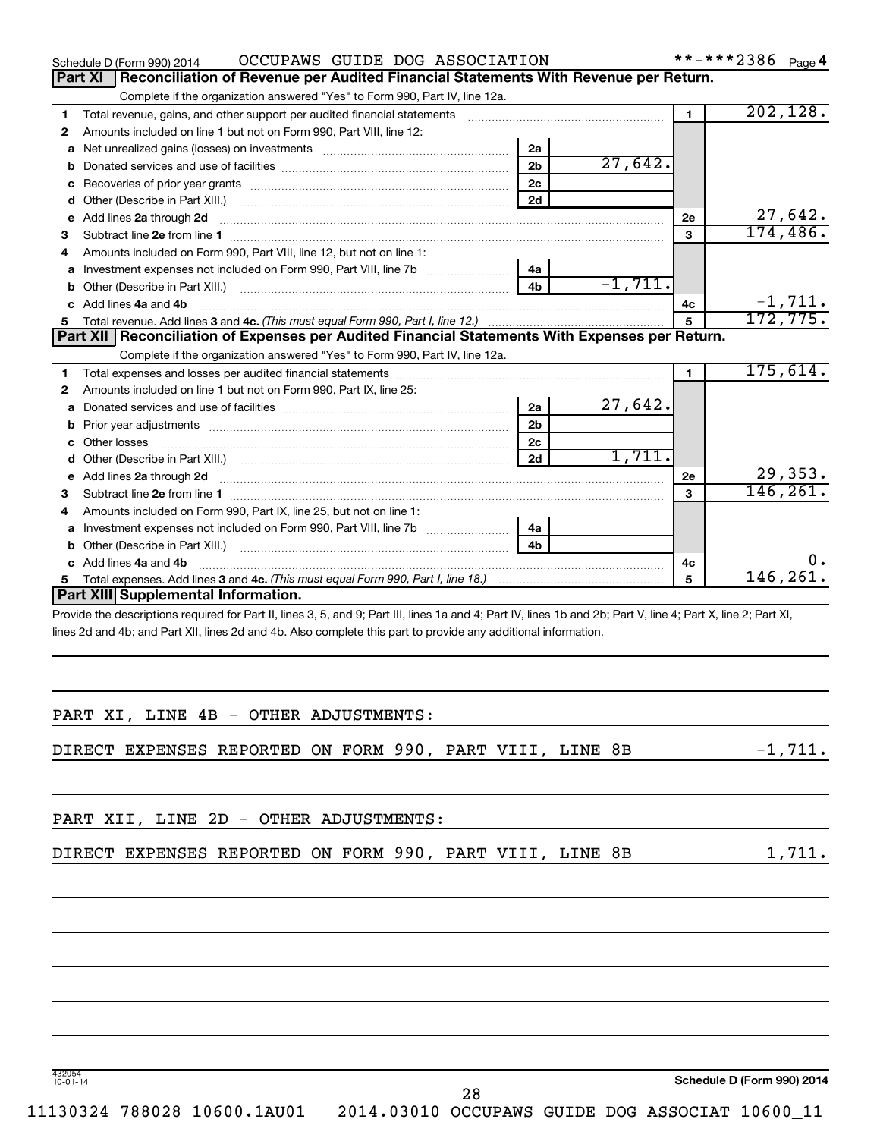|    | OCCUPAWS GUIDE DOG ASSOCIATION<br>Schedule D (Form 990) 2014                                                                                                                                                                   |                |           |                | **-***2386 Page 4 |           |
|----|--------------------------------------------------------------------------------------------------------------------------------------------------------------------------------------------------------------------------------|----------------|-----------|----------------|-------------------|-----------|
|    | Reconciliation of Revenue per Audited Financial Statements With Revenue per Return.<br><b>Part XI</b>                                                                                                                          |                |           |                |                   |           |
|    | Complete if the organization answered "Yes" to Form 990, Part IV, line 12a.                                                                                                                                                    |                |           |                |                   |           |
| 1  | Total revenue, gains, and other support per audited financial statements                                                                                                                                                       |                |           | $\blacksquare$ |                   | 202, 128. |
| 2  | Amounts included on line 1 but not on Form 990, Part VIII, line 12:                                                                                                                                                            |                |           |                |                   |           |
| a  | Net unrealized gains (losses) on investments                                                                                                                                                                                   | 2a             |           |                |                   |           |
| b  |                                                                                                                                                                                                                                | 2 <sub>b</sub> | 27,642.   |                |                   |           |
| с  |                                                                                                                                                                                                                                | 2c             |           |                |                   |           |
| d  |                                                                                                                                                                                                                                | 2d             |           |                |                   |           |
| е  | Add lines 2a through 2d                                                                                                                                                                                                        |                |           | 2e             |                   | 27,642.   |
| 3  |                                                                                                                                                                                                                                |                |           | 3              |                   | 174, 486. |
| 4  | Amounts included on Form 990, Part VIII, line 12, but not on line 1:                                                                                                                                                           |                |           |                |                   |           |
| a  |                                                                                                                                                                                                                                | 4a             |           |                |                   |           |
| b  |                                                                                                                                                                                                                                | 4 <sub>b</sub> | $-1,711.$ |                |                   |           |
|    | c Add lines 4a and 4b                                                                                                                                                                                                          |                |           | 4c             |                   | $-1,711.$ |
|    |                                                                                                                                                                                                                                |                |           | 5              |                   | 172, 775. |
|    | Part XII   Reconciliation of Expenses per Audited Financial Statements With Expenses per Return.                                                                                                                               |                |           |                |                   |           |
|    | Complete if the organization answered "Yes" to Form 990, Part IV, line 12a.                                                                                                                                                    |                |           |                |                   |           |
| 1  |                                                                                                                                                                                                                                |                |           | 1.             |                   | 175,614.  |
| 2  | Amounts included on line 1 but not on Form 990, Part IX, line 25:                                                                                                                                                              |                |           |                |                   |           |
| a  |                                                                                                                                                                                                                                | 2a             | 27,642.   |                |                   |           |
| b  |                                                                                                                                                                                                                                | 2 <sub>b</sub> |           |                |                   |           |
|    | Other losses                                                                                                                                                                                                                   | 2 <sub>c</sub> |           |                |                   |           |
|    |                                                                                                                                                                                                                                | 2d             | 1,711.    |                |                   |           |
|    | e Add lines 2a through 2d [11] manual contract and a set of the contract of the contract of the contract of the contract of the contract of the contract of the contract of the contract of the contract of the contract of th |                |           | <b>2e</b>      |                   | 29,353.   |
| з  |                                                                                                                                                                                                                                |                |           | 3              |                   | 146, 261. |
| 4  | Amounts included on Form 990, Part IX, line 25, but not on line 1:                                                                                                                                                             |                |           |                |                   |           |
| a  |                                                                                                                                                                                                                                | 4a             |           |                |                   |           |
| b  | Other (Describe in Part XIII.) [100] [100] [100] [100] [100] [100] [100] [100] [100] [100] [100] [100] [100] [                                                                                                                 | 4b             |           |                |                   |           |
| c. | Add lines 4a and 4b                                                                                                                                                                                                            |                |           | 4с             |                   | 0.        |
| 5. |                                                                                                                                                                                                                                |                |           | 5              |                   | 146, 261. |
|    | Part XIII Supplemental Information.                                                                                                                                                                                            |                |           |                |                   |           |
|    | Provide the descriptions required for Part II, lines 3, 5, and 9; Part III, lines 1a and 4; Part IV, lines 1b and 2b; Part V, line 4; Part X, line 2; Part XI,                                                                 |                |           |                |                   |           |
|    | lines 2d and 4b; and Part XII, lines 2d and 4b. Also complete this part to provide any additional information.                                                                                                                 |                |           |                |                   |           |

| PART XI, LINE 4B - OTHER ADJUSTMENTS:                    |           |
|----------------------------------------------------------|-----------|
| DIRECT EXPENSES REPORTED ON FORM 990, PART VIII, LINE 8B | $-1,711.$ |
| PART XII, LINE 2D - OTHER ADJUSTMENTS:                   |           |
| DIRECT EXPENSES REPORTED ON FORM 990, PART VIII, LINE 8B | 1,711.    |
|                                                          |           |

**Schedule D (Form 990) 2014**

11130324 788028 10600.1AU01 2014.03010 OCCUPAWS GUIDE DOG ASSOCIAT 10600\_11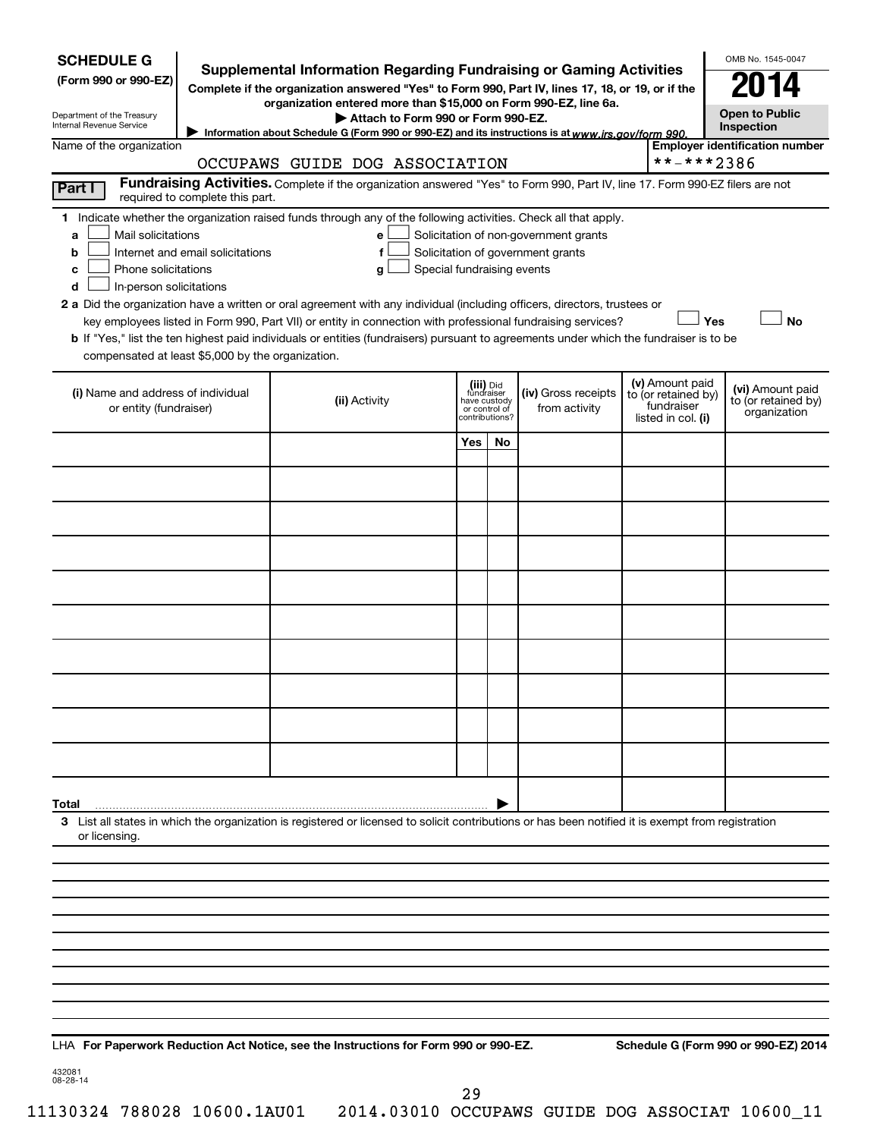| <b>SCHEDULE G</b><br>(Form 990 or 990-EZ)                                                |                                                                                                                                                                  | <b>Supplemental Information Regarding Fundraising or Gaming Activities</b><br>Complete if the organization answered "Yes" to Form 990, Part IV, lines 17, 18, or 19, or if the                                                                  |                                                            |              |                                                                            |  |                                                                            | OMB No. 1545-0047                                       |
|------------------------------------------------------------------------------------------|------------------------------------------------------------------------------------------------------------------------------------------------------------------|-------------------------------------------------------------------------------------------------------------------------------------------------------------------------------------------------------------------------------------------------|------------------------------------------------------------|--------------|----------------------------------------------------------------------------|--|----------------------------------------------------------------------------|---------------------------------------------------------|
| Department of the Treasury<br>Internal Revenue Service                                   |                                                                                                                                                                  | organization entered more than \$15,000 on Form 990-EZ, line 6a.<br>Attach to Form 990 or Form 990-EZ.                                                                                                                                          |                                                            |              |                                                                            |  |                                                                            | <b>Open to Public</b><br>Inspection                     |
|                                                                                          | Information about Schedule G (Form 990 or 990-EZ) and its instructions is at www.irs.gov/form 990.<br>Name of the organization<br>OCCUPAWS GUIDE DOG ASSOCIATION |                                                                                                                                                                                                                                                 |                                                            |              |                                                                            |  |                                                                            | <b>Employer identification number</b>                   |
| Part I                                                                                   |                                                                                                                                                                  | Fundraising Activities. Complete if the organization answered "Yes" to Form 990, Part IV, line 17. Form 990-EZ filers are not                                                                                                                   |                                                            |              |                                                                            |  | **-***2386                                                                 |                                                         |
|                                                                                          | required to complete this part.                                                                                                                                  |                                                                                                                                                                                                                                                 |                                                            |              |                                                                            |  |                                                                            |                                                         |
| Mail solicitations<br>a<br>b<br>Phone solicitations<br>c<br>In-person solicitations<br>d | Internet and email solicitations                                                                                                                                 | 1 Indicate whether the organization raised funds through any of the following activities. Check all that apply.<br>е<br>f<br>Special fundraising events<br>g                                                                                    |                                                            |              | Solicitation of non-government grants<br>Solicitation of government grants |  |                                                                            |                                                         |
|                                                                                          |                                                                                                                                                                  | <b>2 a</b> Did the organization have a written or oral agreement with any individual (including officers, directors, trustees or<br>key employees listed in Form 990, Part VII) or entity in connection with professional fundraising services? |                                                            |              |                                                                            |  | Yes                                                                        | <b>No</b>                                               |
|                                                                                          |                                                                                                                                                                  | <b>b</b> If "Yes," list the ten highest paid individuals or entities (fundraisers) pursuant to agreements under which the fundraiser is to be                                                                                                   |                                                            |              |                                                                            |  |                                                                            |                                                         |
| compensated at least \$5,000 by the organization.                                        |                                                                                                                                                                  |                                                                                                                                                                                                                                                 |                                                            |              |                                                                            |  |                                                                            |                                                         |
| (i) Name and address of individual<br>or entity (fundraiser)                             |                                                                                                                                                                  | (ii) Activity                                                                                                                                                                                                                                   | (iii) Did<br>fundraiser<br>or control of<br>contributions? | have custody | (iv) Gross receipts<br>from activity                                       |  | (v) Amount paid<br>to (or retained by)<br>fundraiser<br>listed in col. (i) | (vi) Amount paid<br>to (or retained by)<br>organization |
|                                                                                          |                                                                                                                                                                  |                                                                                                                                                                                                                                                 | Yes                                                        | No           |                                                                            |  |                                                                            |                                                         |
|                                                                                          |                                                                                                                                                                  |                                                                                                                                                                                                                                                 |                                                            |              |                                                                            |  |                                                                            |                                                         |
|                                                                                          |                                                                                                                                                                  |                                                                                                                                                                                                                                                 |                                                            |              |                                                                            |  |                                                                            |                                                         |
|                                                                                          |                                                                                                                                                                  |                                                                                                                                                                                                                                                 |                                                            |              |                                                                            |  |                                                                            |                                                         |
|                                                                                          |                                                                                                                                                                  |                                                                                                                                                                                                                                                 |                                                            |              |                                                                            |  |                                                                            |                                                         |
|                                                                                          |                                                                                                                                                                  |                                                                                                                                                                                                                                                 |                                                            |              |                                                                            |  |                                                                            |                                                         |
|                                                                                          |                                                                                                                                                                  |                                                                                                                                                                                                                                                 |                                                            |              |                                                                            |  |                                                                            |                                                         |
|                                                                                          |                                                                                                                                                                  |                                                                                                                                                                                                                                                 |                                                            |              |                                                                            |  |                                                                            |                                                         |
|                                                                                          |                                                                                                                                                                  |                                                                                                                                                                                                                                                 |                                                            |              |                                                                            |  |                                                                            |                                                         |
|                                                                                          |                                                                                                                                                                  |                                                                                                                                                                                                                                                 |                                                            |              |                                                                            |  |                                                                            |                                                         |
| Total                                                                                    |                                                                                                                                                                  |                                                                                                                                                                                                                                                 |                                                            |              |                                                                            |  |                                                                            |                                                         |
| or licensing.                                                                            |                                                                                                                                                                  | 3 List all states in which the organization is registered or licensed to solicit contributions or has been notified it is exempt from registration                                                                                              |                                                            |              |                                                                            |  |                                                                            |                                                         |
|                                                                                          |                                                                                                                                                                  |                                                                                                                                                                                                                                                 |                                                            |              |                                                                            |  |                                                                            |                                                         |
|                                                                                          |                                                                                                                                                                  |                                                                                                                                                                                                                                                 |                                                            |              |                                                                            |  |                                                                            |                                                         |
|                                                                                          |                                                                                                                                                                  |                                                                                                                                                                                                                                                 |                                                            |              |                                                                            |  |                                                                            |                                                         |
|                                                                                          |                                                                                                                                                                  |                                                                                                                                                                                                                                                 |                                                            |              |                                                                            |  |                                                                            |                                                         |
|                                                                                          |                                                                                                                                                                  |                                                                                                                                                                                                                                                 |                                                            |              |                                                                            |  |                                                                            |                                                         |
|                                                                                          |                                                                                                                                                                  |                                                                                                                                                                                                                                                 |                                                            |              |                                                                            |  |                                                                            |                                                         |
|                                                                                          |                                                                                                                                                                  |                                                                                                                                                                                                                                                 |                                                            |              |                                                                            |  |                                                                            |                                                         |
|                                                                                          |                                                                                                                                                                  |                                                                                                                                                                                                                                                 |                                                            |              |                                                                            |  |                                                                            |                                                         |

**For Paperwork Reduction Act Notice, see the Instructions for Form 990 or 990-EZ. Schedule G (Form 990 or 990-EZ) 2014** LHA

432081 08-28-14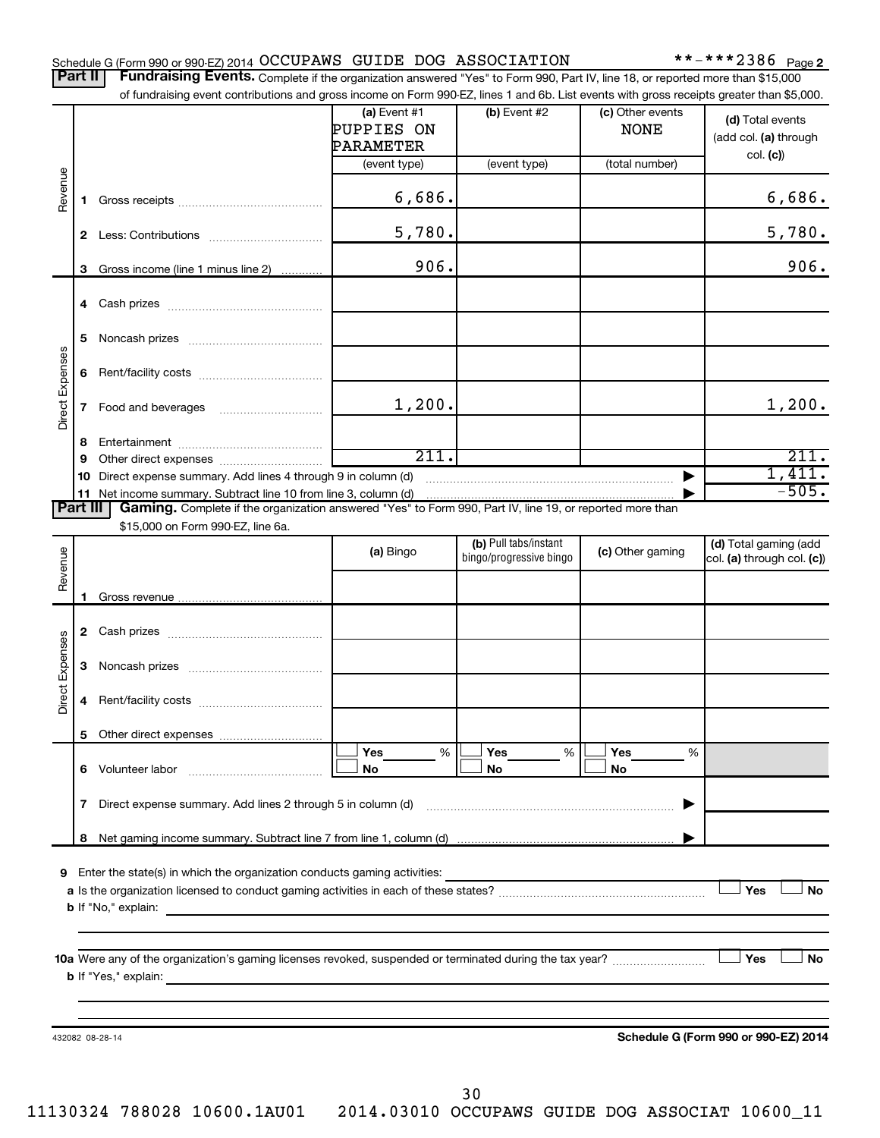|  | Schedule G (Form 990 or 990-EZ) 2014 OCCUPAWS GUIDE DOG ASSOCIATION |  |  |  |  | **-***2386 $_{\text{Page 2}}$ |  |
|--|---------------------------------------------------------------------|--|--|--|--|-------------------------------|--|
|--|---------------------------------------------------------------------|--|--|--|--|-------------------------------|--|

Part II | Fundraising Events. Complete if the organization answered "Yes" to Form 990, Part IV, line 18, or reported more than \$15,000 of fundraising event contributions and gross income on Form 990-EZ, lines 1 and 6b. List events with gross receipts greater than \$5,000.

|                        |    | 01 Turidiaishiy event contributions and gross income on Form 990-EZ, illies T and ob. Elst events with gross receipts greater than \$0,000. | (a) Event $#1$          | $(b)$ Event #2                                   | (c) Other events |                                                       |
|------------------------|----|---------------------------------------------------------------------------------------------------------------------------------------------|-------------------------|--------------------------------------------------|------------------|-------------------------------------------------------|
|                        |    |                                                                                                                                             | PUPPIES ON<br>PARAMETER |                                                  | <b>NONE</b>      | (d) Total events<br>(add col. (a) through<br>col. (c) |
|                        |    |                                                                                                                                             | (event type)            | (event type)                                     | (total number)   |                                                       |
| Revenue                | 1. |                                                                                                                                             | 6,686.                  |                                                  |                  | 6,686.                                                |
|                        |    |                                                                                                                                             | 5,780.                  |                                                  |                  | 5,780.                                                |
|                        | 3  | Gross income (line 1 minus line 2)                                                                                                          | 906.                    |                                                  |                  | 906.                                                  |
|                        |    |                                                                                                                                             |                         |                                                  |                  |                                                       |
|                        | 5  |                                                                                                                                             |                         |                                                  |                  |                                                       |
| Direct Expenses        |    |                                                                                                                                             |                         |                                                  |                  |                                                       |
|                        |    |                                                                                                                                             | 1,200.                  |                                                  |                  | 1,200.                                                |
|                        | 8  |                                                                                                                                             |                         |                                                  |                  |                                                       |
|                        | 9  |                                                                                                                                             | 211.                    |                                                  |                  | 211.                                                  |
|                        |    | 10 Direct expense summary. Add lines 4 through 9 in column (d)<br>11 Net income summary. Subtract line 10 from line 3, column (d)           |                         |                                                  |                  | 1,411.<br>$-505.$                                     |
| Part III               |    | Gaming. Complete if the organization answered "Yes" to Form 990, Part IV, line 19, or reported more than                                    |                         |                                                  |                  |                                                       |
|                        |    | \$15,000 on Form 990-EZ, line 6a.                                                                                                           |                         |                                                  |                  |                                                       |
|                        |    |                                                                                                                                             | (a) Bingo               | (b) Pull tabs/instant<br>bingo/progressive bingo | (c) Other gaming | (d) Total gaming (add<br>col. (a) through col. (c))   |
| Revenue                |    |                                                                                                                                             |                         |                                                  |                  |                                                       |
|                        |    |                                                                                                                                             |                         |                                                  |                  |                                                       |
|                        |    |                                                                                                                                             |                         |                                                  |                  |                                                       |
|                        |    |                                                                                                                                             |                         |                                                  |                  |                                                       |
| <b>Direct Expenses</b> |    |                                                                                                                                             |                         |                                                  |                  |                                                       |
|                        | 4  |                                                                                                                                             |                         |                                                  |                  |                                                       |
|                        |    |                                                                                                                                             |                         |                                                  |                  |                                                       |
|                        |    |                                                                                                                                             | Yes<br>%                | Yes<br>$\%$                                      | Yes<br>%         |                                                       |
|                        |    | 6 Volunteer labor                                                                                                                           | No                      | No                                               | No               |                                                       |
|                        |    | 7 Direct expense summary. Add lines 2 through 5 in column (d)                                                                               |                         |                                                  |                  |                                                       |
|                        | 8  |                                                                                                                                             |                         |                                                  |                  |                                                       |
|                        |    |                                                                                                                                             |                         |                                                  |                  |                                                       |
|                        |    | 9 Enter the state(s) in which the organization conducts gaming activities:                                                                  |                         |                                                  |                  | Yes<br>No                                             |
|                        |    | <b>b</b> If "No," explain:                                                                                                                  |                         |                                                  |                  |                                                       |
|                        |    |                                                                                                                                             |                         |                                                  |                  |                                                       |
|                        |    |                                                                                                                                             |                         |                                                  |                  | Yes<br>No                                             |
|                        |    |                                                                                                                                             |                         |                                                  |                  |                                                       |
|                        |    |                                                                                                                                             |                         |                                                  |                  |                                                       |
|                        |    | 432082 08-28-14                                                                                                                             |                         |                                                  |                  | Schedule G (Form 990 or 990-EZ) 2014                  |
|                        |    |                                                                                                                                             |                         |                                                  |                  |                                                       |
|                        |    |                                                                                                                                             |                         |                                                  |                  |                                                       |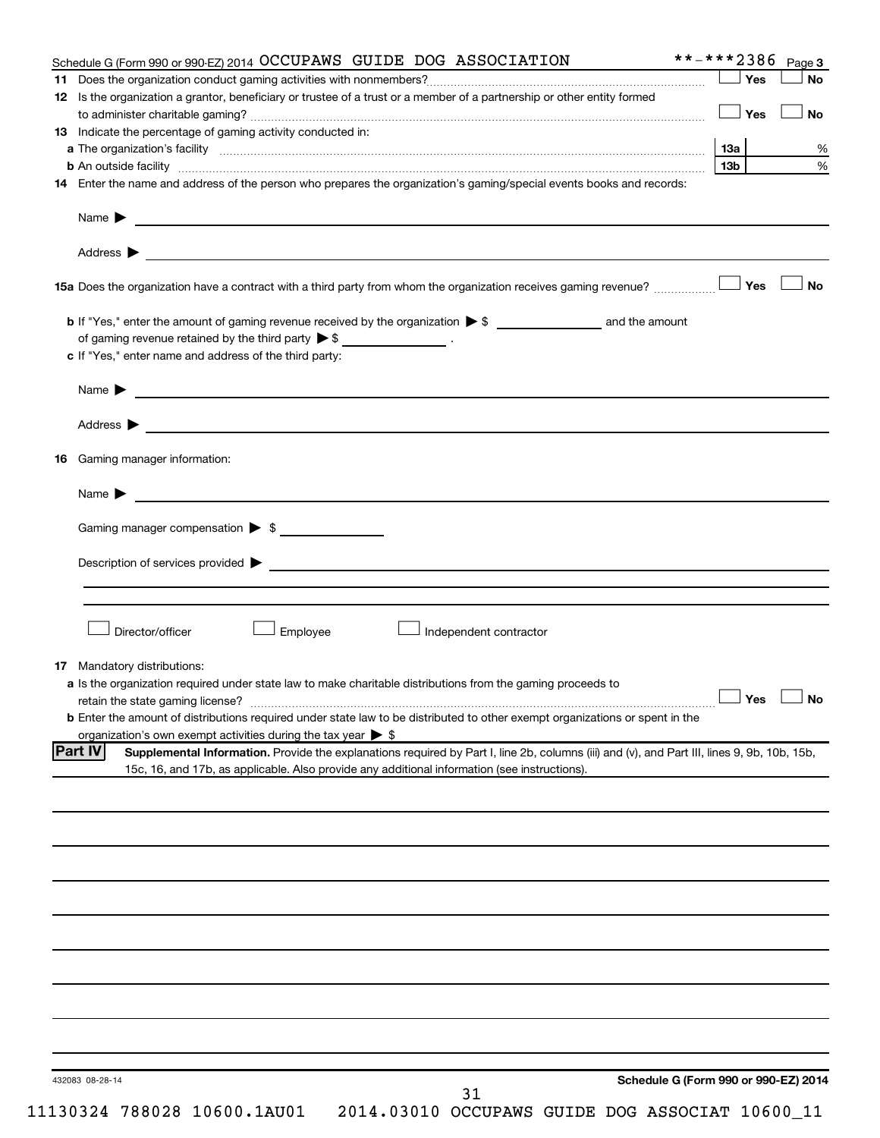| Schedule G (Form 990 or 990-EZ) 2014 OCCUPAWS GUIDE DOG ASSOCIATION                                                                                                                                                            | **-***2386 Page 3                    |
|--------------------------------------------------------------------------------------------------------------------------------------------------------------------------------------------------------------------------------|--------------------------------------|
|                                                                                                                                                                                                                                | $\Box$ Yes<br>No                     |
| 12 Is the organization a grantor, beneficiary or trustee of a trust or a member of a partnership or other entity formed                                                                                                        |                                      |
|                                                                                                                                                                                                                                | $\Box$ Yes<br>No                     |
| 13 Indicate the percentage of gaming activity conducted in:                                                                                                                                                                    |                                      |
|                                                                                                                                                                                                                                | 13a                                  |
|                                                                                                                                                                                                                                | 13 <sub>b</sub>                      |
| <b>b</b> An outside facility <i>www.communicality www.communicality.communicality www.communicality www.communicality.communicality www.communicality.com</i>                                                                  |                                      |
| 14 Enter the name and address of the person who prepares the organization's gaming/special events books and records:                                                                                                           |                                      |
|                                                                                                                                                                                                                                |                                      |
|                                                                                                                                                                                                                                |                                      |
|                                                                                                                                                                                                                                |                                      |
|                                                                                                                                                                                                                                |                                      |
|                                                                                                                                                                                                                                | No                                   |
|                                                                                                                                                                                                                                |                                      |
|                                                                                                                                                                                                                                |                                      |
| of gaming revenue retained by the third party $\triangleright$ \$ __________________.                                                                                                                                          |                                      |
| c If "Yes," enter name and address of the third party:                                                                                                                                                                         |                                      |
|                                                                                                                                                                                                                                |                                      |
| Name $\blacktriangleright$                                                                                                                                                                                                     |                                      |
|                                                                                                                                                                                                                                |                                      |
| Address $\triangleright$                                                                                                                                                                                                       |                                      |
| Gaming manager information:<br>16                                                                                                                                                                                              |                                      |
|                                                                                                                                                                                                                                |                                      |
| Name $\blacktriangleright$ $\blacksquare$                                                                                                                                                                                      |                                      |
|                                                                                                                                                                                                                                |                                      |
| Gaming manager compensation $\triangleright$ \$                                                                                                                                                                                |                                      |
|                                                                                                                                                                                                                                |                                      |
| Description of services provided to the contract of the contract of the contract of the contract of the contract of the contract of the contract of the contract of the contract of the contract of the contract of the contra |                                      |
|                                                                                                                                                                                                                                |                                      |
|                                                                                                                                                                                                                                |                                      |
|                                                                                                                                                                                                                                |                                      |
| Director/officer<br>Employee<br>Independent contractor                                                                                                                                                                         |                                      |
|                                                                                                                                                                                                                                |                                      |
| 17 Mandatory distributions:                                                                                                                                                                                                    |                                      |
| a Is the organization required under state law to make charitable distributions from the gaming proceeds to                                                                                                                    |                                      |
|                                                                                                                                                                                                                                | $\Box$ Yes $\Box$ No                 |
| <b>b</b> Enter the amount of distributions required under state law to be distributed to other exempt organizations or spent in the                                                                                            |                                      |
| organization's own exempt activities during the tax year $\triangleright$ \$                                                                                                                                                   |                                      |
| <b>Part IV</b><br>Supplemental Information. Provide the explanations required by Part I, line 2b, columns (iii) and (v), and Part III, lines 9, 9b, 10b, 15b,                                                                  |                                      |
| 15c, 16, and 17b, as applicable. Also provide any additional information (see instructions).                                                                                                                                   |                                      |
|                                                                                                                                                                                                                                |                                      |
|                                                                                                                                                                                                                                |                                      |
|                                                                                                                                                                                                                                |                                      |
|                                                                                                                                                                                                                                |                                      |
|                                                                                                                                                                                                                                |                                      |
|                                                                                                                                                                                                                                |                                      |
|                                                                                                                                                                                                                                |                                      |
|                                                                                                                                                                                                                                |                                      |
|                                                                                                                                                                                                                                |                                      |
|                                                                                                                                                                                                                                |                                      |
|                                                                                                                                                                                                                                |                                      |
|                                                                                                                                                                                                                                |                                      |
|                                                                                                                                                                                                                                |                                      |
|                                                                                                                                                                                                                                |                                      |
|                                                                                                                                                                                                                                |                                      |
|                                                                                                                                                                                                                                |                                      |
|                                                                                                                                                                                                                                |                                      |
| 432083 08-28-14                                                                                                                                                                                                                | Schedule G (Form 990 or 990-EZ) 2014 |
| 31                                                                                                                                                                                                                             |                                      |
| 11130324 788028 10600.1AU01<br>2014.03010 OCCUPAWS GUIDE DOG ASSOCIAT 10600_11                                                                                                                                                 |                                      |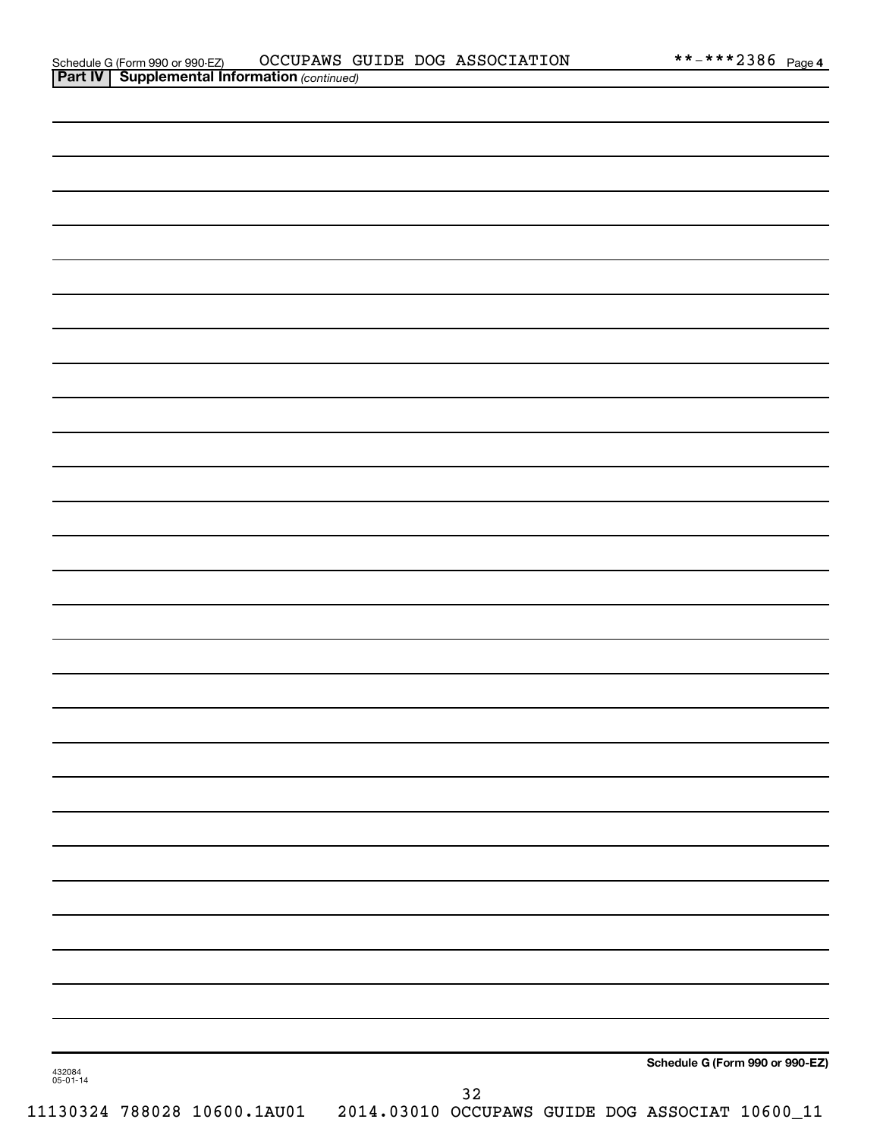| 432084<br>05-01-14 |    | Schedule G (Form 990 or 990-EZ) |
|--------------------|----|---------------------------------|
|                    | 32 |                                 |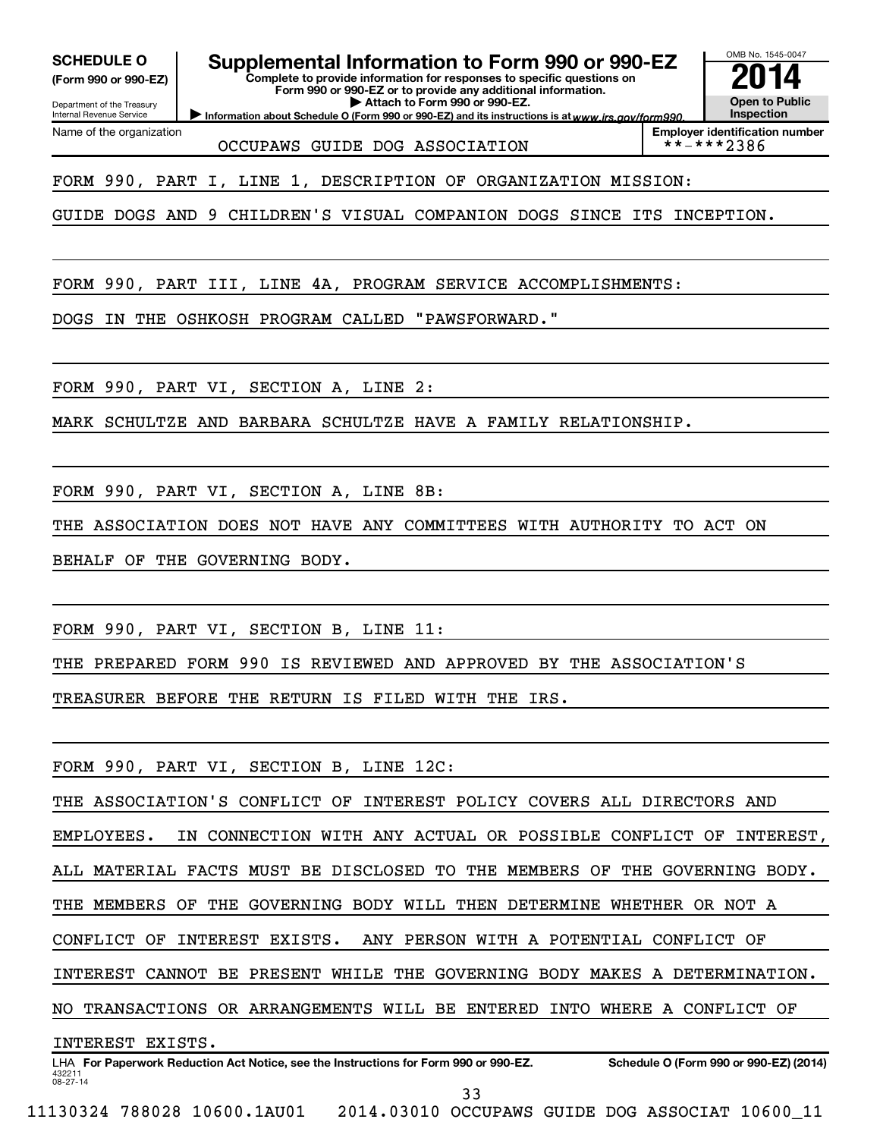**(Form 990 or 990-EZ)**

Department of the Treasury Internal Revenue Service Name of the organization

**SCHEDULE O Supplemental Information to Form 990 or 990-EZ 2014**<br>(Form 990 or 990-EZ) Complete to provide information for responses to specific questions on

**Complete to provide information for responses to specific questions on Form 990 or 990-EZ or to provide any additional information. | Attach to Form 990 or 990-EZ.**

Information about Schedule O (Form 990 or 990-EZ) and its instructions is at www.irs.gov/form990.

OMB No. 1545-0047 **Open to Public Inspection**

**Employer identification number**<br>\*\*-\*\*\*2386

OCCUPAWS GUIDE DOG ASSOCIATION

FORM 990, PART I, LINE 1, DESCRIPTION OF ORGANIZATION MISSION:

GUIDE DOGS AND 9 CHILDREN'S VISUAL COMPANION DOGS SINCE ITS INCEPTION.

FORM 990, PART III, LINE 4A, PROGRAM SERVICE ACCOMPLISHMENTS:

DOGS IN THE OSHKOSH PROGRAM CALLED "PAWSFORWARD."

FORM 990, PART VI, SECTION A, LINE 2:

MARK SCHULTZE AND BARBARA SCHULTZE HAVE A FAMILY RELATIONSHIP.

FORM 990, PART VI, SECTION A, LINE 8B:

THE ASSOCIATION DOES NOT HAVE ANY COMMITTEES WITH AUTHORITY TO ACT ON

BEHALF OF THE GOVERNING BODY.

FORM 990, PART VI, SECTION B, LINE 11:

THE PREPARED FORM 990 IS REVIEWED AND APPROVED BY THE ASSOCIATION'S

TREASURER BEFORE THE RETURN IS FILED WITH THE IRS.

FORM 990, PART VI, SECTION B, LINE 12C:

THE ASSOCIATION'S CONFLICT OF INTEREST POLICY COVERS ALL DIRECTORS AND

EMPLOYEES. IN CONNECTION WITH ANY ACTUAL OR POSSIBLE CONFLICT OF INTEREST,

ALL MATERIAL FACTS MUST BE DISCLOSED TO THE MEMBERS OF THE GOVERNING BODY.

THE MEMBERS OF THE GOVERNING BODY WILL THEN DETERMINE WHETHER OR NOT A

CONFLICT OF INTEREST EXISTS. ANY PERSON WITH A POTENTIAL CONFLICT OF

INTEREST CANNOT BE PRESENT WHILE THE GOVERNING BODY MAKES A DETERMINATION.

NO TRANSACTIONS OR ARRANGEMENTS WILL BE ENTERED INTO WHERE A CONFLICT OF

INTEREST EXISTS.

<sup>432211</sup> 08-27-14 LHA For Paperwork Reduction Act Notice, see the Instructions for Form 990 or 990-EZ. Schedule O (Form 990 or 990-EZ) (2014) 33